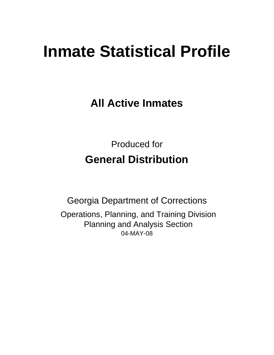# **Inmate Statistical Profile**

**All Active Inmates**

Produced for **General Distribution**

04-MAY-08 Georgia Department of Corrections Operations, Planning, and Training Division Planning and Analysis Section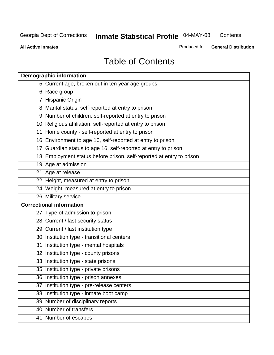**Contents** 

**All Active Inmates**

Produced for **General Distribution**

# Table of Contents

| <b>Demographic information</b>                                       |  |
|----------------------------------------------------------------------|--|
| 5 Current age, broken out in ten year age groups                     |  |
| 6 Race group                                                         |  |
| 7 Hispanic Origin                                                    |  |
| 8 Marital status, self-reported at entry to prison                   |  |
| 9 Number of children, self-reported at entry to prison               |  |
| 10 Religious affiliation, self-reported at entry to prison           |  |
| 11 Home county - self-reported at entry to prison                    |  |
| 16 Environment to age 16, self-reported at entry to prison           |  |
| 17 Guardian status to age 16, self-reported at entry to prison       |  |
| 18 Employment status before prison, self-reported at entry to prison |  |
| 19 Age at admission                                                  |  |
| 21 Age at release                                                    |  |
| 22 Height, measured at entry to prison                               |  |
| 24 Weight, measured at entry to prison                               |  |
| 26 Military service                                                  |  |
| <b>Correctional information</b>                                      |  |
| 27 Type of admission to prison                                       |  |
| 28 Current / last security status                                    |  |
| 29 Current / last institution type                                   |  |
| 30 Institution type - transitional centers                           |  |
| 31 Institution type - mental hospitals                               |  |
| 32 Institution type - county prisons                                 |  |
| 33 Institution type - state prisons                                  |  |
| 35 Institution type - private prisons                                |  |
| 36 Institution type - prison annexes                                 |  |
| 37 Institution type - pre-release centers                            |  |
| 38 Institution type - inmate boot camp                               |  |
| 39 Number of disciplinary reports                                    |  |
| 40 Number of transfers                                               |  |
| 41 Number of escapes                                                 |  |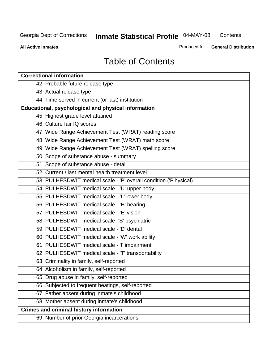**Contents** 

**All Active Inmates**

Produced for **General Distribution**

# Table of Contents

| <b>Correctional information</b>                                  |
|------------------------------------------------------------------|
| 42 Probable future release type                                  |
| 43 Actual release type                                           |
| 44 Time served in current (or last) institution                  |
| Educational, psychological and physical information              |
| 45 Highest grade level attained                                  |
| 46 Culture fair IQ scores                                        |
| 47 Wide Range Achievement Test (WRAT) reading score              |
| 48 Wide Range Achievement Test (WRAT) math score                 |
| 49 Wide Range Achievement Test (WRAT) spelling score             |
| 50 Scope of substance abuse - summary                            |
| 51 Scope of substance abuse - detail                             |
| 52 Current / last mental health treatment level                  |
| 53 PULHESDWIT medical scale - 'P' overall condition ('P'hysical) |
| 54 PULHESDWIT medical scale - 'U' upper body                     |
| 55 PULHESDWIT medical scale - 'L' lower body                     |
| 56 PULHESDWIT medical scale - 'H' hearing                        |
| 57 PULHESDWIT medical scale - 'E' vision                         |
| 58 PULHESDWIT medical scale -'S' psychiatric                     |
| 59 PULHESDWIT medical scale - 'D' dental                         |
| 60 PULHESDWIT medical scale - 'W' work ability                   |
| 61 PULHESDWIT medical scale - 'I' impairment                     |
| 62 PULHESDWIT medical scale - 'T' transportability               |
| 63 Criminality in family, self-reported                          |
| 64 Alcoholism in family, self-reported                           |
| 65 Drug abuse in family, self-reported                           |
| 66 Subjected to frequent beatings, self-reported                 |
| 67 Father absent during inmate's childhood                       |
| 68 Mother absent during inmate's childhood                       |
| <b>Crimes and criminal history information</b>                   |
| 69 Number of prior Georgia incarcerations                        |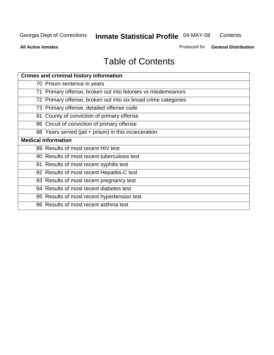**Contents** 

**All Active Inmates**

Produced for **General Distribution**

# Table of Contents

| <b>Crimes and criminal history information</b>                 |
|----------------------------------------------------------------|
| 70 Prison sentence in years                                    |
| 71 Primary offense, broken out into felonies vs misdemeanors   |
| 72 Primary offense, broken out into six broad crime categories |
| 73 Primary offense, detailed offense code                      |
| 81 County of conviction of primary offense                     |
| 86 Circuit of conviction of primary offense                    |
| 88 Years served (jail + prison) in this incarceration          |
| <b>Medical information</b>                                     |
| 89 Results of most recent HIV test                             |
| 90 Results of most recent tuberculosis test                    |
| 91 Results of most recent syphilis test                        |
| 92 Results of most recent Hepatitis-C test                     |
| 93 Results of most recent pregnancy test                       |
| 94 Results of most recent diabetes test                        |
| 95 Results of most recent hypertension test                    |
| 96 Results of most recent asthma test                          |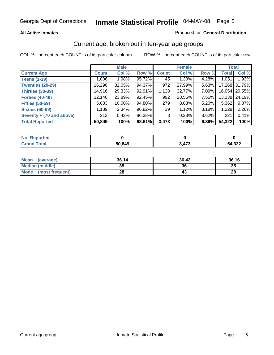#### **All Active Inmates**

#### Produced for **General Distribution**

### Current age, broken out in ten-year age groups

|                          |              | <b>Male</b> |        |                | <b>Female</b> |          |              | <b>Total</b>    |
|--------------------------|--------------|-------------|--------|----------------|---------------|----------|--------------|-----------------|
| <b>Current Age</b>       | <b>Count</b> | Col %       | Row %  | <b>Count</b>   | Col %         | Row %    | <b>Total</b> | Col %           |
| <b>Teens (1-19)</b>      | 1,006        | $1.98\%$    | 95.72% | 45             | $1.30\%$      | 4.28%    | 1,051        | 1.93%           |
| <b>Twenties (20-29)</b>  | 16,296       | 32.05%      | 94.37% | 972            | 27.99%        | 5.63%    | 17,268       | 31.79%          |
| <b>Thirties (30-39)</b>  | 14,916       | 29.33%      | 92.91% | 1,138          | 32.77%        | 7.09%    |              | 16,054   29.55% |
| <b>Forties (40-49)</b>   | 12,146       | 23.89%      | 92.45% | 992            | 28.56%        | 7.55%    | 13,138       | 24.19%          |
| <b>Fifties (50-59)</b>   | 5,083        | $10.00\%$   | 94.80% | 279            | 8.03%         | $5.20\%$ | 5,362        | 9.87%           |
| <b>Sixties (60-69)</b>   | 1,189        | 2.34%       | 96.82% | 39             | 1.12%         | 3.18%    | 1,228        | 2.26%           |
| Seventy + (70 and above) | 213          | 0.42%       | 96.38% | 8 <sup>1</sup> | 0.23%         | 3.62%    | 221          | 0.41%           |
| <b>Total Reported</b>    | 50,849       | 100%        | 93.61% | 3,473          | 100%          | 6.39%    | 54,322       | 100%            |

| <b>Not Reported</b> |        |          |        |
|---------------------|--------|----------|--------|
| <b>Total</b>        | 50,849 | 172<br>. | 54,322 |

| <b>Mean</b><br>(average) | 36.14     | 36.42 | 36.16 |
|--------------------------|-----------|-------|-------|
| Median (middle)          | 25<br>JJ. | 36    | 35    |
| Mode<br>(most frequent)  | 28        |       | 28    |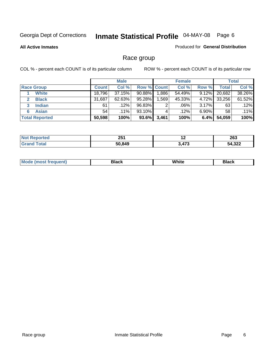**All Active Inmates**

#### Produced for **General Distribution**

### Race group

|                       |              | <b>Male</b> |             |       | <b>Female</b> |          |              | <b>Total</b> |
|-----------------------|--------------|-------------|-------------|-------|---------------|----------|--------------|--------------|
| <b>Race Group</b>     | <b>Count</b> | Col %       | Row % Count |       | Col %         | Row %    | <b>Total</b> | Col %        |
| <b>White</b>          | 18,796       | 37.15%      | 90.88%      | .886  | 54.49%        | 9.12%    | 20,682       | 38.26%       |
| <b>Black</b>          | 31,687       | 62.63%      | 95.28%      | .569  | 45.33%        | 4.72%    | 33,256       | 61.52%       |
| <b>Indian</b><br>3    | 61           | .12%        | 96.83%      | ົ     | .06%          | 3.17%    | 63           | .12%         |
| <b>Asian</b>          | 54           | $.11\%$     | 93.10%      |       | .12%          | $6.90\%$ | 58           | .11%         |
| <b>Total Reported</b> | 50,598       | 100%        | 93.6%       | 3,461 | 100%          | 6.4%     | 54,059       | 100%         |

| ヘビィ<br>LJ I | $\sim$       | つにつ<br>ZOJ   |
|-------------|--------------|--------------|
| 50849       | $1 - 0$<br>. | 1.222<br>JZŁ |

|  | $Mc$ | Black | White<br>$ -$ | 21904<br>DIACK |
|--|------|-------|---------------|----------------|
|--|------|-------|---------------|----------------|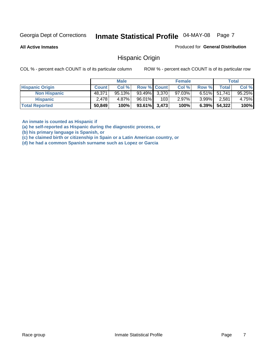**All Active Inmates**

Produced for **General Distribution**

### Hispanic Origin

COL % - percent each COUNT is of its particular column ROW % - percent each COUNT is of its particular row

|                        |              | <b>Male</b> |                    |     | <b>Female</b> |          |              | <b>Total</b> |
|------------------------|--------------|-------------|--------------------|-----|---------------|----------|--------------|--------------|
| <b>Hispanic Origin</b> | <b>Count</b> | Col %       | <b>Row % Count</b> |     | Col %         | Row %    | Total        | Col %        |
| <b>Non Hispanic</b>    | 48.371       | 95.13%      | $93.49\%$ 3,370    |     | $97.03\%$     |          | 6.51% 51,741 | 95.25%       |
| <b>Hispanic</b>        | 2,478        | 4.87%       | 96.01%             | 103 | 2.97%         | $3.99\%$ | 2,581,       | 4.75%        |
| <b>Total Reported</b>  | 50,849       | 100%        | $93.61\%$ 3,473    |     | 100%          | $6.39\%$ | 54,322       | 100%         |

**An inmate is counted as Hispanic if** 

**(a) he self-reported as Hispanic during the diagnostic process, or** 

**(b) his primary language is Spanish, or** 

**(c) he claimed birth or citizenship in Spain or a Latin American country, or** 

**(d) he had a common Spanish surname such as Lopez or Garcia**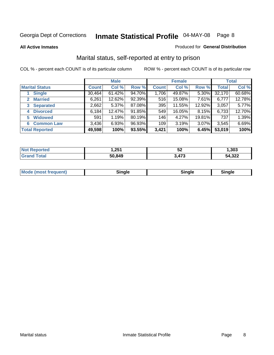**All Active Inmates**

#### Produced for **General Distribution**

### Marital status, self-reported at entry to prison

|                        | <b>Male</b>  |           |        | <b>Female</b> |        |          | <b>Total</b> |        |
|------------------------|--------------|-----------|--------|---------------|--------|----------|--------------|--------|
| <b>Marital Status</b>  | <b>Count</b> | Col %     | Row %  | <b>Count</b>  | Col %  | Row %    | <b>Total</b> | Col %  |
| <b>Single</b>          | 30,464       | $61.42\%$ | 94.70% | 1,706         | 49.87% | $5.30\%$ | 32,170       | 60.68% |
| <b>Married</b><br>2.   | 6,261        | 12.62%    | 92.39% | 516           | 15.08% | 7.61%    | 6,777        | 12.78% |
| <b>Separated</b><br>3  | 2,662        | $5.37\%$  | 87.08% | 395           | 11.55% | 12.92%   | 3,057        | 5.77%  |
| <b>Divorced</b><br>4   | 6,184        | 12.47%    | 91.85% | 549           | 16.05% | 8.15%    | 6,733        | 12.70% |
| <b>Widowed</b><br>5    | 591          | 1.19%     | 80.19% | 146           | 4.27%  | 19.81%   | 737          | 1.39%  |
| <b>Common Law</b><br>6 | 3,436        | 6.93%     | 96.93% | 109           | 3.19%  | 3.07%    | 3,545        | 6.69%  |
| <b>Total Reported</b>  | 49,598       | 100%      | 93.55% | 3,421         | 100%   | 6.45%    | 53,019       | 100%   |

| ,251   | ℧          | .303         |
|--------|------------|--------------|
| 50.849 | 172<br>ט ז | 54,322<br>٦Д |

|  | Mode (most f<br>freauent) | `ınale |  | `inale |
|--|---------------------------|--------|--|--------|
|--|---------------------------|--------|--|--------|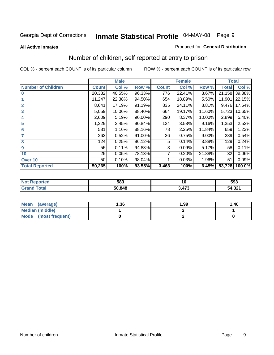**All Active Inmates**

#### Produced for **General Distribution**

### Number of children, self reported at entry to prison

|                           |              | <b>Male</b> |        |              | <b>Female</b> |          | <b>Total</b> |        |
|---------------------------|--------------|-------------|--------|--------------|---------------|----------|--------------|--------|
| <b>Number of Children</b> | <b>Count</b> | Col %       | Row %  | <b>Count</b> | Col %         | Row %    | <b>Total</b> | Col %  |
| $\bf{0}$                  | 20,382       | 40.55%      | 96.33% | 776          | 22.41%        | 3.67%    | 21,158       | 39.38% |
|                           | 11,247       | 22.38%      | 94.50% | 654          | 18.89%        | 5.50%    | 11,901       | 22.15% |
| $\overline{2}$            | 8,641        | 17.19%      | 91.19% | 835          | 24.11%        | 8.81%    | 9,476        | 17.64% |
| 3                         | 5,059        | 10.06%      | 88.40% | 664          | 19.17%        | 11.60%   | 5,723        | 10.65% |
| 4                         | 2,609        | 5.19%       | 90.00% | 290          | 8.37%         | 10.00%   | 2,899        | 5.40%  |
| 5                         | 1,229        | 2.45%       | 90.84% | 124          | 3.58%         | 9.16%    | 1,353        | 2.52%  |
| $6\phantom{a}$            | 581          | 1.16%       | 88.16% | 78           | 2.25%         | 11.84%   | 659          | 1.23%  |
| 7                         | 263          | 0.52%       | 91.00% | 26           | 0.75%         | $9.00\%$ | 289          | 0.54%  |
| 8                         | 124          | 0.25%       | 96.12% | 5            | 0.14%         | 3.88%    | 129          | 0.24%  |
| 9                         | 55           | 0.11%       | 94.83% | 3            | 0.09%         | 5.17%    | 58           | 0.11%  |
| 10                        | 25           | 0.05%       | 78.13% | 7            | 0.20%         | 21.88%   | 32           | 0.06%  |
| Over 10                   | 50           | 0.10%       | 98.04% |              | 0.03%         | 1.96%    | 51           | 0.09%  |
| <b>Total Reported</b>     | 50,265       | 100%        | 93.55% | 3,463        | 100%          | 6.45%    | 53,728       | 100.0% |

| 583    | 1 V           | 593               |
|--------|---------------|-------------------|
| 50.848 | $\rightarrow$ | ີ<br>54<br>. ∠د.י |

| Mean<br>(average)              | 1.36 | 1.99 | 1.40 |
|--------------------------------|------|------|------|
| <b>Median (middle)</b>         |      |      |      |
| <b>Mode</b><br>(most frequent) |      |      |      |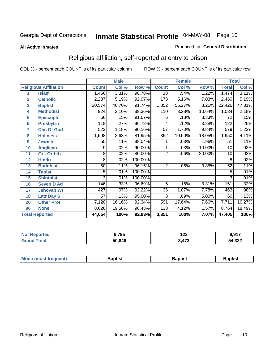#### **All Active Inmates**

#### Produced for **General Distribution**

### Religious affiliation, self-reported at entry to prison

|                  |                              | <b>Male</b>    |                     |         |                 | <b>Female</b> |        | <b>Total</b>    |        |
|------------------|------------------------------|----------------|---------------------|---------|-----------------|---------------|--------|-----------------|--------|
|                  | <b>Religious Affiliation</b> | <b>Count</b>   | Col %               | Row %   | <b>Count</b>    | Col %         | Row %  | <b>Total</b>    | Col %  |
| 1                | <b>Islam</b>                 | 1,456          | 3.31%               | 98.78%  | $\overline{18}$ | .54%          | 1.22%  | 1,474           | 3.11%  |
| $\overline{2}$   | <b>Catholic</b>              | 2,287          | $\overline{5.19\%}$ | 92.97%  | 173             | 5.16%         | 7.03%  | 2,460           | 5.19%  |
| 3                | <b>Baptist</b>               | 20,574         | 46.70%              | 91.74%  | 1,852           | 55.27%        | 8.26%  | 22,426          | 47.31% |
| 4                | <b>Methodist</b>             | 924            | 2.10%               | 89.36%  | 110             | 3.28%         | 10.64% | 1,034           | 2.18%  |
| 5                | <b>EpiscopIn</b>             | 66             | .15%                | 91.67%  | 6               | .18%          | 8.33%  | 72              | .15%   |
| 6                | <b>Presbytrn</b>             | 118            | .27%                | 96.72%  | 4               | .12%          | 3.28%  | 122             | .26%   |
| 7                | <b>Chc Of God</b>            | 522            | 1.18%               | 90.16%  | 57              | 1.70%         | 9.84%  | 579             | 1.22%  |
| 8                | <b>Holiness</b>              | 1,598          | 3.63%               | 81.95%  | 352             | 10.50%        | 18.05% | 1,950           | 4.11%  |
| $\boldsymbol{9}$ | <b>Jewish</b>                | 50             | .11%                | 98.04%  |                 | .03%          | 1.96%  | 51              | .11%   |
| 10               | <b>Anglican</b>              | 9              | .02%                | 90.00%  |                 | .03%          | 10.00% | $\overline{10}$ | .02%   |
| 11               | <b>Grk Orthdx</b>            | 8              | .02%                | 80.00%  | $\overline{2}$  | .06%          | 20.00% | 10              | .02%   |
| 12               | <b>Hindu</b>                 | 8              | .02%                | 100.00% |                 |               |        | 8               | .02%   |
| 13               | <b>Buddhist</b>              | 50             | .11%                | 96.15%  | $\overline{2}$  | .06%          | 3.85%  | 52              | .11%   |
| 14               | <b>Taoist</b>                | 5              | .01%                | 100.00% |                 |               |        | 5               | .01%   |
| 15               | <b>Shintoist</b>             | $\overline{3}$ | .01%                | 100.00% |                 |               |        | 3               | .01%   |
| 16               | <b>Seven D Ad</b>            | 146            | .33%                | 96.69%  | 5               | .15%          | 3.31%  | 151             | .32%   |
| 17               | <b>Jehovah Wt</b>            | 427            | .97%                | 92.22%  | $\overline{36}$ | 1.07%         | 7.78%  | 463             | .98%   |
| 18               | <b>Latr Day S</b>            | 57             | .13%                | 95.00%  | $\overline{3}$  | .09%          | 5.00%  | 60              | .13%   |
| 20               | <b>Other Prot</b>            | 7,120          | 16.16%              | 92.34%  | 591             | 17.64%        | 7.66%  | 7,711           | 16.27% |
| 96               | <b>None</b>                  | 8,626          | 19.58%              | 98.43%  | 138             | 4.12%         | 1.57%  | 8,764           | 18.49% |
|                  | <b>Total Reported</b>        | 44,054         | 100%                | 92.93%  | 3,351           | 100%          | 7.07%  | 47,405          | 100%   |

| 14 (20      | 6,795  | . הי<br>1 L L | 6017<br>. U, J I |  |
|-------------|--------|---------------|------------------|--|
| $5 - 6 - 1$ | 50,849 | 470<br>.473   | 54,322           |  |

| <b>Mode</b><br>frequent)<br>umost | 3aptist | 3aptist | <b>Baptist</b> |
|-----------------------------------|---------|---------|----------------|
|                                   |         |         |                |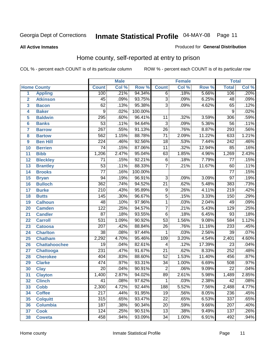**All Active Inmates**

#### Produced for **General Distribution**

### Home county, self-reported at entry to prison

|                 |                      |                  | <b>Male</b> |         |                           | <b>Female</b> |        | <b>Total</b>     |       |  |
|-----------------|----------------------|------------------|-------------|---------|---------------------------|---------------|--------|------------------|-------|--|
|                 | <b>Home County</b>   | <b>Count</b>     | Col %       | Row %   | <b>Count</b>              | Col %         | Row %  | <b>Total</b>     | Col % |  |
| 1               | <b>Appling</b>       | 100              | .21%        | 94.34%  | $\overline{6}$            | .18%          | 5.66%  | 106              | .20%  |  |
| $\overline{2}$  | <b>Atkinson</b>      | 45               | .09%        | 93.75%  | $\overline{3}$            | .09%          | 6.25%  | 48               | .09%  |  |
| 3               | <b>Bacon</b>         | $\overline{62}$  | .13%        | 95.38%  | $\overline{\overline{3}}$ | .09%          | 4.62%  | 65               | .12%  |  |
| 4               | <b>Baker</b>         | 9                | .02%        | 100.00% |                           |               |        | 9                | .02%  |  |
| 5               | <b>Baldwin</b>       | 295              | .60%        | 96.41%  | $\overline{11}$           | .32%          | 3.59%  | $\overline{306}$ | .59%  |  |
| $6\phantom{a}$  | <b>Banks</b>         | $\overline{53}$  | .11%        | 94.64%  | $\overline{3}$            | .09%          | 5.36%  | $\overline{56}$  | .11%  |  |
| $\overline{7}$  | <b>Barrow</b>        | $\overline{267}$ | .55%        | 91.13%  | $\overline{26}$           | .76%          | 8.87%  | 293              | .56%  |  |
| 8               | <b>Bartow</b>        | $\overline{562}$ | 1.15%       | 88.78%  | $\overline{71}$           | 2.09%         | 11.22% | 633              | 1.21% |  |
| 9               | <b>Ben Hill</b>      | $\overline{224}$ | .46%        | 92.56%  | $\overline{18}$           | .53%          | 7.44%  | 242              | .46%  |  |
| 10              | <b>Berrien</b>       | $\overline{74}$  | .15%        | 87.06%  | $\overline{11}$           | .32%          | 12.94% | 85               | .16%  |  |
| 11              | <b>Bibb</b>          | 1,206            | 2.47%       | 95.04%  | 63                        | 1.85%         | 4.96%  | 1,269            | 2.43% |  |
| 12              | <b>Bleckley</b>      | 71               | .15%        | 92.21%  | 6                         | .18%          | 7.79%  | 77               | .15%  |  |
| $\overline{13}$ | <b>Brantley</b>      | $\overline{53}$  | .11%        | 88.33%  | $\overline{7}$            | .21%          | 11.67% | 60               | .11%  |  |
| 14              | <b>Brooks</b>        | $\overline{77}$  | .16%        | 100.00% |                           |               |        | $\overline{77}$  | .15%  |  |
| 15              | <b>Bryan</b>         | $\overline{94}$  | .19%        | 96.91%  | $\overline{3}$            | .09%          | 3.09%  | $\overline{97}$  | .19%  |  |
| 16              | <b>Bulloch</b>       | $\overline{362}$ | .74%        | 94.52%  | $\overline{21}$           | .62%          | 5.48%  | 383              | .73%  |  |
| $\overline{17}$ | <b>Burke</b>         | $\overline{210}$ | .43%        | 95.89%  | $\overline{9}$            | .26%          | 4.11%  | $\overline{219}$ | .42%  |  |
| 18              | <b>Butts</b>         | 145              | .30%        | 96.67%  | $\overline{5}$            | .15%          | 3.33%  | 150              | .29%  |  |
| 19              | <b>Calhoun</b>       | 48               | .10%        | 97.96%  | $\overline{1}$            | .03%          | 2.04%  | 49               | .09%  |  |
| 20              | <b>Camden</b>        | $\overline{122}$ | .25%        | 94.57%  | $\overline{7}$            | .21%          | 5.43%  | 129              | .25%  |  |
| 21              | <b>Candler</b>       | $\overline{87}$  | .18%        | 93.55%  | $\overline{6}$            | .18%          | 6.45%  | $\overline{93}$  | .18%  |  |
| 22              | <b>Carroll</b>       | $\overline{531}$ | 1.09%       | 90.92%  | $\overline{53}$           | 1.56%         | 9.08%  | 584              | 1.12% |  |
| 23              | <b>Catoosa</b>       | $\overline{207}$ | .42%        | 88.84%  | $\overline{26}$           | .76%          | 11.16% | 233              | .45%  |  |
| 24              | <b>Charlton</b>      | $\overline{38}$  | .08%        | 97.44%  | 1                         | .03%          | 2.56%  | $\overline{39}$  | .07%  |  |
| 25              | <b>Chatham</b>       | 2,292            | 4.70%       | 95.46%  | 109                       | 3.20%         | 4.54%  | 2,401            | 4.60% |  |
| 26              | <b>Chattahoochee</b> | 19               | .04%        | 82.61%  | 4                         | .12%          | 17.39% | 23               | .04%  |  |
| 27              | Chattooga            | 231              | .47%        | 91.67%  | $\overline{21}$           | .62%          | 8.33%  | 252              | .48%  |  |
| 28              | <b>Cherokee</b>      | 404              | .83%        | 88.60%  | $\overline{52}$           | 1.53%         | 11.40% | 456              | .87%  |  |
| 29              | <b>Clarke</b>        | 474              | .97%        | 93.31%  | $\overline{34}$           | 1.00%         | 6.69%  | 508              | .97%  |  |
| 30              | <b>Clay</b>          | $\overline{20}$  | .04%        | 90.91%  | $\overline{2}$            | .06%          | 9.09%  | $\overline{22}$  | .04%  |  |
| $\overline{31}$ | <b>Clayton</b>       | 1,400            | 2.87%       | 94.02%  | $\overline{89}$           | 2.61%         | 5.98%  | 1,489            | 2.85% |  |
| 32              | <b>Clinch</b>        | 41               | .08%        | 97.62%  | 1                         | .03%          | 2.38%  | 42               | .08%  |  |
| 33              | <b>Cobb</b>          | 2,300            | 4.72%       | 92.44%  | 188                       | 5.52%         | 7.56%  | 2,488            | 4.77% |  |
| 34              | <b>Coffee</b>        | 217              | .44%        | 91.95%  | 19                        | .56%          | 8.05%  | 236              | .45%  |  |
| 35              | <b>Colquitt</b>      | 315              | .65%        | 93.47%  | $\overline{22}$           | .65%          | 6.53%  | $\overline{337}$ | .65%  |  |
| 36              | <b>Columbia</b>      | 187              | .38%        | 90.34%  | 20                        | .59%          | 9.66%  | 207              | .40%  |  |
| 37              | <b>Cook</b>          | $\overline{124}$ | .25%        | 90.51%  | $\overline{13}$           | .38%          | 9.49%  | 137              | .26%  |  |
| 38              | <b>Coweta</b>        | 458              | .94%        | 93.09%  | 34                        | 1.00%         | 6.91%  | 492              | .94%  |  |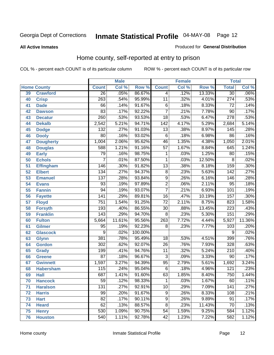**All Active Inmates**

#### Produced for **General Distribution**

### Home county, self-reported at entry to prison

|    |                    |                  | <b>Male</b> |         |                  | <b>Female</b> |        | <b>Total</b>      |         |
|----|--------------------|------------------|-------------|---------|------------------|---------------|--------|-------------------|---------|
|    | <b>Home County</b> | <b>Count</b>     | Col %       | Row %   | <b>Count</b>     | Col %         | Row %  | <b>Total</b>      | Col %   |
| 39 | <b>Crawford</b>    | $\overline{26}$  | .05%        | 86.67%  | 4                | .12%          | 13.33% | $\overline{30}$   | .06%    |
| 40 | <b>Crisp</b>       | $\overline{263}$ | .54%        | 95.99%  | $\overline{11}$  | .32%          | 4.01%  | $\overline{274}$  | .53%    |
| 41 | <b>Dade</b>        | 66               | .14%        | 91.67%  | $\overline{6}$   | .18%          | 8.33%  | $\overline{72}$   | .14%    |
| 42 | <b>Dawson</b>      | 83               | .17%        | 92.22%  | $\overline{7}$   | .21%          | 7.78%  | 90                | .17%    |
| 43 | <b>Decatur</b>     | $\overline{260}$ | .53%        | 93.53%  | $\overline{18}$  | .53%          | 6.47%  | $\overline{278}$  | .53%    |
| 44 | <b>Dekalb</b>      | 2,542            | 5.21%       | 94.71%  | $\overline{142}$ | 4.17%         | 5.29%  | 2,684             | 5.14%   |
| 45 | <b>Dodge</b>       | $\overline{132}$ | .27%        | 91.03%  | $\overline{13}$  | .38%          | 8.97%  | $\frac{145}{145}$ | .28%    |
| 46 | <b>Dooly</b>       | $\overline{80}$  | .16%        | 93.02%  | $\,6$            | .18%          | 6.98%  | 86                | .16%    |
| 47 | <b>Dougherty</b>   | 1,004            | 2.06%       | 95.62%  | $\overline{46}$  | 1.35%         | 4.38%  | 1,050             | 2.01%   |
| 48 | <b>Douglas</b>     | 588              | 1.21%       | 91.16%  | $\overline{57}$  | 1.67%         | 8.84%  | 645               | 1.24%   |
| 49 | <b>Early</b>       | $\overline{79}$  | .16%        | 98.75%  | $\mathbf{1}$     | .03%          | 1.25%  | 80                | .15%    |
| 50 | <b>Echols</b>      | 7                | .01%        | 87.50%  | 1                | .03%          | 12.50% | 8                 | .02%    |
| 51 | <b>Effingham</b>   | 146              | .30%        | 91.82%  | $\overline{13}$  | .38%          | 8.18%  | 159               | .30%    |
| 52 | <b>Elbert</b>      | 134              | .27%        | 94.37%  | $\overline{8}$   | .23%          | 5.63%  | 142               | .27%    |
| 53 | <b>Emanuel</b>     | $\overline{137}$ | .28%        | 93.84%  | $\overline{9}$   | .26%          | 6.16%  | 146               | .28%    |
| 54 | <b>Evans</b>       | 93               | .19%        | 97.89%  | $\overline{2}$   | .06%          | 2.11%  | $\overline{95}$   | .18%    |
| 55 | <b>Fannin</b>      | $\overline{94}$  | .19%        | 93.07%  | $\overline{7}$   | .21%          | 6.93%  | 101               | .19%    |
| 56 | <b>Fayette</b>     | $\overline{141}$ | .29%        | 89.81%  | $\overline{16}$  | .47%          | 10.19% | 157               | .30%    |
| 57 | <b>Floyd</b>       | $\overline{751}$ | 1.54%       | 91.25%  | $\overline{72}$  | 2.11%         | 8.75%  | 823               | 1.58%   |
| 58 | <b>Forsyth</b>     | 193              | .40%        | 86.55%  | $\overline{30}$  | .88%          | 13.45% | $\overline{223}$  | .43%    |
| 59 | <b>Franklin</b>    | $\overline{143}$ | .29%        | 94.70%  | $\overline{8}$   | .23%          | 5.30%  | 151               | .29%    |
| 60 | <b>Fulton</b>      | 5,664            | 11.61%      | 95.56%  | 263              | 7.72%         | 4.44%  | 5,927             | 11.36%  |
| 61 | Gilmer             | 95               | .19%        | 92.23%  | $\overline{8}$   | .23%          | 7.77%  | 103               | .20%    |
| 62 | <b>Glascock</b>    | 9                | .02%        | 100.00% |                  |               |        | 9                 | .02%    |
| 63 | <b>Glynn</b>       | 381              | .78%        | 95.49%  | $\overline{18}$  | .53%          | 4.51%  | 399               | .76%    |
| 64 | <b>Gordon</b>      | $\overline{302}$ | .62%        | 92.07%  | $\overline{26}$  | .76%          | 7.93%  | 328               | .63%    |
| 65 | <b>Grady</b>       | 199              | .41%        | 94.76%  | $\overline{11}$  | .32%          | 5.24%  | $\overline{210}$  | .40%    |
| 66 | <b>Greene</b>      | $\overline{87}$  | .18%        | 96.67%  | 3                | .09%          | 3.33%  | 90                | .17%    |
| 67 | <b>Gwinnett</b>    | 1,597            | 3.27%       | 94.39%  | $\overline{95}$  | 2.79%         | 5.61%  | 1,692             | 3.24%   |
| 68 | <b>Habersham</b>   | 115              | .24%        | 95.04%  | $\overline{6}$   | .18%          | 4.96%  | $\overline{121}$  | .23%    |
| 69 | <b>Hall</b>        | 687              | 1.41%       | 91.60%  | 63               | 1.85%         | 8.40%  | 750               | 1.44%   |
| 70 | <b>Hancock</b>     | 59               | .12%        | 98.33%  | 1                | .03%          | 1.67%  | 60                | $.11\%$ |
| 71 | <b>Haralson</b>    | $\overline{131}$ | .27%        | 92.91%  | $\overline{10}$  | .29%          | 7.09%  | 141               | .27%    |
| 72 | <b>Harris</b>      | 99               | .20%        | 91.67%  | 9                | .26%          | 8.33%  | 108               | .21%    |
| 73 | <b>Hart</b>        | $\overline{82}$  | .17%        | 90.11%  | $\overline{9}$   | .26%          | 9.89%  | $\overline{91}$   | .17%    |
| 74 | <b>Heard</b>       | 62               | .13%        | 88.57%  | 8                | .23%          | 11.43% | 70                | .13%    |
| 75 | <b>Henry</b>       | 530              | 1.09%       | 90.75%  | $\overline{54}$  | 1.59%         | 9.25%  | 584               | 1.12%   |
| 76 | <b>Houston</b>     | 540              | 1.11%       | 92.78%  | 42               | 1.23%         | 7.22%  | 582               | 1.12%   |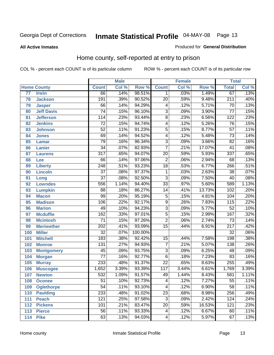#### **All Active Inmates**

#### Produced for **General Distribution**

### Home county, self-reported at entry to prison

|     |                    |                  | <b>Male</b> |         |                  | <b>Female</b> |        | <b>Total</b>     |       |
|-----|--------------------|------------------|-------------|---------|------------------|---------------|--------|------------------|-------|
|     | <b>Home County</b> | <b>Count</b>     | Col %       | Row %   | <b>Count</b>     | Col %         | Row %  | <b>Total</b>     | Col % |
| 77  | <b>Irwin</b>       | 66               | .14%        | 98.51%  | 1                | .03%          | 1.49%  | 67               | .13%  |
| 78  | <b>Jackson</b>     | 191              | .39%        | 90.52%  | $\overline{20}$  | .59%          | 9.48%  | $\overline{211}$ | .40%  |
| 79  | <b>Jasper</b>      | 66               | .14%        | 94.29%  | 4                | .12%          | 5.71%  | $\overline{70}$  | .13%  |
| 80  | <b>Jeff Davis</b>  | $\overline{74}$  | .15%        | 96.10%  | $\overline{3}$   | .09%          | 3.90%  | $\overline{77}$  | .15%  |
| 81  | <b>Jefferson</b>   | 114              | .23%        | 93.44%  | $\overline{8}$   | .23%          | 6.56%  | $\overline{122}$ | .23%  |
| 82  | <b>Jenkins</b>     | $\overline{72}$  | .15%        | 94.74%  | 4                | .12%          | 5.26%  | $\overline{76}$  | .15%  |
| 83  | <b>Johnson</b>     | $\overline{52}$  | .11%        | 91.23%  | $\overline{5}$   | .15%          | 8.77%  | $\overline{57}$  | .11%  |
| 84  | <b>Jones</b>       | 69               | .14%        | 94.52%  | 4                | .12%          | 5.48%  | $\overline{73}$  | .14%  |
| 85  | <b>Lamar</b>       | $\overline{79}$  | .16%        | 96.34%  | $\overline{3}$   | .09%          | 3.66%  | $\overline{82}$  | .16%  |
| 86  | Lanier             | $\overline{34}$  | .07%        | 82.93%  | $\overline{7}$   | .21%          | 17.07% | $\overline{41}$  | .08%  |
| 87  | <b>Laurens</b>     | $\overline{317}$ | .65%        | 94.07%  | $\overline{20}$  | .59%          | 5.93%  | 337              | .65%  |
| 88  | Lee                | 66               | .14%        | 97.06%  | $\overline{2}$   | .06%          | 2.94%  | 68               | .13%  |
| 89  | <b>Liberty</b>     | $\overline{248}$ | .51%        | 93.23%  | $\overline{18}$  | .53%          | 6.77%  | 266              | .51%  |
| 90  | <b>Lincoln</b>     | $\overline{37}$  | .08%        | 97.37%  | 1                | .03%          | 2.63%  | 38               | .07%  |
| 91  | Long               | $\overline{37}$  | .08%        | 92.50%  | $\overline{3}$   | .09%          | 7.50%  | $\overline{40}$  | .08%  |
| 92  | <b>Lowndes</b>     | 556              | 1.14%       | 94.40%  | $\overline{33}$  | .97%          | 5.60%  | 589              | 1.13% |
| 93  | <b>Lumpkin</b>     | $\overline{88}$  | .18%        | 86.27%  | $\overline{14}$  | .41%          | 13.73% | 102              | .20%  |
| 94  | <b>Macon</b>       | 99               | .20%        | 95.19%  | $\overline{5}$   | .15%          | 4.81%  | 104              | .20%  |
| 95  | <b>Madison</b>     | 106              | .22%        | 92.17%  | $\overline{9}$   | .26%          | 7.83%  | 115              | .22%  |
| 96  | <b>Marion</b>      | 49               | .10%        | 94.23%  | $\overline{3}$   | .09%          | 5.77%  | $\overline{52}$  | .10%  |
| 97  | <b>Mcduffie</b>    | 162              | .33%        | 97.01%  | $\overline{5}$   | .15%          | 2.99%  | 167              | .32%  |
| 98  | <b>Mcintosh</b>    | $\overline{71}$  | .15%        | 97.26%  | $\overline{2}$   | .06%          | 2.74%  | $\overline{73}$  | .14%  |
| 99  | <b>Meriwether</b>  | $\overline{202}$ | .41%        | 93.09%  | $\overline{15}$  | .44%          | 6.91%  | $\overline{217}$ | .42%  |
| 100 | <b>Miller</b>      | $\overline{32}$  | .07%        | 100.00% |                  |               |        | 32               | .06%  |
| 101 | <b>Mitchell</b>    | $\overline{183}$ | .38%        | 92.42%  | $\overline{15}$  | .44%          | 7.58%  | 198              | .38%  |
| 102 | <b>Monroe</b>      | 131              | .27%        | 94.93%  | $\overline{7}$   | .21%          | 5.07%  | 138              | .26%  |
| 103 | <b>Montgomery</b>  | $\overline{45}$  | .09%        | 93.75%  | $\overline{3}$   | .09%          | 6.25%  | $\overline{48}$  | .09%  |
| 104 | <b>Morgan</b>      | $\overline{77}$  | .16%        | 92.77%  | $\overline{6}$   | .18%          | 7.23%  | 83               | .16%  |
| 105 | <b>Murray</b>      | 233              | .48%        | 91.37%  | $\overline{22}$  | .65%          | 8.63%  | 255              | .49%  |
| 106 | <b>Muscogee</b>    | 1,652            | 3.39%       | 93.39%  | $\overline{117}$ | 3.44%         | 6.61%  | 1,769            | 3.39% |
| 107 | <b>Newton</b>      | $\overline{532}$ | 1.09%       | 91.57%  | 49               | 1.44%         | 8.43%  | 581              | 1.11% |
| 108 | <b>Oconee</b>      | 51               | .10%        | 92.73%  | 4                | .12%          | 7.27%  | 55               | .11%  |
| 109 | <b>Oglethorpe</b>  | $\overline{54}$  | .11%        | 93.10%  | 4                | .12%          | 6.90%  | $\overline{58}$  | .11%  |
| 110 | <b>Paulding</b>    | 233              | .48%        | 91.02%  | $\overline{23}$  | .68%          | 8.98%  | 256              | .49%  |
| 111 | <b>Peach</b>       | 121              | .25%        | 97.58%  | $\overline{3}$   | .09%          | 2.42%  | 124              | .24%  |
| 112 | <b>Pickens</b>     | 101              | .21%        | 83.47%  | $\overline{20}$  | .59%          | 16.53% | 121              | .23%  |
| 113 | <b>Pierce</b>      | $\overline{56}$  | .11%        | 93.33%  | 4                | .12%          | 6.67%  | 60               | .11%  |
| 114 | <b>Pike</b>        | 63               | .13%        | 94.03%  | 4                | .12%          | 5.97%  | 67               | .13%  |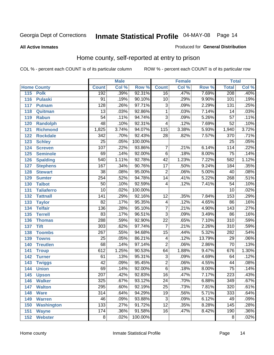**All Active Inmates**

#### Produced for **General Distribution**

### Home county, self-reported at entry to prison

|     |                    |                  | <b>Male</b> |         |                  | <b>Female</b> |        | <b>Total</b>     |                            |
|-----|--------------------|------------------|-------------|---------|------------------|---------------|--------|------------------|----------------------------|
|     | <b>Home County</b> | <b>Count</b>     | Col %       | Row %   | <b>Count</b>     | Col %         | Row %  | <b>Total</b>     | $\overline{\text{Col }^9}$ |
| 115 | <b>Polk</b>        | 192              | .39%        | 92.31%  | $\overline{16}$  | .47%          | 7.69%  | 208              | .40%                       |
| 116 | <b>Pulaski</b>     | $\overline{91}$  | .19%        | 90.10%  | $\overline{10}$  | .29%          | 9.90%  | 101              | .19%                       |
| 117 | <b>Putnam</b>      | $\overline{128}$ | .26%        | 97.71%  | $\overline{3}$   | .09%          | 2.29%  | 131              | .25%                       |
| 118 | Quitman            | $\overline{13}$  | .03%        | 92.86%  | $\overline{1}$   | .03%          | 7.14%  | 14               | .03%                       |
| 119 | <b>Rabun</b>       | $\overline{54}$  | .11%        | 94.74%  | $\overline{3}$   | .09%          | 5.26%  | $\overline{57}$  | .11%                       |
| 120 | <b>Randolph</b>    | 48               | .10%        | 92.31%  | $\overline{4}$   | .12%          | 7.69%  | $\overline{52}$  | .10%                       |
| 121 | <b>Richmond</b>    | 1,825            | 3.74%       | 94.07%  | $\overline{115}$ | 3.38%         | 5.93%  | 1,940            | 3.72%                      |
| 122 | <b>Rockdale</b>    | $\overline{342}$ | .70%        | 92.43%  | 28               | .82%          | 7.57%  | $\overline{370}$ | .71%                       |
| 123 | <b>Schley</b>      | $\overline{25}$  | .05%        | 100.00% |                  |               |        | $\overline{25}$  | .05%                       |
| 124 | <b>Screven</b>     | 107              | .22%        | 93.86%  | $\overline{7}$   | .21%          | 6.14%  | 114              | .22%                       |
| 125 | <b>Seminole</b>    | 69               | .14%        | 92.00%  | $\overline{6}$   | .18%          | 8.00%  | $\overline{75}$  | .14%                       |
| 126 | <b>Spalding</b>    | 540              | 1.11%       | 92.78%  | $\overline{42}$  | 1.23%         | 7.22%  | 582              | 1.12%                      |
| 127 | <b>Stephens</b>    | 167              | .34%        | 90.76%  | $\overline{17}$  | .50%          | 9.24%  | 184              | .35%                       |
| 128 | <b>Stewart</b>     | $\overline{38}$  | .08%        | 95.00%  | $\overline{2}$   | .06%          | 5.00%  | $\overline{40}$  | .08%                       |
| 129 | <b>Sumter</b>      | 254              | .52%        | 94.78%  | $\overline{14}$  | .41%          | 5.22%  | 268              | .51%                       |
| 130 | <b>Talbot</b>      | $\overline{50}$  | .10%        | 92.59%  | 4                | .12%          | 7.41%  | $\overline{54}$  | .10%                       |
| 131 | <b>Taliaferro</b>  | $\overline{10}$  | .02%        | 100.00% |                  |               |        | $\overline{10}$  | .02%                       |
| 132 | <b>Tattnall</b>    | $\overline{141}$ | .29%        | 92.16%  | $\overline{12}$  | .35%          | 7.84%  | 153              | .29%                       |
| 133 | <b>Taylor</b>      | $\overline{82}$  | .17%        | 95.35%  | $\overline{4}$   | .12%          | 4.65%  | 86               | .16%                       |
| 134 | <b>Telfair</b>     | 136              | .28%        | 95.10%  | $\overline{7}$   | .21%          | 4.90%  | $\overline{143}$ | .27%                       |
| 135 | <b>Terrell</b>     | $\overline{83}$  | .17%        | 96.51%  | $\overline{3}$   | .09%          | 3.49%  | 86               | .16%                       |
| 136 | <b>Thomas</b>      | 288              | .59%        | 92.90%  | $\overline{22}$  | .65%          | 7.10%  | $\overline{310}$ | .59%                       |
| 137 | <b>Tift</b>        | $\overline{303}$ | .62%        | 97.74%  | $\overline{7}$   | .21%          | 2.26%  | $\overline{310}$ | .59%                       |
| 138 | <b>Toombs</b>      | $\overline{267}$ | .55%        | 94.68%  | $\overline{15}$  | .44%          | 5.32%  | 282              | .54%                       |
| 139 | <b>Towns</b>       | $\overline{25}$  | .05%        | 86.21%  | 4                | .12%          | 13.79% | $\overline{29}$  | .06%                       |
| 140 | <b>Treutlen</b>    | 68               | .14%        | 97.14%  | $\overline{2}$   | .06%          | 2.86%  | 70               | .13%                       |
| 141 | <b>Troup</b>       | 612              | 1.25%       | 90.53%  | 64               | 1.88%         | 9.47%  | 676              | 1.30%                      |
| 142 | <b>Turner</b>      | 61               | .13%        | 95.31%  | $\overline{3}$   | .09%          | 4.69%  | 64               | .12%                       |
| 143 | <b>Twiggs</b>      | $\overline{42}$  | .09%        | 95.45%  | $\overline{2}$   | .06%          | 4.55%  | 44               | .08%                       |
| 144 | <b>Union</b>       | 69               | .14%        | 92.00%  | $\overline{6}$   | .18%          | 8.00%  | $\overline{75}$  | .14%                       |
| 145 | <b>Upson</b>       | $\overline{207}$ | .42%        | 92.83%  | $\overline{16}$  | .47%          | 7.17%  | 223              | .43%                       |
| 146 | <b>Walker</b>      | 325              | .67%        | 93.12%  | 24               | .70%          | 6.88%  | 349              | .67%                       |
| 147 | <b>Walton</b>      | 295              | .60%        | 92.19%  | $\overline{25}$  | .73%          | 7.81%  | 320              | .61%                       |
| 148 | <b>Ware</b>        | $\overline{314}$ | .64%        | 94.29%  | $\overline{19}$  | .56%          | 5.71%  | 333              | .64%                       |
| 149 | <b>Warren</b>      | 46               | .09%        | 93.88%  | $\overline{3}$   | .09%          | 6.12%  | 49               | .09%                       |
| 150 | <b>Washington</b>  | 133              | .27%        | 91.72%  | $\overline{12}$  | .35%          | 8.28%  | 145              | .28%                       |
| 151 | <b>Wayne</b>       | 174              | .36%        | 91.58%  | $\overline{16}$  | .47%          | 8.42%  | 190              | .36%                       |
|     | 152 Webster        | $\overline{8}$   | .02%        | 100.00% |                  |               |        | $\overline{8}$   | .02%                       |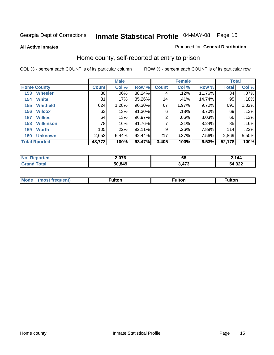**All Active Inmates**

#### Produced for **General Distribution**

### Home county, self-reported at entry to prison

|                      |                  |                 | <b>Male</b> |        |              | <b>Female</b> | <b>Total</b> |              |         |
|----------------------|------------------|-----------------|-------------|--------|--------------|---------------|--------------|--------------|---------|
| <b>Home County</b>   |                  | <b>Count</b>    | Col %       | Row %  | <b>Count</b> | Col %         | Row %        | <b>Total</b> | Col %   |
| 153                  | <b>Wheeler</b>   | 30 <sup>°</sup> | .06%        | 88.24% | 4            | .12%          | 11.76%       | 34           | $.07\%$ |
| 154                  | <b>White</b>     | 81              | $.17\%$     | 85.26% | 14           | .41%          | 14.74%       | 95           | .18%    |
| 155                  | <b>Whitfield</b> | 624             | 1.28%       | 90.30% | 67           | 1.97%         | 9.70%        | 691          | 1.32%   |
| 156                  | <b>Wilcox</b>    | 63              | .13%        | 91.30% | 6            | .18%          | 8.70%        | 69           | .13%    |
| 157                  | <b>Wilkes</b>    | 64              | .13%        | 96.97% | 2            | .06%          | 3.03%        | 66           | .13%    |
| 158                  | <b>Wilkinson</b> | 78              | .16%        | 91.76% | 7            | .21%          | 8.24%        | 85           | .16%    |
| 159                  | <b>Worth</b>     | 105             | .22%        | 92.11% | 9            | .26%          | 7.89%        | 114          | .22%    |
| 160                  | <b>Unknown</b>   | 2,652           | 5.44%       | 92.44% | 217          | 6.37%         | 7.56%        | 2,869        | 5.50%   |
| <b>Total Rported</b> |                  | 48,773          | 100%        | 93.47% | 3,405        | 100%          | 6.53%        | 52,178       | 100%    |

| oorted | <u>በ7ፎ</u> |             | .144         |
|--------|------------|-------------|--------------|
| ' Nr   | $-0.010$   | . PP        |              |
| otal   | 50,849     | 170<br>71 J | :4,322<br>54 |

| <b>Mode</b> | ---<br>.tor | <b>ulton</b> | . |
|-------------|-------------|--------------|---|
|             |             |              |   |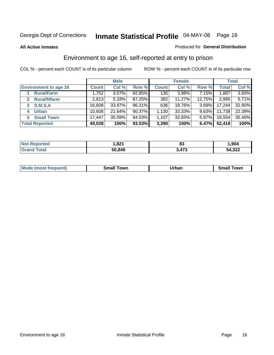#### **All Active Inmates**

#### Produced for **General Distribution**

### Environment to age 16, self-reported at entry to prison

|                              | <b>Male</b>  |        |        | <b>Female</b> |          |          | <b>Total</b> |          |
|------------------------------|--------------|--------|--------|---------------|----------|----------|--------------|----------|
| <b>Environment to age 16</b> | <b>Count</b> | Col %  | Row %  | <b>Count</b>  | Col %    | Row %    | <b>Total</b> | Col %    |
| <b>Rural/Farm</b>            | 1,752        | 3.57%  | 92.85% | 135           | $3.98\%$ | 7.15%    | 1,887        | $3.60\%$ |
| <b>Rural/Nfarm</b>           | 2,613        | 5.33%  | 87.25% | 382           | 11.27%   | 12.75%   | 2,995        | 5.71%    |
| <b>S.M.S.A</b><br>3          | 16,608       | 33.87% | 96.31% | 636           | 18.76%   | $3.69\%$ | 17,244       | 32.90%   |
| <b>Urban</b><br>4            | 10,608       | 21.64% | 90.37% | 1,130         | 33.33%   | $9.63\%$ | 11,738       | 22.39%   |
| <b>Small Town</b><br>5.      | 17,447       | 35.59% | 94.03% | 1,107         | 32.65%   | $5.97\%$ | 18,554       | 35.40%   |
| <b>Total Reported</b>        | 49,028       | 100%   | 93.53% | 3,390         | 100%     | 6.47%    | 52,418       | 100%     |

| Reported<br><b>Not</b> | .821   | n.<br>oc | 1,904  |
|------------------------|--------|----------|--------|
| Total                  | 50,849 | 3,473    | 54,322 |

| Mo<br>. . | . owr | <u>'''' ''</u><br>roa<br>_____ | .0W <sub>r</sub> |
|-----------|-------|--------------------------------|------------------|
|           |       |                                |                  |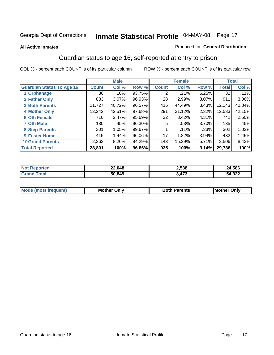#### **All Active Inmates**

#### Produced for **General Distribution**

### Guardian status to age 16, self-reported at entry to prison

|                                  |              | <b>Male</b> |        |              | <b>Female</b> |          |              | <b>Total</b> |
|----------------------------------|--------------|-------------|--------|--------------|---------------|----------|--------------|--------------|
| <b>Guardian Status To Age 16</b> | <b>Count</b> | Col %       | Row %  | <b>Count</b> | Col %         | Row %    | <b>Total</b> | Col %        |
| 1 Orphanage                      | 30 l         | .10%        | 93.75% | ⌒            | .21%          | 6.25%    | 32           | .11%         |
| 2 Father Only                    | 883          | 3.07%       | 96.93% | 28           | 2.99%         | 3.07%    | 911          | 3.06%        |
| <b>3 Both Parents</b>            | 11,727       | 40.72%      | 96.57% | 416          | 44.49%        | 3.43%    | 12,143       | 40.84%       |
| <b>4 Mother Only</b>             | 12,242       | 42.51%      | 97.68% | 291          | 31.12%        | 2.32%    | 12,533       | 42.15%       |
| <b>6 Oth Female</b>              | 710          | 2.47%       | 95.69% | 32           | 3.42%         | 4.31%    | 742          | 2.50%        |
| <b>7 Oth Male</b>                | 130          | .45%        | 96.30% | 5            | .53%          | 3.70%    | 135          | .45%         |
| 8 Step-Parents                   | 301          | 1.05%       | 99.67% |              | $.11\%$       | .33%     | 302          | 1.02%        |
| 9 Foster Home                    | 415          | 1.44%       | 96.06% | 17           | 1.82%         | $3.94\%$ | 432          | 1.45%        |
| <b>10 Grand Parents</b>          | 2,363        | 8.20%       | 94.29% | 143          | 15.29%        | 5.71%    | 2,506        | 8.43%        |
| <b>Total Reported</b>            | 28,801       | 100%        | 96.86% | 935          | 100%          | 3.14%    | 29,736       | 100%         |

| NO<br>meto | 22,048 | 2,538 | 24,586 |
|------------|--------|-------|--------|
| . Gr       | 50.849 | ,473  | 54,322 |

| Mode | Onlv<br>Mot | <b>Roth</b><br>Parents | <b>IMot</b><br>Onlv<br>∵hei |
|------|-------------|------------------------|-----------------------------|
|      |             |                        |                             |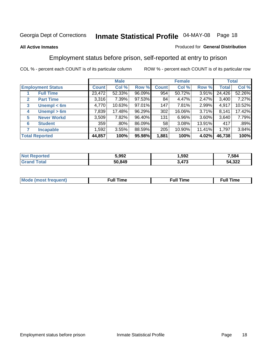#### **All Active Inmates**

#### Produced for **General Distribution**

### Employment status before prison, self-reported at entry to prison

|                          |                    |              | <b>Male</b> |        |              | <b>Female</b> |        |        | <b>Total</b> |
|--------------------------|--------------------|--------------|-------------|--------|--------------|---------------|--------|--------|--------------|
| <b>Employment Status</b> |                    | <b>Count</b> | Col %       | Row %  | <b>Count</b> | Col %         | Row %  | Total  | Col %        |
|                          | <b>Full Time</b>   | 23,472       | 52.33%      | 96.09% | 954          | 50.72%        | 3.91%  | 24,426 | 52.26%       |
| $\mathbf{2}$             | <b>Part Time</b>   | 3,316        | 7.39%       | 97.53% | 84           | 4.47%         | 2.47%  | 3,400  | 7.27%        |
| 3                        | Unempl $<$ 6m      | 4,770        | 10.63%      | 97.01% | 147          | 7.81%         | 2.99%  | 4,917  | 10.52%       |
| 4                        | Unempl > 6m        | 7,839        | 17.48%      | 96.29% | 302          | 16.06%        | 3.71%  | 8,141  | 17.42%       |
| 5                        | <b>Never Workd</b> | 3,509        | 7.82%       | 96.40% | 131          | 6.96%         | 3.60%  | 3,640  | 7.79%        |
| <b>Student</b><br>6      |                    | 359          | .80%        | 86.09% | 58           | $3.08\%$      | 13.91% | 417    | .89%         |
| 7                        | <b>Incapable</b>   | 1,592        | 3.55%       | 88.59% | 205          | 10.90%        | 11.41% | 1,797  | 3.84%        |
| <b>Total Reported</b>    |                    | 44,857       | 100%        | 95.98% | 1,881        | 100%          | 4.02%  | 46,738 | 100%         |

| mer | 5.992  | .592       | 7,584               |
|-----|--------|------------|---------------------|
|     | 50.849 | ィフヘ<br>. . | ົດດດ<br>٠д<br>4,322 |

| <b>M</b> ດ | the contract of the contract of the contract of the contract of the contract of the contract of the contract of | the contract of the contract of the contract of the contract of the contract of the contract of the contract of | ----<br><b>Full Time</b> |
|------------|-----------------------------------------------------------------------------------------------------------------|-----------------------------------------------------------------------------------------------------------------|--------------------------|
|            |                                                                                                                 |                                                                                                                 |                          |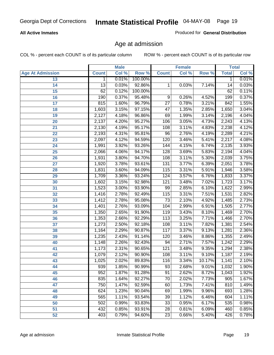#### **All Active Inmates**

Produced for **General Distribution**

### Age at admission

|                         | <b>Male</b>  |       | <b>Female</b> |                 |       | <b>Total</b> |              |       |
|-------------------------|--------------|-------|---------------|-----------------|-------|--------------|--------------|-------|
| <b>Age At Admission</b> | <b>Count</b> | Col % | Row %         | <b>Count</b>    | Col % | Row %        | <b>Total</b> | Col % |
| 13                      | 1            | 0.01% | 100.00%       |                 |       |              | 1            | 0.01% |
| 14                      | 13           | 0.03% | 92.86%        | 1               | 0.03% | 7.14%        | 14           | 0.03% |
| $\overline{15}$         | 62           | 0.12% | 100.00%       |                 |       |              | 62           | 0.11% |
| 16                      | 190          | 0.37% | 95.48%        | 9               | 0.26% | 4.52%        | 199          | 0.37% |
| $\overline{17}$         | 815          | 1.60% | 96.79%        | $\overline{27}$ | 0.78% | 3.21%        | 842          | 1.55% |
| 18                      | 1,603        | 3.15% | 97.15%        | $\overline{47}$ | 1.35% | 2.85%        | 1,650        | 3.04% |
| 19                      | 2,127        | 4.18% | 96.86%        | 69              | 1.99% | 3.14%        | 2,196        | 4.04% |
| 20                      | 2,137        | 4.20% | 95.27%        | 106             | 3.05% | 4.73%        | 2,243        | 4.13% |
| 21                      | 2,130        | 4.19% | 95.17%        | 108             | 3.11% | 4.83%        | 2,238        | 4.12% |
| 22                      | 2,193        | 4.31% | 95.81%        | $\overline{96}$ | 2.76% | 4.19%        | 2,289        | 4.21% |
| 23                      | 2,097        | 4.12% | 94.59%        | 120             | 3.46% | 5.41%        | 2,217        | 4.08% |
| 24                      | 1,991        | 3.92% | 93.26%        | 144             | 4.15% | 6.74%        | 2,135        | 3.93% |
| $\overline{25}$         | 2,066        | 4.06% | 94.17%        | 128             | 3.69% | 5.83%        | 2,194        | 4.04% |
| 26                      | 1,931        | 3.80% | 94.70%        | 108             | 3.11% | 5.30%        | 2,039        | 3.75% |
| 27                      | 1,920        | 3.78% | 93.61%        | 131             | 3.77% | 6.39%        | 2,051        | 3.78% |
| 28                      | 1,831        | 3.60% | 94.09%        | 115             | 3.31% | 5.91%        | 1,946        | 3.58% |
| 29                      | 1,709        | 3.36% | 93.24%        | 124             | 3.57% | 6.76%        | 1,833        | 3.37% |
| 30                      | 1,602        | 3.15% | 92.98%        | 121             | 3.48% | 7.02%        | 1,723        | 3.17% |
| 31                      | 1,523        | 3.00% | 93.90%        | 99              | 2.85% | 6.10%        | 1,622        | 2.99% |
| 32                      | 1,416        | 2.78% | 92.49%        | 115             | 3.31% | 7.51%        | 1,531        | 2.82% |
| 33                      | 1,412        | 2.78% | 95.08%        | $\overline{73}$ | 2.10% | 4.92%        | 1,485        | 2.73% |
| 34                      | 1,401        | 2.76% | 93.09%        | 104             | 2.99% | 6.91%        | 1,505        | 2.77% |
| 35                      | 1,350        | 2.65% | 91.90%        | 119             | 3.43% | 8.10%        | 1,469        | 2.70% |
| 36                      | 1,353        | 2.66% | 92.29%        | 113             | 3.25% | 7.71%        | 1,466        | 2.70% |
| 37                      | 1,273        | 2.50% | 92.18%        | 108             | 3.11% | 7.82%        | 1,381        | 2.54% |
| 38                      | 1,164        | 2.29% | 90.87%        | 117             | 3.37% | 9.13%        | 1,281        | 2.36% |
| 39                      | 1,235        | 2.43% | 91.14%        | 120             | 3.46% | 8.86%        | 1,355        | 2.49% |
| 40                      | 1,148        | 2.26% | 92.43%        | 94              | 2.71% | 7.57%        | 1,242        | 2.29% |
| 41                      | 1,173        | 2.31% | 90.65%        | 121             | 3.48% | 9.35%        | 1,294        | 2.38% |
| 42                      | 1,079        | 2.12% | 90.90%        | 108             | 3.11% | 9.10%        | 1,187        | 2.19% |
| 43                      | 1,025        | 2.02% | 89.83%        | 116             | 3.34% | 10.17%       | 1,141        | 2.10% |
| 44                      | 939          | 1.85% | 90.99%        | 93              | 2.68% | 9.01%        | 1,032        | 1.90% |
| 45                      | 952          | 1.87% | 91.28%        | 91              | 2.62% | 8.72%        | 1,043        | 1.92% |
| 46                      | 835          | 1.64% | 92.27%        | 70              | 2.02% | 7.73%        | 905          | 1.67% |
| 47                      | 750          | 1.47% | 92.59%        | 60              | 1.73% | 7.41%        | 810          | 1.49% |
| 48                      | 624          | 1.23% | 90.04%        | 69              | 1.99% | 9.96%        | 693          | 1.28% |
| 49                      | 565          | 1.11% | 93.54%        | 39              | 1.12% | 6.46%        | 604          | 1.11% |
| 50                      | 502          | 0.99% | 93.83%        | 33              | 0.95% | 6.17%        | 535          | 0.98% |
| 51                      | 432          | 0.85% | 93.91%        | $\overline{28}$ | 0.81% | 6.09%        | 460          | 0.85% |
| 52                      | 403          | 0.79% | 94.60%        | 23              | 0.66% | 5.40%        | 426          | 0.78% |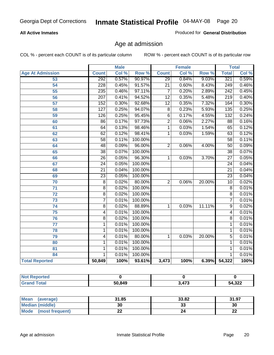#### **All Active Inmates**

Produced for **General Distribution**

### Age at admission

|                         | <b>Male</b>      |       | <b>Female</b> |                 |       | <b>Total</b> |                  |       |
|-------------------------|------------------|-------|---------------|-----------------|-------|--------------|------------------|-------|
| <b>Age At Admission</b> | <b>Count</b>     | Col % | Row %         | <b>Count</b>    | Col % | Row %        | <b>Total</b>     | Col % |
| 53                      | 292              | 0.57% | 90.97%        | $\overline{29}$ | 0.84% | 9.03%        | 321              | 0.59% |
| 54                      | 228              | 0.45% | 91.57%        | $\overline{21}$ | 0.60% | 8.43%        | 249              | 0.46% |
| $\overline{55}$         | 235              | 0.46% | 97.11%        | 7               | 0.20% | 2.89%        | $\overline{242}$ | 0.45% |
| $\overline{56}$         | $\overline{207}$ | 0.41% | 94.52%        | $\overline{12}$ | 0.35% | 5.48%        | $\overline{219}$ | 0.40% |
| $\overline{57}$         | 152              | 0.30% | 92.68%        | $\overline{12}$ | 0.35% | 7.32%        | 164              | 0.30% |
| 58                      | $\overline{127}$ | 0.25% | 94.07%        | $\overline{8}$  | 0.23% | 5.93%        | $\overline{135}$ | 0.25% |
| 59                      | 126              | 0.25% | 95.45%        | 6               | 0.17% | 4.55%        | 132              | 0.24% |
| 60                      | $\overline{86}$  | 0.17% | 97.73%        | $\overline{2}$  | 0.06% | 2.27%        | $\overline{88}$  | 0.16% |
| 61                      | 64               | 0.13% | 98.46%        | 1               | 0.03% | 1.54%        | 65               | 0.12% |
| 62                      | 62               | 0.12% | 98.41%        | 1               | 0.03% | 1.59%        | 63               | 0.12% |
| 63                      | 58               | 0.11% | 100.00%       |                 |       |              | 58               | 0.11% |
| 64                      | 48               | 0.09% | 96.00%        | $\overline{2}$  | 0.06% | 4.00%        | $\overline{50}$  | 0.09% |
| 65                      | $\overline{38}$  | 0.07% | 100.00%       |                 |       |              | $\overline{38}$  | 0.07% |
| 66                      | $\overline{26}$  | 0.05% | 96.30%        | 1               | 0.03% | 3.70%        | $\overline{27}$  | 0.05% |
| 67                      | 24               | 0.05% | 100.00%       |                 |       |              | $\overline{24}$  | 0.04% |
| 68                      | $\overline{21}$  | 0.04% | 100.00%       |                 |       |              | $\overline{21}$  | 0.04% |
| 69                      | $\overline{23}$  | 0.05% | 100.00%       |                 |       |              | $\overline{23}$  | 0.04% |
| 70                      | $\overline{8}$   | 0.02% | 80.00%        | $\overline{2}$  | 0.06% | 20.00%       | $\overline{10}$  | 0.02% |
| 71                      | $\overline{8}$   | 0.02% | 100.00%       |                 |       |              | $\overline{8}$   | 0.01% |
| $\overline{72}$         | $\overline{8}$   | 0.02% | 100.00%       |                 |       |              | $\overline{8}$   | 0.01% |
| $\overline{73}$         | $\overline{7}$   | 0.01% | 100.00%       |                 |       |              | 7                | 0.01% |
| $\overline{74}$         | $\overline{8}$   | 0.02% | 88.89%        | 1               | 0.03% | 11.11%       | $\overline{9}$   | 0.02% |
| $\overline{75}$         | 4                | 0.01% | 100.00%       |                 |       |              | 4                | 0.01% |
| 76                      | $\overline{8}$   | 0.02% | 100.00%       |                 |       |              | $\overline{8}$   | 0.01% |
| 77                      | $\mathbf{1}$     | 0.01% | 100.00%       |                 |       |              | 1                | 0.01% |
| 78                      | 1                | 0.01% | 100.00%       |                 |       |              | 1                | 0.01% |
| 79                      | 4                | 0.01% | 80.00%        | $\mathbf{1}$    | 0.03% | 20.00%       | 5                | 0.01% |
| 80                      | $\mathbf{1}$     | 0.01% | 100.00%       |                 |       |              | 1                | 0.01% |
| $\overline{81}$         | $\mathbf{1}$     | 0.01% | 100.00%       |                 |       |              | 1                | 0.01% |
| 84                      | 1                | 0.01% | 100.00%       |                 |       |              | 1                | 0.01% |
| <b>Total Reported</b>   | 50,849           | 100%  | 93.61%        | 3,473           | 100%  | 6.39%        | 54,322           | 100%  |

| <b>Not Reported</b> |        |       |        |
|---------------------|--------|-------|--------|
| <b>Grand Total</b>  | 50,849 | 3,473 | 54,322 |

| <b>Mean</b><br>(average)       | 31.85 | 33.82   | 31.97    |
|--------------------------------|-------|---------|----------|
| <b>Median (middle)</b>         | 30    | ົ<br>აა | 30       |
| <b>Mode</b><br>(most frequent) | ∸∸    |         | n.<br>LL |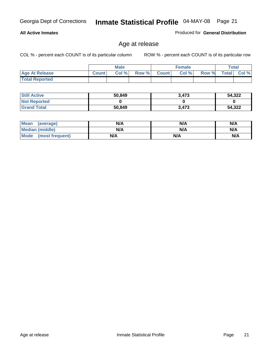#### **All Active Inmates**

Produced for **General Distribution**

### Age at release

|                       | <b>Male</b>  |      |       | <b>Female</b> |       |       | <b>Total</b> |          |
|-----------------------|--------------|------|-------|---------------|-------|-------|--------------|----------|
| <b>Age At Release</b> | <b>Count</b> | Col% | Row % | <b>Count</b>  | Col % | Row % | <b>Total</b> | $CoI \%$ |
| <b>Total Reported</b> |              |      |       |               |       |       |              |          |

| <b>Still Active</b> | 50,849 | 3,473 | 54,322 |
|---------------------|--------|-------|--------|
| <b>Not Reported</b> |        |       |        |
| <b>Grand Total</b>  | 50,849 | 3.473 | 54,322 |

| Mean (average)       | N/A | N/A | N/A |
|----------------------|-----|-----|-----|
| Median (middle)      | N/A | N/A | N/A |
| Mode (most frequent) | N/A | N/A | N/A |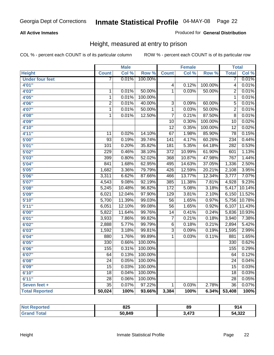#### **All Active Inmates**

#### Produced for **General Distribution**

### Height, measured at entry to prison

|                        |                  | <b>Male</b> |         |                  | <b>Female</b> |         | <b>Total</b>     |        |
|------------------------|------------------|-------------|---------|------------------|---------------|---------|------------------|--------|
| <b>Height</b>          | <b>Count</b>     | Col %       | Row %   | <b>Count</b>     | Col %         | Row %   | <b>Total</b>     | Col %  |
| <b>Under four feet</b> | 7                | 0.01%       | 100.00% |                  |               |         | 7                | 0.01%  |
| 4'01''                 |                  |             |         | $\overline{4}$   | 0.12%         | 100.00% | $\overline{4}$   | 0.01%  |
| 4'03"                  | $\mathbf 1$      | 0.01%       | 50.00%  | $\overline{1}$   | 0.03%         | 50.00%  | $\overline{2}$   | 0.01%  |
| 4'05''                 | $\overline{1}$   | 0.01%       | 100.00% |                  |               |         | $\overline{1}$   | 0.01%  |
| 4'06"                  | $\overline{2}$   | 0.01%       | 40.00%  | $\overline{3}$   | 0.09%         | 60.00%  | $\overline{5}$   | 0.01%  |
| 4'07"                  | $\overline{1}$   | 0.01%       | 50.00%  | $\overline{1}$   | 0.03%         | 50.00%  | $\overline{2}$   | 0.01%  |
| 4'08"                  | $\overline{1}$   | 0.01%       | 12.50%  | $\overline{7}$   | 0.21%         | 87.50%  | $\overline{8}$   | 0.01%  |
| 4'09"                  |                  |             |         | $\overline{10}$  | 0.30%         | 100.00% | $\overline{10}$  | 0.02%  |
| 4'10''                 |                  |             |         | $\overline{12}$  | 0.35%         | 100.00% | $\overline{12}$  | 0.02%  |
| 4'11''                 | 11               | 0.02%       | 14.10%  | $\overline{67}$  | 1.98%         | 85.90%  | $\overline{78}$  | 0.15%  |
| 5'00''                 | $\overline{93}$  | 0.19%       | 39.74%  | $\overline{141}$ | 4.17%         | 60.26%  | 234              | 0.44%  |
| 5'01''                 | 101              | 0.20%       | 35.82%  | 181              | 5.35%         | 64.18%  | 282              | 0.53%  |
| 5'02''                 | $\overline{229}$ | 0.46%       | 38.10%  | $\overline{372}$ | 10.99%        | 61.90%  | 601              | 1.13%  |
| 5'03''                 | 399              | 0.80%       | 52.02%  | 368              | 10.87%        | 47.98%  | 767              | 1.44%  |
| 5'04"                  | 841              | 1.68%       | 62.95%  | 495              | 14.63%        | 37.05%  | 1,336            | 2.50%  |
| 5'05''                 | 1,682            | 3.36%       | 79.79%  | 426              | 12.59%        | 20.21%  | 2,108            | 3.95%  |
| 5'06''                 | 3,311            | 6.62%       | 87.66%  | 466              | 13.77%        | 12.34%  | 3,777            | 7.07%  |
| 5'07''                 | 4,543            | 9.08%       | 92.19%  | 385              | 11.38%        | 7.81%   | 4,928            | 9.23%  |
| 5'08''                 | 5,245            | 10.48%      | 96.82%  | 172              | 5.08%         | 3.18%   | 5,417            | 10.14% |
| 5'09''                 | 6,021            | 12.04%      | 97.90%  | $\overline{129}$ | 3.81%         | 2.10%   | 6,150            | 11.52% |
| 5'10''                 | 5,700            | 11.39%      | 99.03%  | $\overline{56}$  | 1.65%         | 0.97%   | 5,756            | 10.78% |
| 5'11''                 | 6,051            | 12.10%      | 99.08%  | $\overline{56}$  | 1.65%         | 0.92%   | 6,107            | 11.43% |
| 6'00''                 | 5,822            | 11.64%      | 99.76%  | $\overline{14}$  | 0.41%         | 0.24%   | 5,836            | 10.93% |
| 6'01''                 | 3,933            | 7.86%       | 99.82%  | $\overline{7}$   | 0.21%         | 0.18%   | 3,940            | 7.38%  |
| 6'02''                 | 2,888            | 5.77%       | 99.79%  | $\overline{6}$   | 0.18%         | 0.21%   | 2,894            | 5.42%  |
| 6'03''                 | 1,592            | 3.18%       | 99.81%  | $\overline{3}$   | 0.09%         | 0.19%   | 1,595            | 2.99%  |
| 6'04''                 | 880              | 1.76%       | 99.89%  | $\overline{1}$   | 0.03%         | 0.11%   | 881              | 1.65%  |
| 6'05''                 | $\overline{330}$ | 0.66%       | 100.00% |                  |               |         | $\overline{330}$ | 0.62%  |
| 6'06''                 | 155              | 0.31%       | 100.00% |                  |               |         | 155              | 0.29%  |
| 6'07''                 | 64               | 0.13%       | 100.00% |                  |               |         | 64               | 0.12%  |
| 6'08''                 | $\overline{24}$  | 0.05%       | 100.00% |                  |               |         | $\overline{24}$  | 0.04%  |
| 6'09''                 | $\overline{15}$  | 0.03%       | 100.00% |                  |               |         | $\overline{15}$  | 0.03%  |
| 6'10''                 | $\overline{18}$  | 0.04%       | 100.00% |                  |               |         | $\overline{18}$  | 0.03%  |
| 6'11''                 | $\overline{28}$  | 0.06%       | 100.00% |                  |               |         | $\overline{28}$  | 0.05%  |
| Seven feet +           | $\overline{35}$  | 0.07%       | 97.22%  | 1                | 0.03%         | 2.78%   | $\overline{36}$  | 0.07%  |
| <b>Total Reported</b>  | 50,024           | 100%        | 93.66%  | 3,384            | 100%          | 6.34%   | 53,408           | 100%   |

| <b>Reported</b> | 825    | 89          | 914    |
|-----------------|--------|-------------|--------|
| <b>Total</b>    | 50,849 | A77<br>71 J | 54,322 |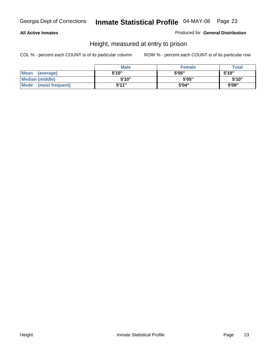#### **All Active Inmates**

Produced for **General Distribution**

### Height, measured at entry to prison

|                        | <b>Male</b> | <b>Female</b> | <b>Total</b> |
|------------------------|-------------|---------------|--------------|
| Mean (average)         | 5'10"       | 5'05"         | 5'10''       |
| <b>Median (middle)</b> | 5'10''      | 5'05"         | 5'10''       |
| Mode (most frequent)   | 5'11"       | 5'04"         | 5'09"        |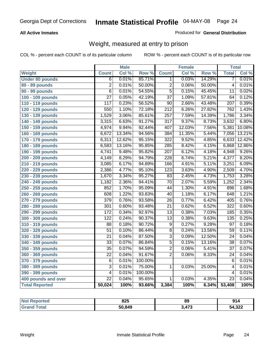#### **All Active Inmates**

#### Produced for **General Distribution**

### Weight, measured at entry to prison

|                        |                  | <b>Male</b> |         |                  | <b>Female</b> |                  | <b>Total</b>     |        |
|------------------------|------------------|-------------|---------|------------------|---------------|------------------|------------------|--------|
| Weight                 | <b>Count</b>     | Col %       | Row %   | <b>Count</b>     | Col %         | Row <sup>%</sup> | <b>Total</b>     | Col %  |
| <b>Under 80 pounds</b> | $\overline{6}$   | 0.01%       | 85.71%  | 1.               | 0.03%         | 14.29%           | 7                | 0.01%  |
| 80 - 89 pounds         | $\overline{2}$   | 0.01%       | 50.00%  | $\overline{2}$   | 0.06%         | 50.00%           | $\overline{4}$   | 0.01%  |
| 90 - 99 pounds         | $\overline{6}$   | 0.01%       | 54.55%  | $\overline{5}$   | 0.15%         | 45.45%           | $\overline{11}$  | 0.02%  |
| 100 - 109 pounds       | $\overline{27}$  | 0.05%       | 42.19%  | $\overline{37}$  | 1.09%         | 57.81%           | 64               | 0.12%  |
| 110 - 119 pounds       | 117              | 0.23%       | 56.52%  | $\overline{90}$  | 2.66%         | 43.48%           | 207              | 0.39%  |
| 120 - 129 pounds       | 550              | 1.10%       | 72.18%  | $\overline{212}$ | 6.26%         | 27.82%           | 762              | 1.43%  |
| 130 - 139 pounds       | 1,529            | 3.06%       | 85.61%  | 257              | 7.59%         | 14.39%           | 1,786            | 3.34%  |
| 140 - 149 pounds       | 3,315            | 6.63%       | 91.27%  | $\overline{317}$ | 9.37%         | 8.73%            | 3,632            | 6.80%  |
| 150 - 159 pounds       | 4,974            | 9.94%       | 92.44%  | 407              | 12.03%        | 7.56%            | 5,381            | 10.08% |
| 160 - 169 pounds       | 6,672            | 13.34%      | 94.56%  | 384              | 11.35%        | 5.44%            | 7,056            | 13.21% |
| 170 - 179 pounds       | 6,311            | 12.62%      | 95.15%  | 322              | 9.52%         | 4.85%            | 6,633            | 12.42% |
| 180 - 189 pounds       | 6,583            | 13.16%      | 95.85%  | $\overline{285}$ | 8.42%         | 4.15%            | 6,868            | 12.86% |
| 190 - 199 pounds       | 4,741            | 9.48%       | 95.82%  | $\overline{207}$ | 6.12%         | 4.18%            | 4,948            | 9.26%  |
| 200 - 209 pounds       | 4,149            | 8.29%       | 94.79%  | $\overline{228}$ | 6.74%         | 5.21%            | 4,377            | 8.20%  |
| 210 - 219 pounds       | 3,085            | 6.17%       | 94.89%  | 166              | 4.91%         | 5.11%            | 3,251            | 6.09%  |
| 220 - 229 pounds       | 2,386            | 4.77%       | 95.10%  | $\overline{123}$ | 3.63%         | 4.90%            | 2,509            | 4.70%  |
| 230 - 239 pounds       | 1,670            | 3.34%       | 95.27%  | $\overline{83}$  | 2.45%         | 4.73%            | 1,753            | 3.28%  |
| 240 - 249 pounds       | 1,182            | 2.36%       | 94.41%  | $\overline{70}$  | 2.07%         | 5.59%            | 1,252            | 2.34%  |
| 250 - 259 pounds       | 852              | 1.70%       | 95.09%  | 44               | 1.30%         | 4.91%            | 896              | 1.68%  |
| 260 - 269 pounds       | 608              | 1.22%       | 93.83%  | $\overline{40}$  | 1.18%         | 6.17%            | 648              | 1.21%  |
| 270 - 279 pounds       | $\overline{379}$ | 0.76%       | 93.58%  | $\overline{26}$  | 0.77%         | 6.42%            | 405              | 0.76%  |
| 280 - 289 pounds       | 301              | 0.60%       | 93.48%  | $\overline{21}$  | 0.62%         | 6.52%            | $\overline{322}$ | 0.60%  |
| 290 - 299 pounds       | $\overline{172}$ | 0.34%       | 92.97%  | $\overline{13}$  | 0.38%         | 7.03%            | 185              | 0.35%  |
| 300 - 309 pounds       | $\overline{122}$ | 0.24%       | 90.37%  | $\overline{13}$  | 0.38%         | 9.63%            | 135              | 0.25%  |
| 310 - 319 pounds       | 88               | 0.18%       | 90.72%  | $\overline{9}$   | 0.27%         | 9.28%            | $\overline{97}$  | 0.18%  |
| 320 - 329 pounds       | $\overline{51}$  | 0.10%       | 86.44%  | $\overline{8}$   | 0.24%         | 13.56%           | 59               | 0.11%  |
| 330 - 339 pounds       | $\overline{21}$  | 0.04%       | 87.50%  | $\overline{3}$   | 0.09%         | 12.50%           | $\overline{24}$  | 0.04%  |
| 340 - 349 pounds       | $\overline{33}$  | 0.07%       | 86.84%  | $\overline{5}$   | 0.15%         | 13.16%           | $\overline{38}$  | 0.07%  |
| 350 - 359 pounds       | $\overline{35}$  | 0.07%       | 94.59%  | $\overline{2}$   | 0.06%         | 5.41%            | $\overline{37}$  | 0.07%  |
| 360 - 369 pounds       | $\overline{22}$  | 0.04%       | 91.67%  | $\overline{2}$   | 0.06%         | 8.33%            | 24               | 0.04%  |
| 370 - 379 pounds       | 6                | 0.01%       | 100.00% |                  |               |                  | 6                | 0.01%  |
| 380 - 389 pounds       | $\overline{3}$   | 0.01%       | 75.00%  | 1                | 0.03%         | 25.00%           | $\overline{4}$   | 0.01%  |
| 390 - 399 pounds       | $\overline{4}$   | 0.01%       | 100.00% |                  |               |                  | 4                | 0.01%  |
| 400 pounds and over    | $\overline{22}$  | 0.04%       | 95.65%  | 1                | 0.03%         | 4.35%            | $\overline{23}$  | 0.04%  |
| <b>Total Reported</b>  | 50,024           | 100%        | 93.66%  | 3,384            | 100%          | 6.34%            | 53,408           | 100%   |

| Reported<br><b>NOT</b> | 825    | 89  | 914    |
|------------------------|--------|-----|--------|
| <b>ota</b>             | 50.849 | A72 | 54,322 |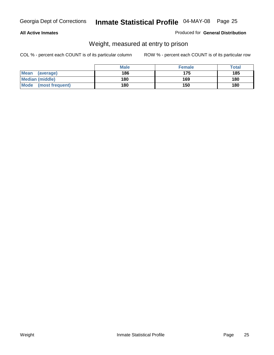#### **All Active Inmates**

#### Produced for **General Distribution**

### Weight, measured at entry to prison

|                                | <b>Male</b> | <b>Female</b> | Total |
|--------------------------------|-------------|---------------|-------|
| <b>Mean</b><br>(average)       | 186         | 175           | 185   |
| <b>Median (middle)</b>         | 180         | 169           | 180   |
| <b>Mode</b><br>(most frequent) | 180         | 150           | 180   |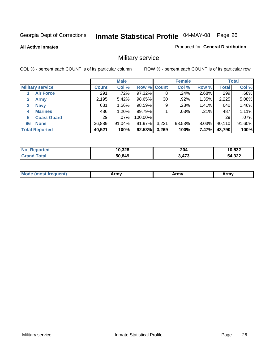#### **All Active Inmates**

#### Produced for **General Distribution**

### Military service

|                         |              | <b>Male</b> |             |       | <b>Female</b> |          |              | <b>Total</b> |
|-------------------------|--------------|-------------|-------------|-------|---------------|----------|--------------|--------------|
| <b>Military service</b> | <b>Count</b> | Col %       | Row % Count |       | Col %         | Row %    | <b>Total</b> | Col %        |
| <b>Air Force</b>        | 291          | .72%        | 97.32%      | 8     | .24%          | 2.68%    | 299          | .68%         |
| <b>Army</b>             | 2,195        | 5.42%       | 98.65%      | 30    | .92%          | 1.35%    | 2,225        | 5.08%        |
| <b>Navy</b><br>3        | 631          | 1.56%       | 98.59%      | 9     | .28%          | 1.41%    | 640          | 1.46%        |
| <b>Marines</b><br>4     | 486          | 1.20%       | 99.79%      |       | $.03\%$       | .21%     | 487          | 1.11%        |
| <b>Coast Guard</b><br>5 | 29           | $.07\%$     | 100.00%     |       |               |          | 29           | .07%         |
| <b>None</b><br>96       | 36,889       | 91.04%      | 91.97%      | 3,221 | 98.53%        | $8.03\%$ | 40,110       | 91.60%       |
| <b>Total Reported</b>   | 40,521       | 100%        | 92.53%      | 3,269 | 100%          | 7.47%    | 43,790       | 100%         |

| orted<br><b>NOT</b>          | 10,328 | 204                 | 10,532 |
|------------------------------|--------|---------------------|--------|
| <b>Total</b><br><b>Grand</b> | 50,849 | <b>A72</b><br>`47 J | 54,322 |

| <b>Mou</b><br><b>Army</b><br>ATIIV<br>41U -<br>$\sim$ 1111 $\sigma$ |  |
|---------------------------------------------------------------------|--|
|---------------------------------------------------------------------|--|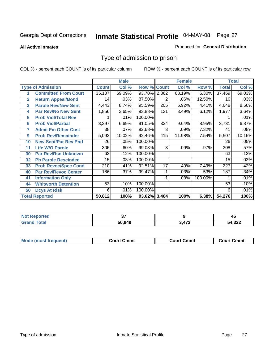#### **All Active Inmates**

#### Produced for **General Distribution**

### Type of admission to prison

|                |                             |              | <b>Male</b> |                    |     | <b>Female</b> |         |              | <b>Total</b> |
|----------------|-----------------------------|--------------|-------------|--------------------|-----|---------------|---------|--------------|--------------|
|                | <b>Type of Admission</b>    | <b>Count</b> | Col %       | <b>Row % Count</b> |     | Col %         | Row %   | <b>Total</b> | Col %        |
|                | <b>Committed From Court</b> | 35,107       | 69.09%      | 93.70% 2,362       |     | 68.19%        | 6.30%   | 37,469       | 69.03%       |
| $\overline{2}$ | <b>Return Appeal/Bond</b>   | 14           | .03%        | 87.50%             | 2   | .06%          | 12.50%  | 16           | .03%         |
| 3              | <b>Parole Rev/New Sent</b>  | 4,443        | 8.74%       | 95.59%             | 205 | 5.92%         | 4.41%   | 4,648        | 8.56%        |
| 4              | <b>Par Rev/No New Sent</b>  | 1,856        | 3.65%       | 93.88%             | 121 | 3.49%         | 6.12%   | 1,977        | 3.64%        |
| 5              | <b>Prob Viol/Total Rev</b>  |              | .01%        | 100.00%            |     |               |         |              | .01%         |
| 6              | <b>Prob Viol/Partial</b>    | 3,397        | 6.69%       | 91.05%             | 334 | 9.64%         | 8.95%   | 3,731        | 6.87%        |
| 7              | <b>Admit Fm Other Cust</b>  | 38           | .07%        | 92.68%             | 3   | .09%          | 7.32%   | 41           | .08%         |
| 9              | <b>Prob Rev/Remainder</b>   | 5,092        | 10.02%      | 92.46%             | 415 | 11.98%        | 7.54%   | 5,507        | 10.15%       |
| 10             | <b>New Sent/Par Rev Pnd</b> | 26           | .05%        | 100.00%            |     |               |         | 26           | .05%         |
| 11             | <b>Life W/O Parole</b>      | 305          | .60%        | 99.03%             | 3   | .09%          | .97%    | 308          | .57%         |
| 30             | <b>Par Rev/Rsn Unknown</b>  | 63           | .12%        | 100.00%            |     |               |         | 63           | .12%         |
| 32             | <b>Pb Parole Rescinded</b>  | 15           | .03%        | 100.00%            |     |               |         | 15           | .03%         |
| 33             | <b>Prob Revoc/Spec Cond</b> | 210          | .41%        | 92.51%             | 17  | .49%          | 7.49%   | 227          | .42%         |
| 40             | <b>Par Rev/Revoc Center</b> | 186          | .37%        | 99.47%             |     | .03%          | .53%    | 187          | .34%         |
| 41             | <b>Information Only</b>     |              |             |                    |     | .03%          | 100.00% |              | .01%         |
| 44             | <b>Whitworth Detention</b>  | 53           | .10%        | 100.00%            |     |               |         | 53           | .10%         |
| 50             | <b>Dcys At Risk</b>         | 6            | .01%        | 100.00%            |     |               |         | 6            | .01%         |
|                | <b>Total Reported</b>       | 50,812       | 100%        | 93.62% 3,464       |     | 100%          | 6.38%   | 54,276       | 100%         |

| <b>Not Reported</b> | $\sim$ |             | 46     |
|---------------------|--------|-------------|--------|
| ™otal               | 50,849 | .477<br>ט ז | 54,322 |

| <b>Mode (most frequent)</b><br><b>Court Cmmt</b><br>Court Cmmt | <b>Court Cmmt</b> |
|----------------------------------------------------------------|-------------------|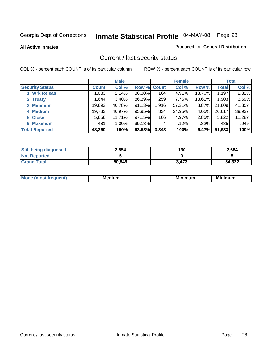**All Active Inmates**

#### Produced for **General Distribution**

### Current / last security status

|                        |              | <b>Male</b> |             |       | <b>Female</b> |          |              | <b>Total</b> |
|------------------------|--------------|-------------|-------------|-------|---------------|----------|--------------|--------------|
| <b>Security Status</b> | <b>Count</b> | Col %       | Row % Count |       | Col %         | Row %    | <b>Total</b> | Col %        |
| 1 Wrk Releas           | 033          | 2.14%       | 86.30%      | 164   | 4.91%         | 13.70%   | 1,197        | 2.32%        |
| 2 Trusty               | .644         | 3.40%       | 86.39%      | 259   | 7.75%         | 13.61%   | 1,903        | 3.69%        |
| 3 Minimum              | 19,693       | 40.78%      | 91.13%      | 1,916 | 57.31%        | $8.87\%$ | 21,609       | 41.85%       |
| 4 Medium               | 19,783       | 40.97%      | 95.95%      | 834   | 24.95%        | 4.05%    | 20,617       | 39.93%       |
| 5 Close                | 5,656        | 11.71%      | 97.15%      | 166   | 4.97%         | 2.85%    | 5,822        | 11.28%       |
| 6 Maximum              | 481          | 1.00%       | 99.18%      | 4     | .12%          | .82%     | 485          | .94%         |
| <b>Total Reported</b>  | 48,290       | 100%        | 93.53%      | 3,343 | 100%          | 6.47%    | 51,633       | 100%         |

| <b>Still being diagnosed</b> | 2,554  | 130   | 2,684  |
|------------------------------|--------|-------|--------|
| <b>Not Reported</b>          |        |       |        |
| <b>Grand Total</b>           | 50,849 | 3,473 | 54,322 |

| M | <br><br> | ALL HAY |
|---|----------|---------|
|   |          |         |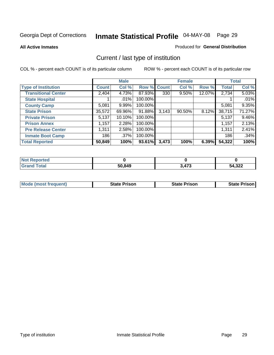**All Active Inmates**

#### Produced for **General Distribution**

### Current / last type of institution

|                            |              | <b>Male</b> |         |             | <b>Female</b> |        |              | <b>Total</b> |
|----------------------------|--------------|-------------|---------|-------------|---------------|--------|--------------|--------------|
| <b>Type of Institution</b> | <b>Count</b> | Col %       |         | Row % Count | Col %         | Row %  | <b>Total</b> | Col %        |
| <b>Transitional Center</b> | 2,404        | 4.73%       | 87.93%  | 330         | $9.50\%$      | 12.07% | 2,734        | 5.03%        |
| <b>State Hospital</b>      |              | $.01\%$     | 100.00% |             |               |        |              | .01%         |
| <b>County Camp</b>         | 5,081        | 9.99%       | 100.00% |             |               |        | 5,081        | 9.35%        |
| <b>State Prison</b>        | 35,572       | 69.96%      | 91.88%  | 3,143       | $90.50\%$     | 8.12%  | 38,715       | 71.27%       |
| <b>Private Prison</b>      | 5,137        | $10.10\%$   | 100.00% |             |               |        | 5,137        | 9.46%        |
| <b>Prison Annex</b>        | 1,157        | 2.28%       | 100.00% |             |               |        | 1,157        | 2.13%        |
| <b>Pre Release Center</b>  | 1,311        | 2.58%       | 100.00% |             |               |        | 1,311        | 2.41%        |
| <b>Inmate Boot Camp</b>    | 186          | $.37\%$     | 100.00% |             |               |        | 186          | .34%         |
| <b>Total Reported</b>      | 50,849       | 100%        | 93.61%  | 3,473       | 100%          | 6.39%  | 54,322       | 100%         |

| <b>Not</b><br>Reported |        |       |        |
|------------------------|--------|-------|--------|
| <b>Grand Total</b>     | 50,849 | 3,473 | 54,322 |

| <b>Mode (most frequent)</b> | <b>State Prison</b> | <b>State Prison</b> | <b>State Prison I</b> |
|-----------------------------|---------------------|---------------------|-----------------------|
|                             |                     |                     |                       |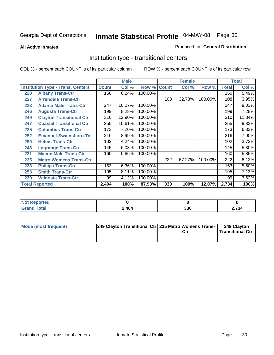**All Active Inmates**

#### Produced for **General Distribution**

### Institution type - transitional centers

|     |                                          |              | <b>Male</b> |         |              | <b>Female</b> |         |              | <b>Total</b> |
|-----|------------------------------------------|--------------|-------------|---------|--------------|---------------|---------|--------------|--------------|
|     | <b>Institution Type - Trans. Centers</b> | <b>Count</b> | Col %       | Row %   | <b>Count</b> | Col %         | Row %   | <b>Total</b> | Col %        |
| 220 | <b>Albany Trans-Ctr</b>                  | 150          | 6.24%       | 100.00% |              |               |         | 150          | 5.49%        |
| 227 | <b>Arrendale Trans-Ctr</b>               |              |             |         | 108          | 32.73%        | 100.00% | 108          | 3.95%        |
| 223 | <b>Atlanta Male Trans-Ctr</b>            | 247          | 10.27%      | 100.00% |              |               |         | 247          | 9.03%        |
| 246 | <b>Augusta Trans-Ctr</b>                 | 199          | 8.28%       | 100.00% |              |               |         | 199          | 7.28%        |
| 249 | <b>Clayton Transitional Ctr</b>          | 310          | 12.90%      | 100.00% |              |               |         | 310          | 11.34%       |
| 247 | <b>Coastal Transitional Ctr</b>          | 255          | 10.61%      | 100.00% |              |               |         | 255          | 9.33%        |
| 225 | <b>Columbus Trans-Ctr</b>                | 173          | 7.20%       | 100.00% |              |               |         | 173          | 6.33%        |
| 252 | <b>Emanuel-Swainsboro Tc</b>             | 216          | 8.99%       | 100.00% |              |               |         | 216          | 7.90%        |
| 250 | <b>Helms Trans-Ctr</b>                   | 102          | 4.24%       | 100.00% |              |               |         | 102          | 3.73%        |
| 248 | <b>Lagrange Trans Ctr</b>                | 145          | 6.03%       | 100.00% |              |               |         | 145          | 5.30%        |
| 231 | <b>Macon Male Trans-Ctr</b>              | 160          | 6.66%       | 100.00% |              |               |         | 160          | 5.85%        |
| 235 | <b>Metro Womens Trans-Ctr</b>            |              |             |         | 222          | 67.27%        | 100.00% | 222          | 8.12%        |
| 233 | <b>Phillips Trans-Ctr</b>                | 153          | 6.36%       | 100.00% |              |               |         | 153          | 5.60%        |
| 253 | <b>Smith Trans-Ctr</b>                   | 195          | 8.11%       | 100.00% |              |               |         | 195          | 7.13%        |
| 230 | <b>Valdosta Trans-Ctr</b>                | 99           | 4.12%       | 100.00% |              |               |         | 99           | 3.62%        |
|     | <b>Total Reported</b>                    | 2,404        | 100%        | 87.93%  | 330          | 100%          | 12.07%  | 2,734        | 100%         |

| <b>Reported</b> |       |            |                  |
|-----------------|-------|------------|------------------|
| 'ota.           | 2,404 | つつの<br>აას | $\sim$ 70 $\sim$ |

| Mode (most frequent) | 249 Clayton Transitional Ctr 235 Metro Womens Trans- | Ctr | 249 Clayton<br><b>Transitional Ctr</b> |
|----------------------|------------------------------------------------------|-----|----------------------------------------|
|                      |                                                      |     |                                        |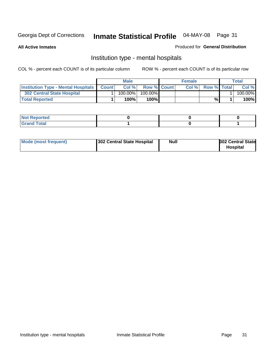**All Active Inmates**

#### Produced for **General Distribution**

### Institution type - mental hospitals

|                                                  | <b>Male</b> |                    | <b>Female</b> |                    | Total   |
|--------------------------------------------------|-------------|--------------------|---------------|--------------------|---------|
| <b>Institution Type - Mental Hospitals Count</b> | Col%        | <b>Row % Count</b> | Col%          | <b>Row % Total</b> | Col %   |
| 302 Central State Hospital                       | $100.00\%$  | 100.00%            |               |                    | 100.00% |
| <b>Total Reported</b>                            | 100%        | 100%               |               | %                  | 100%    |

| Not Reported |  |  |
|--------------|--|--|
| <b>otal</b>  |  |  |

| Mode (most frequent)<br>302 Central State Hospital | Null | <b>302 Central State</b><br><b>Hospital</b> |
|----------------------------------------------------|------|---------------------------------------------|
|----------------------------------------------------|------|---------------------------------------------|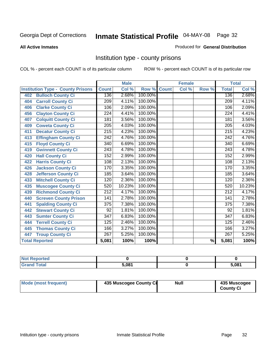#### **All Active Inmates**

#### Produced for **General Distribution**

### Institution type - county prisons

|                                          |                  | <b>Male</b> |         |              | <b>Female</b>      |                          |                  | <b>Total</b> |
|------------------------------------------|------------------|-------------|---------|--------------|--------------------|--------------------------|------------------|--------------|
| <b>Institution Type - County Prisons</b> | <b>Count</b>     | Col %       | Row %   | <b>Count</b> | $\overline{Col}$ % | Row %                    | <b>Total</b>     | Col %        |
| <b>Bulloch County Ci</b><br>402          | 136              | 2.68%       | 100.00% |              |                    |                          | 136              | 2.68%        |
| <b>Carroll County Ci</b><br>404          | $\overline{209}$ | 4.11%       | 100.00% |              |                    |                          | $\overline{209}$ | 4.11%        |
| <b>Clarke County Ci</b><br>406           | 106              | 2.09%       | 100.00% |              |                    |                          | 106              | 2.09%        |
| <b>Clayton County Ci</b><br>456          | 224              | 4.41%       | 100.00% |              |                    |                          | 224              | 4.41%        |
| <b>Colquitt County Ci</b><br>407         | 181              | 3.56%       | 100.00% |              |                    |                          | 181              | 3.56%        |
| <b>Coweta County Ci</b><br>409           | $\overline{205}$ | 4.03%       | 100.00% |              |                    |                          | $\overline{205}$ | 4.03%        |
| <b>Decatur County Ci</b><br>411          | 215              | 4.23%       | 100.00% |              |                    |                          | 215              | 4.23%        |
| <b>Effingham County Ci</b><br>413        | 242              | 4.76%       | 100.00% |              |                    |                          | 242              | 4.76%        |
| <b>Floyd County Ci</b><br>415            | $\overline{340}$ | 6.69%       | 100.00% |              |                    |                          | 340              | 6.69%        |
| <b>Gwinnett County Ci</b><br>419         | $\overline{243}$ | 4.78%       | 100.00% |              |                    |                          | 243              | 4.78%        |
| <b>Hall County Ci</b><br>420             | 152              | 2.99%       | 100.00% |              |                    |                          | 152              | 2.99%        |
| <b>Harris County Ci</b><br>422           | 108              | 2.13%       | 100.00% |              |                    |                          | 108              | 2.13%        |
| <b>Jackson County Ci</b><br>426          | 170              | 3.35%       | 100.00% |              |                    |                          | 170              | 3.35%        |
| <b>Jefferson County Ci</b><br>428        | 185              | 3.64%       | 100.00% |              |                    |                          | 185              | 3.64%        |
| <b>Mitchell County Ci</b><br>433         | 120              | 2.36%       | 100.00% |              |                    |                          | 120              | 2.36%        |
| <b>Muscogee County Ci</b><br>435         | 520              | 10.23%      | 100.00% |              |                    |                          | 520              | 10.23%       |
| <b>Richmond County Ci</b><br>439         | $\overline{212}$ | 4.17%       | 100.00% |              |                    |                          | 212              | 4.17%        |
| <b>Screven County Prison</b><br>440      | $\overline{141}$ | 2.78%       | 100.00% |              |                    |                          | 141              | 2.78%        |
| <b>Spalding County Ci</b><br>441         | 375              | 7.38%       | 100.00% |              |                    |                          | $\overline{375}$ | 7.38%        |
| <b>Stewart County Ci</b><br>442          | 92               | 1.81%       | 100.00% |              |                    |                          | 92               | 1.81%        |
| <b>Sumter County Ci</b><br>443           | $\overline{347}$ | 6.83%       | 100.00% |              |                    |                          | $\overline{347}$ | 6.83%        |
| <b>Terrell County Ci</b><br>444          | 125              | 2.46%       | 100.00% |              |                    |                          | 125              | 2.46%        |
| <b>Thomas County Ci</b><br>445           | 166              | 3.27%       | 100.00% |              |                    |                          | 166              | 3.27%        |
| <b>Troup County Ci</b><br>447            | $\overline{267}$ | 5.25%       | 100.00% |              |                    |                          | 267              | 5.25%        |
| <b>Total Reported</b>                    | 5,081            | 100%        | 100%    |              |                    | $\overline{\frac{9}{6}}$ | 5,081            | 100%         |

| τeα                         |       |       |
|-----------------------------|-------|-------|
| $\sim$ $\sim$ $\sim$ $\sim$ | 5.081 | 5.081 |

| Mode (most frequent) | 435 Muscogee County Ci | <b>Null</b> | 435 Muscogee     |
|----------------------|------------------------|-------------|------------------|
|                      |                        |             | <b>County Ci</b> |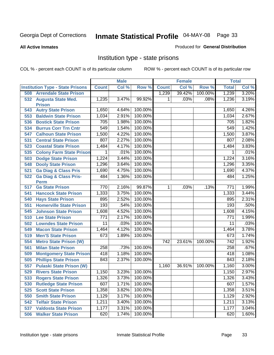#### **All Active Inmates**

#### Produced for **General Distribution**

### Institution type - state prisons

|     |                                            |              | <b>Male</b> |         |                  | <b>Female</b> |         | <b>Total</b>     |       |
|-----|--------------------------------------------|--------------|-------------|---------|------------------|---------------|---------|------------------|-------|
|     | <b>Institution Type - State Prisons</b>    | <b>Count</b> | Col %       | Row %   | <b>Count</b>     | Col %         | Row %   | <b>Total</b>     | Col % |
| 508 | <b>Arrendale State Prison</b>              |              |             |         | 1,239            | 39.42%        | 100.00% | 1,239            | 3.20% |
| 532 | <b>Augusta State Med.</b><br><b>Prison</b> | 1,235        | 3.47%       | 99.92%  | 1                | .03%          | .08%    | 1,236            | 3.19% |
| 543 | <b>Autry State Prison</b>                  | 1,650        | 4.64%       | 100.00% |                  |               |         | 1,650            | 4.26% |
| 553 | <b>Baldwin State Prison</b>                | 1,034        | 2.91%       | 100.00% |                  |               |         | 1,034            | 2.67% |
| 536 | <b>Bostick State Prison</b>                | 705          | 1.98%       | 100.00% |                  |               |         | 705              | 1.82% |
| 534 | <b>Burrus Corr Trn Cntr</b>                | 549          | 1.54%       | 100.00% |                  |               |         | 549              | 1.42% |
| 547 | <b>Calhoun State Prison</b>                | 1,500        | 4.22%       | 100.00% |                  |               |         | 1,500            | 3.87% |
| 531 | <b>Central State Prison</b>                | 807          | 2.27%       | 100.00% |                  |               |         | 807              | 2.08% |
| 523 | <b>Coastal State Prison</b>                | 1,484        | 4.17%       | 100.00% |                  |               |         | 1,484            | 3.83% |
| 535 | <b>Colony Farm State Prison</b>            | 1            | .01%        | 100.00% |                  |               |         | 1                | .01%  |
| 503 | <b>Dodge State Prison</b>                  | 1,224        | 3.44%       | 100.00% |                  |               |         | 1,224            | 3.16% |
| 548 | <b>Dooly State Prison</b>                  | 1,296        | 3.64%       | 100.00% |                  |               |         | 1,296            | 3.35% |
| 521 | <b>Ga Diag &amp; Class Pris</b>            | 1,690        | 4.75%       | 100.00% |                  |               |         | 1,690            | 4.37% |
| 522 | <b>Ga Diag &amp; Class Pris-</b>           | 484          | 1.36%       | 100.00% |                  |               |         | 484              | 1.25% |
|     | <b>Perm</b>                                |              |             |         |                  |               |         |                  |       |
| 517 | <b>Ga State Prison</b>                     | 770          | 2.16%       | 99.87%  | $\overline{1}$   | .03%          | .13%    | 771              | 1.99% |
| 541 | <b>Hancock State Prison</b>                | 1,333        | 3.75%       | 100.00% |                  |               |         | 1,333            | 3.44% |
| 540 | <b>Hays State Prison</b>                   | 895          | 2.52%       | 100.00% |                  |               |         | 895              | 2.31% |
| 551 | <b>Homerville State Prison</b>             | 193          | .54%        | 100.00% |                  |               |         | 193              | .50%  |
| 545 | <b>Johnson State Prison</b>                | 1,608        | 4.52%       | 100.00% |                  |               |         | 1,608            | 4.15% |
| 510 | <b>Lee State Prison</b>                    | 771          | 2.17%       | 100.00% |                  |               |         | 771              | 1.99% |
| 502 | <b>Lowndes State Prison</b>                | 11           | .03%        | 100.00% |                  |               |         | $\overline{11}$  | .03%  |
| 549 | <b>Macon State Prison</b>                  | 1,464        | 4.12%       | 100.00% |                  |               |         | 1,464            | 3.78% |
| 519 | <b>Men'S State Prison</b>                  | 673          | 1.89%       | 100.00% |                  |               |         | 673              | 1.74% |
| 554 | <b>Metro State Prison (W)</b>              |              |             |         | $\overline{742}$ | 23.61%        | 100.00% | $\overline{742}$ | 1.92% |
| 561 | <b>Milan State Prison</b>                  | 258          | .73%        | 100.00% |                  |               |         | 258              | .67%  |
| 509 | <b>Montgomery State Prison</b>             | 418          | 1.18%       | 100.00% |                  |               |         | 418              | 1.08% |
| 505 | <b>Phillips State Prison</b>               | 843          | 2.37%       | 100.00% |                  |               |         | 843              | 2.18% |
| 557 | <b>Pulaski State Prison (W)</b>            |              |             |         | 1,160            | 36.91%        | 100.00% | 1,160            | 3.00% |
| 529 | <b>Rivers State Prison</b>                 | 1,150        | 3.23%       | 100.00% |                  |               |         | 1,150            | 2.97% |
| 533 | <b>Rogers State Prison</b>                 | 1,326        | 3.73%       | 100.00% |                  |               |         | 1,326            | 3.43% |
| 530 | <b>Rutledge State Prison</b>               | 607          | 1.71%       | 100.00% |                  |               |         | 607              | 1.57% |
| 525 | <b>Scott State Prison</b>                  | 1,358        | 3.82%       | 100.00% |                  |               |         | 1,358            | 3.51% |
| 550 | <b>Smith State Prison</b>                  | 1,129        | 3.17%       | 100.00% |                  |               |         | 1,129            | 2.92% |
| 542 | <b>Telfair State Prison</b>                | 1,211        | 3.40%       | 100.00% |                  |               |         | 1,211            | 3.13% |
| 537 | <b>Valdosta State Prison</b>               | 1,177        | 3.31%       | 100.00% |                  |               |         | 1,177            | 3.04% |
| 506 | <b>Walker State Prison</b>                 | 620          | 1.74%       | 100.00% |                  |               |         | 620              | 1.60% |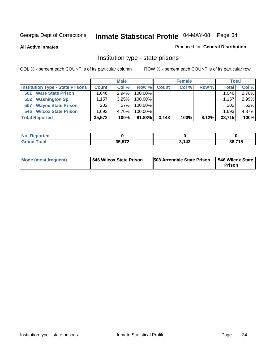**All Active Inmates**

#### Produced for **General Distribution**

### Institution type - state prisons

|                                         |              | <b>Male</b> |            |       | <b>Female</b> |       | <b>Total</b> |       |
|-----------------------------------------|--------------|-------------|------------|-------|---------------|-------|--------------|-------|
| <b>Institution Type - State Prisons</b> | <b>Count</b> | Col %       | Row %      | Count | Col %         | Row % | <b>Total</b> | Col % |
| <b>Ware State Prison</b><br>501         | .046         | $2.94\%$    | $100.00\%$ |       |               |       | 1.046        | 2.70% |
| <b>Washington Sp</b><br>552             | .157         | 3.25%       | $100.00\%$ |       |               |       | 1.157        | 2.99% |
| <b>Wayne State Prison</b><br>507        | 202          | $.57\%$     | $100.00\%$ |       |               |       | 202          | .52%  |
| <b>Wilcox State Prison</b><br>546       | .693         | 4.76%       | $100.00\%$ |       |               |       | 1,693        | 4.37% |
| <b>Total Reported</b>                   | 35,572       | 100%        | 91.88%     | 3,143 | 100%          | 8.12% | 38,715       | 100%  |

| <b>Not</b><br><b>Reported</b> |                        |       |        |
|-------------------------------|------------------------|-------|--------|
| <b>Total</b>                  | OF EZO<br><b>JJJIL</b> | 3,143 | 38,715 |

| <b>Mode (most frequent)</b> | 546 Wilcox State Prison | <b>508 Arrendale State Prison</b> | 546 Wilcox State<br><b>Prison</b> |
|-----------------------------|-------------------------|-----------------------------------|-----------------------------------|
|-----------------------------|-------------------------|-----------------------------------|-----------------------------------|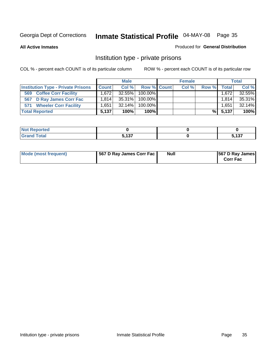#### **All Active Inmates**

#### Produced for **General Distribution**

### Institution type - private prisons

|                                           |              | <b>Male</b> |             | <b>Female</b> |       |       | <b>Total</b> |
|-------------------------------------------|--------------|-------------|-------------|---------------|-------|-------|--------------|
| <b>Institution Type - Private Prisons</b> | <b>Count</b> | Col %       | Row % Count | Col %         | Row % | Total | Col %        |
| <b>Coffee Corr Facility</b><br>569        | 1.6721       | $32.55\%$   | 100.00%     |               |       | 1,672 | 32.55%       |
| 567 D Ray James Corr Fac                  | 1.814        | $35.31\%$   | 100.00%     |               |       | 1.814 | 35.31%       |
| <b>Wheeler Corr Facility</b><br>571       | .651         | 32.14%      | 100.00%     |               |       | 1,651 | 32.14%       |
| <b>Total Reported</b>                     | 5.137        | 100%        | 100%        |               | %∣    | 5,137 | 100%         |

| Reported          |                           |                    |
|-------------------|---------------------------|--------------------|
| <b>otal</b><br>-- | <b>E 497</b><br>--<br>. . | $\sqrt{2}$<br>. טי |

| <b>Mode (most frequent)</b> | 567 D Ray James Corr Fac | <b>Null</b> | <b>567 D Ray James</b><br><b>Corr Fac</b> |
|-----------------------------|--------------------------|-------------|-------------------------------------------|
|-----------------------------|--------------------------|-------------|-------------------------------------------|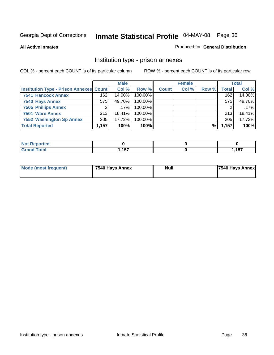#### **All Active Inmates**

#### Produced for **General Distribution**

### Institution type - prison annexes

|                                                |       | <b>Male</b> |            |              | <b>Female</b> |       |       | <b>Total</b> |
|------------------------------------------------|-------|-------------|------------|--------------|---------------|-------|-------|--------------|
| <b>Institution Type - Prison Annexes Count</b> |       | Col %       | Row %      | <b>Count</b> | Col %         | Row % | Total | Col %        |
| <b>7541 Hancock Annex</b>                      | 162   | 14.00%      | 100.00%    |              |               |       | 162   | 14.00%       |
| 7540 Hays Annex                                | 575   | 49.70%      | 100.00%    |              |               |       | 575   | 49.70%       |
| <b>7505 Phillips Annex</b>                     |       | $.17\%$     | $100.00\%$ |              |               |       |       | .17%         |
| 7501 Ware Annex                                | 213   | $18.41\%$   | $100.00\%$ |              |               |       | 213   | 18.41%       |
| 7552 Washington Sp Annex                       | 205   | 17.72%      | 100.00%    |              |               |       | 205   | 17.72%       |
| <b>Total Reported</b>                          | 1,157 | 100%        | $100\%$    |              |               | %     | 1,157 | 100%         |

| <b>Reported</b>         |            |             |
|-------------------------|------------|-------------|
| <b>Total</b><br>' Grand | <b>457</b> | 157<br>וטוו |

| Mode (most frequent) | 7540 Hays Annex | <b>Null</b> | <b>7540 Hays Annex</b> |
|----------------------|-----------------|-------------|------------------------|
|                      |                 |             |                        |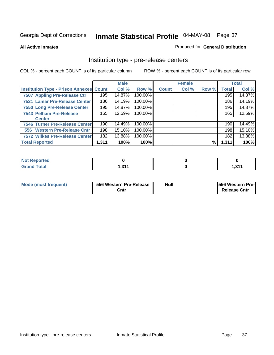#### **All Active Inmates**

#### Produced for **General Distribution**

### Institution type - pre-release centers

|                                         |       | <b>Male</b> |         |              | <b>Female</b> |       |              | <b>Total</b> |
|-----------------------------------------|-------|-------------|---------|--------------|---------------|-------|--------------|--------------|
| Institution Type - Prison Annexes Count |       | Col %       | Row %   | <b>Count</b> | Col %         | Row % | <b>Total</b> | Col %        |
| 7507 Appling Pre-Release Ctr            | 195   | 14.87%      | 100.00% |              |               |       | 195          | 14.87%       |
| 7521 Lamar Pre-Release Center           | 186   | 14.19%      | 100.00% |              |               |       | 186          | 14.19%       |
| 7550 Long Pre-Release Center            | 195   | 14.87%      | 100.00% |              |               |       | 195          | 14.87%       |
| 7543 Pelham Pre-Release                 | 165   | 12.59%      | 100.00% |              |               |       | 165          | 12.59%       |
| <b>Center</b>                           |       |             |         |              |               |       |              |              |
| 7546 Turner Pre-Release Center          | 190   | 14.49%      | 100.00% |              |               |       | 190          | 14.49%       |
| 556 Western Pre-Release Cntr            | 198   | 15.10%      | 100.00% |              |               |       | 198          | 15.10%       |
| 7572 Wilkes Pre-Release Center          | 182   | 13.88%      | 100.00% |              |               |       | 182          | 13.88%       |
| <b>Total Reported</b>                   | 1,311 | 100%        | 100%    |              |               | %     | 1,311        | 100%         |

| Reported<br>NOT |     |         |
|-----------------|-----|---------|
| <b>Total</b>    | 244 | , 944   |
| 'Grand          | .   | 1.J I I |

| Mode (most frequent) | 556 Western Pre-Release | <b>Null</b> | <b>1556 Western Pre-I</b> |
|----------------------|-------------------------|-------------|---------------------------|
|                      | Cntr                    |             | <b>Release Cntr</b>       |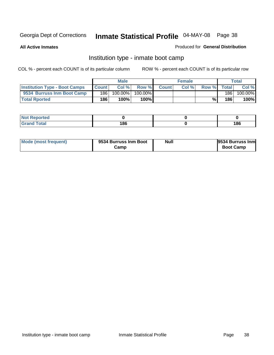**All Active Inmates**

#### Produced for **General Distribution**

## Institution type - inmate boot camp

|                                      |              | <b>Male</b> |         |              | <b>Female</b> |       |        | Total   |
|--------------------------------------|--------------|-------------|---------|--------------|---------------|-------|--------|---------|
| <b>Institution Type - Boot Camps</b> | <b>Count</b> | Col %       | Row %   | <b>Count</b> | Col%          | Row % | Totall | Col %   |
| 9534 Burruss Inm Boot Camp           | 186          | 100.00%     | 100.00% |              |               |       | 186    | 100.00% |
| <b>Total Rported</b>                 | 186          | 100%        | 100%    |              |               | %⊾    | 186    | 100%    |

| rtea<br>.   |     |     |
|-------------|-----|-----|
| <b>otal</b> | 186 | 186 |

| Mode (most frequent) | 9534 Burruss Inm Boot | <b>Null</b> | 9534 Burruss Inm |
|----------------------|-----------------------|-------------|------------------|
|                      | Camp                  |             | <b>Boot Camp</b> |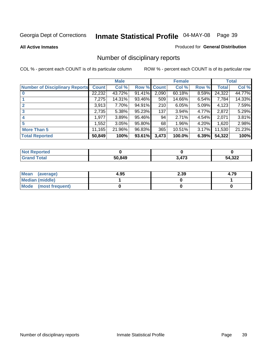#### **All Active Inmates**

#### Produced for **General Distribution**

# Number of disciplinary reports

|                                       |              | <b>Male</b> |        |              | <b>Female</b> |          |              | <b>Total</b> |
|---------------------------------------|--------------|-------------|--------|--------------|---------------|----------|--------------|--------------|
| <b>Number of Disciplinary Reports</b> | <b>Count</b> | Col %       | Row %  | <b>Count</b> | Col %         | Row %    | <b>Total</b> | Col %        |
|                                       | 22,232       | 43.72%      | 91.41% | 2,090        | 60.18%        | 8.59%    | 24,322       | 44.77%       |
|                                       | 7,275        | 14.31%      | 93.46% | 509          | 14.66%        | 6.54%    | 7,784        | 14.33%       |
| 2                                     | 3,913        | 7.70%       | 94.91% | 210          | 6.05%         | 5.09%    | 4,123        | 7.59%        |
| 3                                     | 2,735        | 5.38%       | 95.23% | 137          | 3.94%         | 4.77%    | 2,872        | 5.29%        |
|                                       | .977         | 3.89%       | 95.46% | 94           | 2.71%         | $4.54\%$ | 2,071        | 3.81%        |
| 5                                     | ,552         | 3.05%       | 95.80% | 68           | 1.96%         | 4.20%    | 1,620        | 2.98%        |
| <b>More Than 5</b>                    | 11,165       | 21.96%      | 96.83% | 365          | 10.51%        | 3.17%    | 11,530       | 21.23%       |
| <b>Total Reported</b>                 | 50,849       | 100%        | 93.61% | 3,473        | 100.0%        | 6.39%    | 54,322       | 100%         |

| orted<br>NO  |        |     |             |
|--------------|--------|-----|-------------|
| <b>Total</b> | 50,849 | A72 | 4,322<br>54 |

| Mean (average)       | 4.95 | 2.39 | 4.79 |
|----------------------|------|------|------|
| Median (middle)      |      |      |      |
| Mode (most frequent) |      |      |      |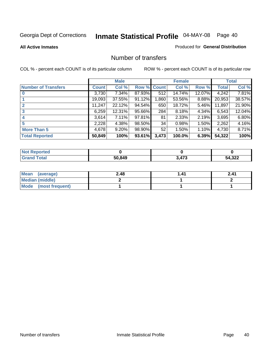**All Active Inmates**

#### Produced for **General Distribution**

### Number of transfers

|                            |         | <b>Male</b> |             |       | <b>Female</b> |          |              | <b>Total</b> |
|----------------------------|---------|-------------|-------------|-------|---------------|----------|--------------|--------------|
| <b>Number of Transfers</b> | Count l | Col %       | Row % Count |       | Col %         | Row %    | <b>Total</b> | Col %        |
|                            | 3,730   | $7.34\%$    | 87.93%      | 512   | 14.74%        | 12.07%   | 4,242        | 7.81%        |
|                            | 19,093  | 37.55%      | 91.12%      | .860  | 53.56%        | $8.88\%$ | 20,953       | 38.57%       |
|                            | 11,247  | 22.12%      | 94.54%      | 650   | 18.72%        | 5.46%    | 11,897       | 21.90%       |
| 3                          | 6,259   | 12.31%      | 95.66%      | 284   | 8.18%         | $4.34\%$ | 6,543        | 12.04%       |
|                            | 3.614   | $7.11\%$    | 97.81%      | 81    | 2.33%         | $2.19\%$ | 3,695        | 6.80%        |
| 5                          | 2,228   | 4.38%       | 98.50%      | 34    | 0.98%         | 1.50%    | 2,262        | 4.16%        |
| <b>More Than 5</b>         | 4,678   | $9.20\%$    | 98.90%      | 52    | 1.50%         | $1.10\%$ | 4,730        | 8.71%        |
| <b>Total Reported</b>      | 50,849  | 100%        | 93.61%      | 3,473 | 100.0%        | 6.39%    | 54,322       | 100%         |

| N                   |       |     |                     |
|---------------------|-------|-----|---------------------|
| $\sim$ 10<br>______ | 50849 | 172 | $\sim$<br>٨Д<br>◡▵▴ |

| Mean (average)       | 2.48 | l.41 | 2.41 |
|----------------------|------|------|------|
| Median (middle)      |      |      |      |
| Mode (most frequent) |      |      |      |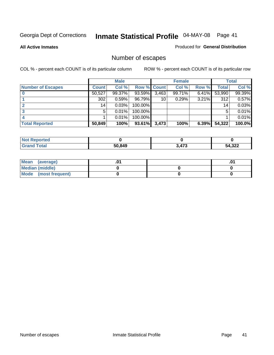**All Active Inmates**

### Produced for **General Distribution**

# Number of escapes

|                          |         | <b>Male</b> |                    |       | <b>Female</b> |          |        | <b>Total</b> |
|--------------------------|---------|-------------|--------------------|-------|---------------|----------|--------|--------------|
| <b>Number of Escapes</b> | Count l | Col %       | <b>Row % Count</b> |       | Col %         | Row %    | Total  | Col %        |
|                          | 50,527  | 99.37%      | 93.59%             | 3,463 | 99.71%        | $6.41\%$ | 53,990 | 99.39%       |
|                          | 302     | 0.59%       | 96.79%             | 10    | 0.29%         | 3.21%    | 312    | 0.57%        |
|                          | 14      | 0.03%       | 100.00%            |       |               |          | 14     | 0.03%        |
|                          | 5.      | 0.01%       | 100.00%            |       |               |          | 5      | 0.01%        |
|                          |         | 0.01%       | 100.00%            |       |               |          |        | 0.01%        |
| <b>Total Reported</b>    | 50,849  | 100%        | 93.61%             | 3,473 | 100%          | 6.39%    | 54,322 | 100.0%       |

| <b>Not Reported</b> |        |       |             |
|---------------------|--------|-------|-------------|
| T <sub>ofol</sub>   | 50.849 | 3.473 | 1,322<br>ገሏ |

| <b>Mean</b><br>(average) |  | .0 |
|--------------------------|--|----|
| Median (middle)          |  |    |
| Mode (most frequent)     |  |    |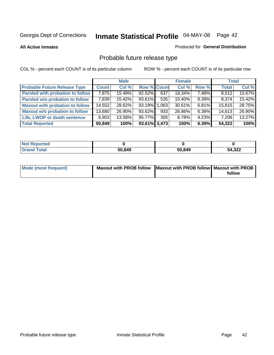**All Active Inmates**

#### Produced for **General Distribution**

# Probable future release type

|                                         |              | <b>Male</b> |                    |      | <b>Female</b> |          | <b>Total</b> |        |
|-----------------------------------------|--------------|-------------|--------------------|------|---------------|----------|--------------|--------|
| <b>Probable Future Release Type</b>     | <b>Count</b> | Col %       | <b>Row % Count</b> |      | Col %         | Row %    | <b>Total</b> | Col %  |
| <b>Paroled with probation to follow</b> | 7,875        | 15.49%      | $92.52\%$          | 637  | 18.34%        | 7.48%    | 8,512        | 15.67% |
| Paroled w/o probation to follow         | 7,839        | $15.42\%$   | 93.61%             | 535  | 15.40%        | $6.39\%$ | 8,374        | 15.42% |
| <b>Maxout with probation to follow</b>  | 14,552       | 28.62%      | 93.19%             | .063 | 30.61%        | $6.81\%$ | 15,615       | 28.75% |
| <b>Maxout w/o probation to follow</b>   | 13,680       | 26.90%      | 93.62%             | 933  | 26.86%        | $6.38\%$ | 14,613       | 26.90% |
| Life, LWOP or death sentence            | 6,903        | 13.58%      | 95.77%             | 305  | 8.78%         | $4.23\%$ | 7,208        | 13.27% |
| <b>Total Reported</b>                   | 50,849       | 100%        | $93.61\%$ 3,473    |      | 100%          | 6.39%    | 54,322       | 100%   |

| $'$ Not $\cdot$<br>Reported  |        |        |        |
|------------------------------|--------|--------|--------|
| <b>Total</b><br><b>Grand</b> | 50,849 | 50,849 | 54,322 |

| Mode (most frequent) | Maxout with PROB follow   Maxout with PROB follow   Maxout with PROB |        |
|----------------------|----------------------------------------------------------------------|--------|
|                      |                                                                      | follow |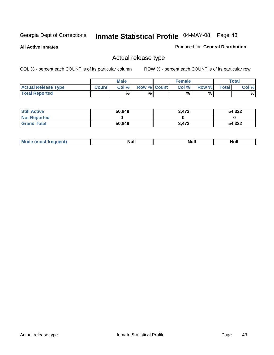**All Active Inmates**

#### Produced for **General Distribution**

## Actual release type

|                            |              | <b>Male</b> |                    | <b>Female</b> |       |              | $\tau$ otal |
|----------------------------|--------------|-------------|--------------------|---------------|-------|--------------|-------------|
| <b>Actual Release Type</b> | <b>Count</b> | Col %       | <b>Row % Count</b> | Col %         | Row % | <b>Total</b> | Col %       |
| <b>Total Reported</b>      |              | $\%$        | %                  | %             | %     |              | %           |

| <b>Still Active</b> | 50,849 | 3.473 | 54,322 |
|---------------------|--------|-------|--------|
| <b>Not Reported</b> |        |       |        |
| <b>Grand Total</b>  | 50,849 | 3,473 | 54,322 |

| M<br>____<br>_____ | NI | Null | $\cdots$ |
|--------------------|----|------|----------|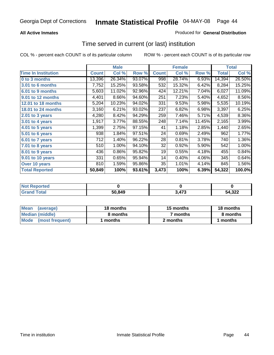### **All Active Inmates**

### Produced for **General Distribution**

### Time served in current (or last) institution

|                            |              | <b>Male</b> |        |              | <b>Female</b> |        |              | <b>Total</b> |
|----------------------------|--------------|-------------|--------|--------------|---------------|--------|--------------|--------------|
| <b>Time In Institution</b> | <b>Count</b> | Col %       | Row %  | <b>Count</b> | Col %         | Row %  | <b>Total</b> | Col %        |
| 0 to 3 months              | 13,396       | 26.34%      | 93.07% | 998          | 28.74%        | 6.93%  | 14,394       | 26.50%       |
| 3.01 to 6 months           | 7,752        | 15.25%      | 93.58% | 532          | 15.32%        | 6.42%  | 8,284        | 15.25%       |
| 6.01 to 9 months           | 5,603        | 11.02%      | 92.96% | 424          | 12.21%        | 7.04%  | 6,027        | 11.09%       |
| 9.01 to 12 months          | 4,401        | 8.66%       | 94.60% | 251          | 7.23%         | 5.40%  | 4,652        | 8.56%        |
| <b>12.01 to 18 months</b>  | 5,204        | 10.23%      | 94.02% | 331          | 9.53%         | 5.98%  | 5,535        | 10.19%       |
| 18.01 to 24 months         | 3,160        | 6.21%       | 93.02% | 237          | 6.82%         | 6.98%  | 3,397        | 6.25%        |
| $2.01$ to 3 years          | 4,280        | 8.42%       | 94.29% | 259          | 7.46%         | 5.71%  | 4,539        | 8.36%        |
| $3.01$ to 4 years          | 1,917        | 3.77%       | 88.55% | 248          | 7.14%         | 11.45% | 2,165        | 3.99%        |
| 4.01 to 5 years            | 1,399        | 2.75%       | 97.15% | 41           | 1.18%         | 2.85%  | 1,440        | 2.65%        |
| $5.01$ to 6 years          | 938          | 1.84%       | 97.51% | 24           | 0.69%         | 2.49%  | 962          | 1.77%        |
| 6.01 to 7 years            | 712          | 1.40%       | 96.22% | 28           | 0.81%         | 3.78%  | 740          | 1.36%        |
| 7.01 to 8 years            | 510          | 1.00%       | 94.10% | 32           | 0.92%         | 5.90%  | 542          | 1.00%        |
| 8.01 to 9 years            | 436          | 0.86%       | 95.82% | 19           | 0.55%         | 4.18%  | 455          | 0.84%        |
| 9.01 to 10 years           | 331          | 0.65%       | 95.94% | 14           | 0.40%         | 4.06%  | 345          | 0.64%        |
| Over 10 years              | 810          | 1.59%       | 95.86% | 35           | 1.01%         | 4.14%  | 845          | 1.56%        |
| <b>Total Reported</b>      | 50,849       | 100%        | 93.61% | 3,473        | 100%          | 6.39%  | 54,322       | 100.0%       |

| <b>Not Reported</b> |        |               |        |
|---------------------|--------|---------------|--------|
| <b>Total</b>        | 50.849 | $\rightarrow$ | 54,322 |

| <b>Mean</b><br>(average) | 18 months | 15 months           | 18 months |
|--------------------------|-----------|---------------------|-----------|
| Median (middle)          | 8 months  | <sup>7</sup> months | 8 months  |
| Mode<br>(most frequent)  | l months  | 2 months            | months    |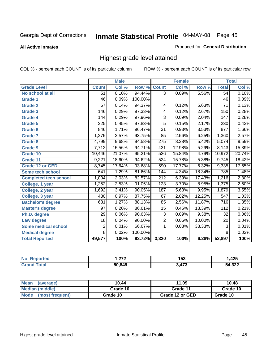**All Active Inmates**

#### Produced for **General Distribution**

## Highest grade level attained

|                              |                 | <b>Male</b> |         |                  | <b>Female</b> |        |                  | <b>Total</b> |
|------------------------------|-----------------|-------------|---------|------------------|---------------|--------|------------------|--------------|
| <b>Grade Level</b>           | <b>Count</b>    | Col %       | Row %   | <b>Count</b>     | Col %         | Row %  | <b>Total</b>     | Col %        |
| No school at all             | $\overline{51}$ | 0.10%       | 94.44%  | $\overline{3}$   | 0.09%         | 5.56%  | $\overline{54}$  | 0.10%        |
| Grade 1                      | 46              | 0.09%       | 100.00% |                  |               |        | 46               | 0.09%        |
| <b>Grade 2</b>               | 67              | 0.14%       | 94.37%  | 4                | 0.12%         | 5.63%  | $\overline{71}$  | 0.13%        |
| <b>Grade 3</b>               | 146             | 0.29%       | 97.33%  | 4                | 0.12%         | 2.67%  | 150              | 0.28%        |
| Grade 4                      | 144             | 0.29%       | 97.96%  | $\overline{3}$   | 0.09%         | 2.04%  | 147              | 0.28%        |
| Grade 5                      | 225             | 0.45%       | 97.83%  | $\overline{5}$   | 0.15%         | 2.17%  | 230              | 0.43%        |
| Grade 6                      | 846             | 1.71%       | 96.47%  | $\overline{31}$  | 0.93%         | 3.53%  | 877              | 1.66%        |
| <b>Grade 7</b>               | 1,275           | 2.57%       | 93.75%  | 85               | 2.56%         | 6.25%  | 1,360            | 2.57%        |
| <b>Grade 8</b>               | 4,799           | 9.68%       | 94.58%  | 275              | 8.28%         | 5.42%  | 5,074            | 9.59%        |
| <b>Grade 9</b>               | 7,712           | 15.56%      | 94.71%  | 431              | 12.98%        | 5.29%  | 8,143            | 15.39%       |
| Grade 10                     | 10,446          | 21.07%      | 95.21%  | 526              | 15.84%        | 4.79%  | 10,972           | 20.74%       |
| Grade 11                     | 9,221           | 18.60%      | 94.62%  | 524              | 15.78%        | 5.38%  | 9,745            | 18.42%       |
| <b>Grade 12 or GED</b>       | 8,745           | 17.64%      | 93.68%  | 590              | 17.77%        | 6.32%  | 9,335            | 17.65%       |
| <b>Some tech school</b>      | 641             | 1.29%       | 81.66%  | 144              | 4.34%         | 18.34% | 785              | 1.48%        |
| <b>Completed tech school</b> | 1,004           | 2.03%       | 82.57%  | $\overline{212}$ | 6.39%         | 17.43% | 1,216            | 2.30%        |
| College, 1 year              | 1,252           | 2.53%       | 91.05%  | $\overline{123}$ | 3.70%         | 8.95%  | 1,375            | 2.60%        |
| College, 2 year              | 1,692           | 3.41%       | 90.05%  | 187              | 5.63%         | 9.95%  | 1,879            | 3.55%        |
| College, 3 year              | 480             | 0.97%       | 87.75%  | 67               | 2.02%         | 12.25% | $\overline{547}$ | 1.03%        |
| <b>Bachelor's degree</b>     | 631             | 1.27%       | 88.13%  | 85               | 2.56%         | 11.87% | $\overline{716}$ | 1.35%        |
| <b>Master's degree</b>       | 97              | 0.20%       | 86.61%  | $\overline{15}$  | 0.45%         | 13.39% | 112              | 0.21%        |
| Ph.D. degree                 | $\overline{29}$ | 0.06%       | 90.63%  | $\overline{3}$   | 0.09%         | 9.38%  | $\overline{32}$  | 0.06%        |
| Law degree                   | $\overline{18}$ | 0.04%       | 90.00%  | $\overline{2}$   | 0.06%         | 10.00% | $\overline{20}$  | 0.04%        |
| <b>Some medical school</b>   | $\overline{2}$  | 0.01%       | 66.67%  | 1                | 0.03%         | 33.33% | $\overline{3}$   | 0.01%        |
| <b>Medical degree</b>        | $\overline{8}$  | 0.02%       | 100.00% |                  |               |        | $\overline{8}$   | 0.02%        |
| <b>Total Reported</b>        | 49,577          | 100%        | 93.72%  | 3,320            | 100%          | 6.28%  | 52,897           | 100%         |

| היה י  | 153        | オクド<br>14J |
|--------|------------|------------|
| 50.849 | <b>A73</b> | EA 222     |

| <b>Mean</b><br>(average)       | 10.44    | 11.09           | 10.48    |  |
|--------------------------------|----------|-----------------|----------|--|
| Median (middle)                | Grade 10 | Grade 11        | Grade 10 |  |
| <b>Mode</b><br>(most frequent) | Grade 10 | Grade 12 or GED | Grade 10 |  |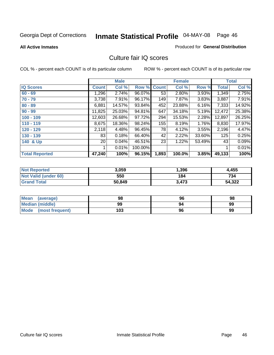#### **All Active Inmates**

### Produced for **General Distribution**

### Culture fair IQ scores

|                       |        | <b>Male</b> |         |              | <b>Female</b> |        |        | <b>Total</b> |
|-----------------------|--------|-------------|---------|--------------|---------------|--------|--------|--------------|
| <b>IQ Scores</b>      | Count  | Col %       | Row %   | <b>Count</b> | Col %         | Row %  | Total  | Col %        |
| $60 - 69$             | 1,296  | 2.74%       | 96.07%  | 53           | 2.80%         | 3.93%  | 1,349  | 2.75%        |
| $70 - 79$             | 3,738  | 7.91%       | 96.17%  | 149          | 7.87%         | 3.83%  | 3,887  | 7.91%        |
| $80 - 89$             | 6,881  | 14.57%      | 93.84%  | 452          | 23.88%        | 6.16%  | 7,333  | 14.92%       |
| $90 - 99$             | 11,825 | 25.03%      | 94.81%  | 647          | 34.18%        | 5.19%  | 12,472 | 25.38%       |
| $100 - 109$           | 12,603 | 26.68%      | 97.72%  | 294          | 15.53%        | 2.28%  | 12,897 | 26.25%       |
| $110 - 119$           | 8,675  | 18.36%      | 98.24%  | 155          | 8.19%         | 1.76%  | 8,830  | 17.97%       |
| 120 - 129             | 2,118  | 4.48%       | 96.45%  | 78           | 4.12%         | 3.55%  | 2,196  | 4.47%        |
| 130 - 139             | 83     | 0.18%       | 66.40%  | 42           | 2.22%         | 33.60% | 125    | 0.25%        |
| 140 & Up              | 20 l   | 0.04%       | 46.51%  | 23           | 1.22%         | 53.49% | 43     | 0.09%        |
|                       |        | 0.01%       | 100.00% |              |               |        |        | 0.01%        |
| <b>Total Reported</b> | 47,240 | 100%        | 96.15%  | 1,893        | 100.0%        | 3.85%  | 49,133 | 100%         |

| <b>Not Reported</b>  | 3.059  | 396,  | 4,455  |
|----------------------|--------|-------|--------|
| Not Valid (under 60) | 550    | 184   | 734    |
| <b>Grand Total</b>   | 50,849 | 3,473 | 54,322 |

| <b>Mean</b><br>(average) | 98  | 96 | 98 |
|--------------------------|-----|----|----|
| <b>Median (middle)</b>   | 99  | 94 | 99 |
| Mode (most frequent)     | 103 | 96 | 99 |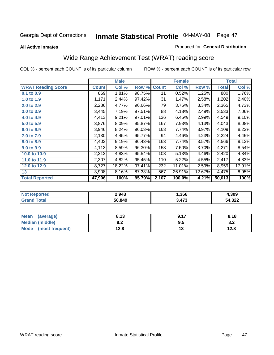#### **All Active Inmates**

#### Produced for **General Distribution**

# Wide Range Achievement Test (WRAT) reading score

|                           |              | <b>Male</b> |        |              | <b>Female</b> |        |              | <b>Total</b> |
|---------------------------|--------------|-------------|--------|--------------|---------------|--------|--------------|--------------|
| <b>WRAT Reading Score</b> | <b>Count</b> | Col %       | Row %  | <b>Count</b> | Col %         | Row %  | <b>Total</b> | Col %        |
| $0.1$ to $0.9$            | 869          | 1.81%       | 98.75% | 11           | 0.52%         | 1.25%  | 880          | 1.76%        |
| 1.0 to 1.9                | 1,171        | 2.44%       | 97.42% | 31           | 1.47%         | 2.58%  | 1,202        | 2.40%        |
| 2.0 to 2.9                | 2,286        | 4.77%       | 96.66% | 79           | 3.75%         | 3.34%  | 2,365        | 4.73%        |
| 3.0 to 3.9                | 3,445        | 7.19%       | 97.51% | 88           | 4.18%         | 2.49%  | 3,533        | 7.06%        |
| 4.0 to 4.9                | 4,413        | 9.21%       | 97.01% | 136          | 6.45%         | 2.99%  | 4,549        | 9.10%        |
| 5.0 to 5.9                | 3,876        | 8.09%       | 95.87% | 167          | 7.93%         | 4.13%  | 4,043        | 8.08%        |
| 6.0 to 6.9                | 3,946        | 8.24%       | 96.03% | 163          | 7.74%         | 3.97%  | 4,109        | 8.22%        |
| 7.0 to 7.9                | 2,130        | 4.45%       | 95.77% | 94           | 4.46%         | 4.23%  | 2,224        | 4.45%        |
| 8.0 to 8.9                | 4,403        | 9.19%       | 96.43% | 163          | 7.74%         | 3.57%  | 4,566        | 9.13%        |
| 9.0 to 9.9                | 4,113        | 8.59%       | 96.30% | 158          | 7.50%         | 3.70%  | 4,271        | 8.54%        |
| 10.0 to 10.9              | 2,312        | 4.83%       | 95.54% | 108          | 5.13%         | 4.46%  | 2,420        | 4.84%        |
| 11.0 to 11.9              | 2,307        | 4.82%       | 95.45% | 110          | 5.22%         | 4.55%  | 2,417        | 4.83%        |
| 12.0 to 12.9              | 8,727        | 18.22%      | 97.41% | 232          | 11.01%        | 2.59%  | 8,959        | 17.91%       |
| 13                        | 3,908        | 8.16%       | 87.33% | 567          | 26.91%        | 12.67% | 4,475        | 8.95%        |
| <b>Total Reported</b>     | 47,906       | 100%        | 95.79% | 2,107        | 100.0%        | 4.21%  | 50,013       | 100%         |

| <b>Not Reported</b> | 2.943  | 366, ا | 4,309  |
|---------------------|--------|--------|--------|
| Total<br>' Grand    | 50,849 | 3,473  | 54,322 |

| <b>Mean</b><br>(average)       | 8.13          | Q 17 | 8.18 |
|--------------------------------|---------------|------|------|
| <b>Median (middle)</b>         | י ה<br>0.Z    | 9.5  | o.z  |
| <b>Mode</b><br>(most frequent) | 19 Q<br>ه.۷ ا | . .  | 12.8 |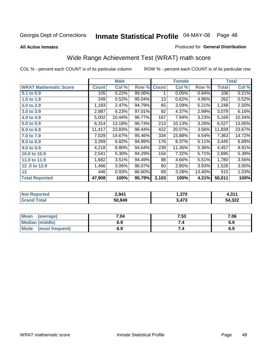**All Active Inmates**

#### Produced for **General Distribution**

# Wide Range Achievement Test (WRAT) math score

|                              |              | <b>Male</b> |        |              | <b>Female</b> |        |                    | <b>Total</b> |
|------------------------------|--------------|-------------|--------|--------------|---------------|--------|--------------------|--------------|
| <b>WRAT Mathematic Score</b> | <b>Count</b> | Col %       | Row %  | <b>Count</b> | Col %         | Row %  | Total              | Col %        |
| 0.1 to 0.9                   | 105          | 0.22%       | 99.06% |              | 0.05%         | 0.94%  | 106                | 0.21%        |
| 1.0 to 1.9                   | 249          | 0.52%       | 95.04% | 13           | 0.62%         | 4.96%  | 262                | 0.52%        |
| 2.0 to 2.9                   | 1,183        | 2.47%       | 94.79% | 65           | 3.09%         | 5.21%  | 1,248              | 2.50%        |
| 3.0 to 3.9                   | 2,987        | 6.23%       | 97.01% | 92           | 4.37%         | 2.99%  | 3,079              | 6.16%        |
| 4.0 to 4.9                   | 5,002        | 10.44%      | 96.77% | 167          | 7.94%         | 3.23%  | 5,169              | 10.34%       |
| 5.0 to 5.9                   | 6,314        | 13.18%      | 96.74% | 213          | 10.13%        | 3.26%  | 6,527              | 13.05%       |
| 6.0 to 6.9                   | 11,417       | 23.83%      | 96.44% | 422          | 20.07%        | 3.56%  | 11,839             | 23.67%       |
| 7.0 to 7.9                   | 7,029        | 14.67%      | 95.46% | 334          | 15.88%        | 4.54%  | 7,363              | 14.72%       |
| 8.0 to 8.9                   | 3,269        | 6.82%       | 94.89% | 176          | 8.37%         | 5.11%  | $\overline{3,}445$ | 6.89%        |
| 9.0 to 9.9                   | 4,218        | 8.80%       | 94.64% | 239          | 11.36%        | 5.36%  | 4,457              | 8.91%        |
| 10.0 to 10.9                 | 2,541        | 5.30%       | 94.29% | 154          | 7.32%         | 5.71%  | 2,695              | 5.39%        |
| 11.0 to 11.9                 | 1,682        | 3.51%       | 94.49% | 98           | 4.66%         | 5.51%  | 1,780              | 3.56%        |
| 12.0 to 12.9                 | 1,466        | 3.06%       | 96.07% | 60           | 2.85%         | 3.93%  | 1,526              | 3.05%        |
| 13                           | 446          | 0.93%       | 86.60% | 69           | 3.28%         | 13.40% | 515                | 1.03%        |
| <b>Total Reported</b>        | 47,908       | 100%        | 95.79% | 2,103        | 100%          | 4.21%  | 50,011             | 100%         |

| <b>Not Reported</b>   | 2,941  | 1,370 | 0.11<br>. |
|-----------------------|--------|-------|-----------|
| Total<br><b>Grand</b> | 50,849 | 3,473 | 54,322    |

| <b>Mean</b><br>(average) | 7.04 | 7.53 | 7.06 |
|--------------------------|------|------|------|
| Median (middle)          | 6.9  |      | 6.9  |
| Mode<br>(most frequent)  | 6.9  | 7.4  | 6.9  |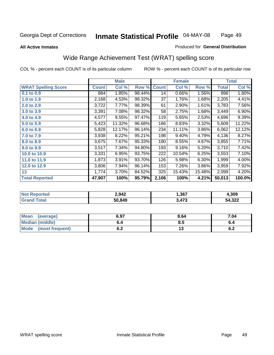#### **All Active Inmates**

#### Produced for **General Distribution**

## Wide Range Achievement Test (WRAT) spelling score

|                            |              | <b>Male</b> |        |              | <b>Female</b> |        |              | <b>Total</b> |
|----------------------------|--------------|-------------|--------|--------------|---------------|--------|--------------|--------------|
| <b>WRAT Spelling Score</b> | <b>Count</b> | Col %       | Row %  | <b>Count</b> | Col %         | Row %  | <b>Total</b> | Col %        |
| $0.1$ to $0.9$             | 884          | 1.85%       | 98.44% | 14           | 0.66%         | 1.56%  | 898          | 1.80%        |
| 1.0 to 1.9                 | 2,168        | 4.53%       | 98.32% | 37           | 1.76%         | 1.68%  | 2,205        | 4.41%        |
| 2.0 to 2.9                 | 3,722        | 7.77%       | 98.39% | 61           | 2.90%         | 1.61%  | 3,783        | 7.56%        |
| 3.0 to 3.9                 | 3,391        | 7.08%       | 98.32% | 58           | 2.75%         | 1.68%  | 3,449        | 6.90%        |
| 4.0 to 4.9                 | 4,577        | 9.55%       | 97.47% | 119          | 5.65%         | 2.53%  | 4,696        | 9.39%        |
| 5.0 to 5.9                 | 5,423        | 11.32%      | 96.68% | 186          | 8.83%         | 3.32%  | 5,609        | 11.22%       |
| 6.0 to 6.9                 | 5,828        | 12.17%      | 96.14% | 234          | 11.11%        | 3.86%  | 6,062        | 12.12%       |
| 7.0 to 7.9                 | 3,938        | 8.22%       | 95.21% | 198          | 9.40%         | 4.79%  | 4,136        | 8.27%        |
| 8.0 to 8.9                 | 3,675        | 7.67%       | 95.33% | 180          | 8.55%         | 4.67%  | 3,855        | 7.71%        |
| 9.0 to 9.9                 | 3,517        | 7.34%       | 94.80% | 193          | 9.16%         | 5.20%  | 3,710        | 7.42%        |
| 10.0 to 10.9               | 3,331        | 6.95%       | 93.75% | 222          | 10.54%        | 6.25%  | 3,553        | 7.10%        |
| 11.0 to 11.9               | 1,873        | 3.91%       | 93.70% | 126          | 5.98%         | 6.30%  | 1,999        | 4.00%        |
| 12.0 to 12.9               | 3,806        | 7.94%       | 96.14% | 153          | 7.26%         | 3.86%  | 3,959        | 7.92%        |
| 13                         | 1,774        | 3.70%       | 84.52% | 325          | 15.43%        | 15.48% | 2,099        | 4.20%        |
| <b>Total Reported</b>      | 47,907       | 100%        | 95.79% | 2,106        | 100%          | 4.21%  | 50,013       | 100.0%       |

| 2,942  | ,367                  | +,309  |
|--------|-----------------------|--------|
| 50.849 | $\rightarrow$<br>.473 | 54,322 |

| <b>Mean</b><br>(average)       | 6.97       | 8.64 | 7.04 |
|--------------------------------|------------|------|------|
| Median (middle)                | o.4        | ၓ.ͻ  |      |
| <b>Mode</b><br>(most frequent) | . .<br>ν.∠ |      | ν.Ζ  |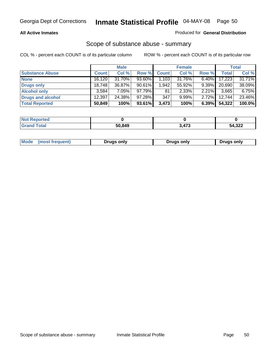#### **All Active Inmates**

### Produced for **General Distribution**

### Scope of substance abuse - summary

|                        |              | <b>Male</b> |           |              | <b>Female</b> |          |              | <b>Total</b> |
|------------------------|--------------|-------------|-----------|--------------|---------------|----------|--------------|--------------|
| <b>Substance Abuse</b> | <b>Count</b> | Col %       | Row %     | <b>Count</b> | Col %         | Row %    | <b>Total</b> | Col %        |
| <b>None</b>            | 16,120       | 31.70%      | 93.60%    | 1,103        | 31.76%        | $6.40\%$ | 17,223       | 31.71%       |
| <b>Drugs only</b>      | 18.748       | 36.87%      | $90.61\%$ | 1,942        | 55.92%        | $9.39\%$ | 20,690       | 38.09%       |
| <b>Alcohol only</b>    | 3.584        | $7.05\%$    | 97.79%    | 81           | 2.33%         | $2.21\%$ | 3,665        | 6.75%        |
| Drugs and alcohol      | 12.397       | 24.38%      | $97.28\%$ | 347          | $9.99\%$      | $2.72\%$ | 12,744       | 23.46%       |
| <b>Total Reported</b>  | 50,849       | 100%        | 93.61%    | 3,473        | 100%          | 6.39%    | 54,322       | 100.0%       |

| <b>Not Reported</b>   |        |       |        |
|-----------------------|--------|-------|--------|
| Гоtal<br><b>Grand</b> | 50.849 | 3,473 | 54,322 |

|  | Mode<br>(most freauent) | Drugs only | Druas only | Drugs only |
|--|-------------------------|------------|------------|------------|
|--|-------------------------|------------|------------|------------|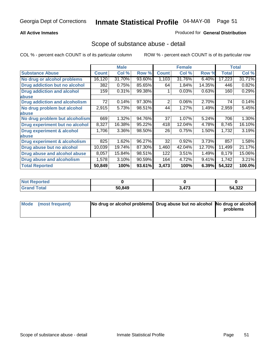### **All Active Inmates**

### Produced for **General Distribution**

### Scope of substance abuse - detail

|                                      |              | <b>Male</b> |        |              | <b>Female</b> |        |              | <b>Total</b> |
|--------------------------------------|--------------|-------------|--------|--------------|---------------|--------|--------------|--------------|
| <b>Substance Abuse</b>               | <b>Count</b> | Col %       | Row %  | <b>Count</b> | Col %         | Row %  | <b>Total</b> | Col %        |
| No drug or alcohol problems          | 16,120       | 31.70%      | 93.60% | 1,103        | 31.76%        | 6.40%  | 17,223       | 31.71%       |
| Drug addiction but no alcohol        | 382          | 0.75%       | 85.65% | 64           | 1.84%         | 14.35% | 446          | 0.82%        |
| <b>Drug addiction and alcohol</b>    | 159          | 0.31%       | 99.38% |              | 0.03%         | 0.63%  | 160          | 0.29%        |
| <b>labuse</b>                        |              |             |        |              |               |        |              |              |
| <b>Drug addiction and alcoholism</b> | 72           | 0.14%       | 97.30% | 2            | 0.06%         | 2.70%  | 74           | 0.14%        |
| No drug problem but alcohol          | 2,915        | 5.73%       | 98.51% | 44           | 1.27%         | 1.49%  | 2,959        | 5.45%        |
| abuse                                |              |             |        |              |               |        |              |              |
| No drug problem but alcoholism       | 669          | 1.32%       | 94.76% | 37           | 1.07%         | 5.24%  | 706          | 1.30%        |
| Drug experiment but no alcohol       | 8,327        | 16.38%      | 95.22% | 418          | 12.04%        | 4.78%  | 8,745        | 16.10%       |
| <b>Drug experiment &amp; alcohol</b> | 1,706        | 3.36%       | 98.50% | 26           | 0.75%         | 1.50%  | 1,732        | 3.19%        |
| abuse                                |              |             |        |              |               |        |              |              |
| Drug experiment & alcoholism         | 825          | 1.62%       | 96.27% | 32           | 0.92%         | 3.73%  | 857          | 1.58%        |
| Drug abuse but no alcohol            | 10,039       | 19.74%      | 87.30% | 1,460        | 42.04%        | 12.70% | 11,499       | 21.17%       |
| Drug abuse and alcohol abuse         | 8,057        | 15.84%      | 98.51% | 122          | 3.51%         | 1.49%  | 8,179        | 15.06%       |
| Drug abuse and alcoholism            | 1,578        | 3.10%       | 90.59% | 164          | 4.72%         | 9.41%  | 1,742        | 3.21%        |
| <b>Total Reported</b>                | 50,849       | 100%        | 93.61% | 3,473        | 100%          | 6.39%  | 54,322       | 100.0%       |

| <b>Not Reported</b> |        |             |        |
|---------------------|--------|-------------|--------|
| 'otal               | 50.849 | 172<br>41 J | 54,322 |

| Mode (most frequent) | No drug or alcohol problems Drug abuse but no alcohol No drug or alcohol |          |
|----------------------|--------------------------------------------------------------------------|----------|
|                      |                                                                          | problems |
|                      |                                                                          |          |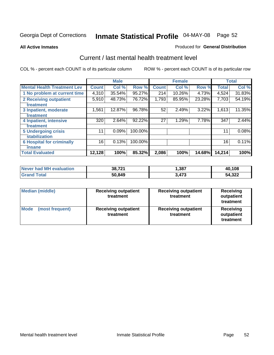#### **All Active Inmates**

### Produced for **General Distribution**

### Current / last mental health treatment level

|                                    |        | <b>Male</b> |         |              | <b>Female</b> |        |              | <b>Total</b> |
|------------------------------------|--------|-------------|---------|--------------|---------------|--------|--------------|--------------|
| <b>Mental Health Treatment Lev</b> | Count  | Col %       | Row %   | <b>Count</b> | Col %         | Row %  | <b>Total</b> | Col %        |
| 1 No problem at current time       | 4,310  | 35.54%      | 95.27%  | 214          | 10.26%        | 4.73%  | 4,524        | 31.83%       |
| 2 Receiving outpatient             | 5,910  | 48.73%      | 76.72%  | 1,793        | 85.95%        | 23.28% | 7,703        | 54.19%       |
| treatment                          |        |             |         |              |               |        |              |              |
| 3 Inpatient, moderate              | 1,561  | 12.87%      | 96.78%  | 52           | 2.49%         | 3.22%  | 1,613        | 11.35%       |
| treatment                          |        |             |         |              |               |        |              |              |
| 4 Inpatient, intensive             | 320    | 2.64%       | 92.22%  | 27           | 1.29%         | 7.78%  | 347          | 2.44%        |
| treatment                          |        |             |         |              |               |        |              |              |
| <b>5 Undergoing crisis</b>         | 11     | 0.09%       | 100.00% |              |               |        | 11           | 0.08%        |
| stabilization                      |        |             |         |              |               |        |              |              |
| <b>6 Hospital for criminally</b>   | 16     | 0.13%       | 100.00% |              |               |        | 16           | 0.11%        |
| insane                             |        |             |         |              |               |        |              |              |
| <b>Total Evaluated</b>             | 12,128 | 100%        | 85.32%  | 2,086        | 100%          | 14.68% | 14,214       | 100%         |

| Never had MH evaluation | 38,721 | 387,  | 40,108 |
|-------------------------|--------|-------|--------|
| l Total<br>' Grand      | 50,849 | 3.473 | 54,322 |

| Median (middle)         | <b>Receiving outpatient</b><br>treatment | <b>Receiving outpatient</b><br>treatment | <b>Receiving</b><br>outpatient<br>treatment |
|-------------------------|------------------------------------------|------------------------------------------|---------------------------------------------|
| Mode<br>(most frequent) | <b>Receiving outpatient</b><br>treatment | <b>Receiving outpatient</b><br>treatment | Receiving<br>outpatient<br>treatment        |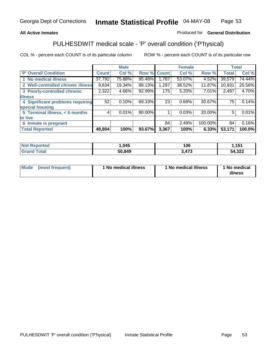### **All Active Inmates**

### Produced for **General Distribution**

# PULHESDWIT medical scale - 'P' overall condition ('P'hysical)

|                                   |              | <b>Male</b> |        |              | <b>Female</b> |         |              | <b>Total</b> |
|-----------------------------------|--------------|-------------|--------|--------------|---------------|---------|--------------|--------------|
| 'P' Overall Condition             | <b>Count</b> | Col %       | Row %  | <b>Count</b> | Col %         | Row %   | <b>Total</b> | Col %        |
| 1 No medical illness              | 37,792       | 75.88%      | 95.48% | 1,787        | 53.07%        | 4.52%   | 39,579       | 74.44%       |
| 2 Well-controlled chronic illness | 9,634        | 19.34%      | 88.13% | 1,297        | 38.52%        | 11.87%  | 10,931       | 20.56%       |
| 3 Poorly-controlled chronic       | 2,322        | $4.66\%$    | 92.99% | 175          | 5.20%         | 7.01%   | 2,497        | 4.70%        |
| <b>illness</b>                    |              |             |        |              |               |         |              |              |
| 4 Significant problems requiring  | 52           | 0.10%       | 69.33% | 23           | 0.68%         | 30.67%  | 75           | 0.14%        |
| special housing                   |              |             |        |              |               |         |              |              |
| 5 Terminal illness, < 6 months    | 4            | 0.01%       | 80.00% |              | 0.03%         | 20.00%  | 5            | 0.01%        |
| to live                           |              |             |        |              |               |         |              |              |
| 6 Inmate is pregnant              |              |             |        | 84           | 2.49%         | 100.00% | 84           | 0.16%        |
| <b>Total Reported</b>             | 49,804       | 100%        | 93.67% | 3,367        | 100%          | 6.33%   | 53,171       | 100.0%       |

| rrec | ,045   | 106        | 151        |
|------|--------|------------|------------|
|      | 50.849 | 170<br>نحر | ,322<br>54 |

| Mode | (most frequent) | 1 No medical illness | 1 No medical illness | 1 No medical<br>illness |
|------|-----------------|----------------------|----------------------|-------------------------|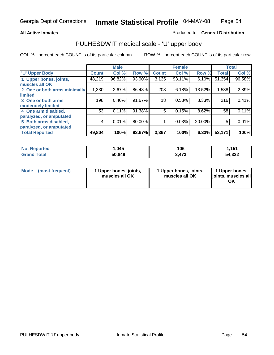#### **All Active Inmates**

#### Produced for **General Distribution**

### PULHESDWIT medical scale - 'U' upper body

|                              |               | <b>Male</b> |        |              | <b>Female</b> |        |              | <b>Total</b> |
|------------------------------|---------------|-------------|--------|--------------|---------------|--------|--------------|--------------|
| <b>U' Upper Body</b>         | <b>Count!</b> | Col %       | Row %  | <b>Count</b> | Col %         | Row %  | <b>Total</b> | Col %        |
| 1 Upper bones, joints,       | 48,219        | 96.82%      | 93.90% | 3,135        | 93.11%        | 6.10%  | 51,354       | 96.58%       |
| muscles all OK               |               |             |        |              |               |        |              |              |
| 2 One or both arms minimally | 1,330         | 2.67%       | 86.48% | 208          | 6.18%         | 13.52% | 1,538        | 2.89%        |
| limited                      |               |             |        |              |               |        |              |              |
| 3 One or both arms           | 198           | 0.40%       | 91.67% | 18           | 0.53%         | 8.33%  | 216          | 0.41%        |
| moderately limited           |               |             |        |              |               |        |              |              |
| 4 One arm disabled,          | 53            | 0.11%       | 91.38% | 5            | 0.15%         | 8.62%  | 58           | 0.11%        |
| paralyzed, or amputated      |               |             |        |              |               |        |              |              |
| 5 Both arms disabled,        | 4             | 0.01%       | 80.00% |              | 0.03%         | 20.00% | 5            | 0.01%        |
| paralyzed, or amputated      |               |             |        |              |               |        |              |              |
| <b>Total Reported</b>        | 49,804        | 100%        | 93.67% | 3,367        | 100%          | 6.33%  | 53,171       | 100%         |

| <b>Not Reported</b>          | 045. ا | 106   | 1,151  |
|------------------------------|--------|-------|--------|
| <b>Total</b><br><b>Grand</b> | 50,849 | 3,473 | 54,322 |

| <b>Mode</b> | (most frequent) | 1 Upper bones, joints,<br>muscles all OK | 1 Upper bones, joints,<br>muscles all OK | 1 Upper bones,<br>joints, muscles all<br>ΟK |
|-------------|-----------------|------------------------------------------|------------------------------------------|---------------------------------------------|
|-------------|-----------------|------------------------------------------|------------------------------------------|---------------------------------------------|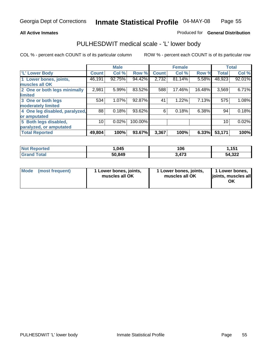#### **All Active Inmates**

### Produced for **General Distribution**

### PULHESDWIT medical scale - 'L' lower body

|                                |              | <b>Male</b> |         |              | <b>Female</b> |        |              | <b>Total</b> |
|--------------------------------|--------------|-------------|---------|--------------|---------------|--------|--------------|--------------|
| 'L' Lower Body                 | <b>Count</b> | Col %       | Row %   | <b>Count</b> | Col %         | Row %  | <b>Total</b> | Col %        |
| 1 Lower bones, joints,         | 46,191       | 92.75%      | 94.42%  | 2,732        | 81.14%        | 5.58%  | 48,923       | 92.01%       |
| muscles all OK                 |              |             |         |              |               |        |              |              |
| 2 One or both legs minimally   | 2,981        | 5.99%       | 83.52%  | 588          | 17.46%        | 16.48% | 3,569        | 6.71%        |
| limited                        |              |             |         |              |               |        |              |              |
| 3 One or both legs             | 534          | 1.07%       | 92.87%  | 41           | 1.22%         | 7.13%  | 575          | 1.08%        |
| moderately limited             |              |             |         |              |               |        |              |              |
| 4 One leg disabled, paralyzed, | 88           | 0.18%       | 93.62%  | 6            | 0.18%         | 6.38%  | 94           | 0.18%        |
| or amputated                   |              |             |         |              |               |        |              |              |
| 5 Both legs disabled,          | 10           | 0.02%       | 100.00% |              |               |        | 10           | 0.02%        |
| paralyzed, or amputated        |              |             |         |              |               |        |              |              |
| <b>Total Reported</b>          | 49,804       | 100%        | 93.67%  | 3,367        | 100%          | 6.33%  | 53,171       | 100%         |

| <b>Not Reported</b>  | .045،  | 106   | <b>454</b><br>. |
|----------------------|--------|-------|-----------------|
| $\tau$ otal<br>Grand | 50,849 | 3,473 | 54,322          |

| Mode | (most frequent) | 1 Lower bones, joints,<br>muscles all OK | 1 Lower bones, joints,<br>muscles all OK | 1 Lower bones,<br>joints, muscles all<br>ΟK |
|------|-----------------|------------------------------------------|------------------------------------------|---------------------------------------------|
|------|-----------------|------------------------------------------|------------------------------------------|---------------------------------------------|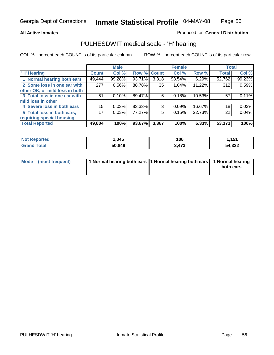#### **All Active Inmates**

### Produced for **General Distribution**

### PULHESDWIT medical scale - 'H' hearing

|                                |                 | <b>Male</b> |             |       | <b>Female</b> |        | <b>Total</b> |        |
|--------------------------------|-----------------|-------------|-------------|-------|---------------|--------|--------------|--------|
| <b>H'</b> Hearing              | <b>Count</b>    | Col %       | Row % Count |       | Col %         | Row %  | <b>Total</b> | Col %  |
| 1 Normal hearing both ears     | 49,444          | 99.28%      | 93.71%      | 3,318 | 98.54%        | 6.29%  | 52,762       | 99.23% |
| 2 Some loss in one ear with    | 277             | 0.56%       | 88.78%      | 35    | 1.04%         | 11.22% | 312          | 0.59%  |
| other OK, or mild loss in both |                 |             |             |       |               |        |              |        |
| 3 Total loss in one ear with   | 51              | 0.10%       | 89.47%      | 6     | 0.18%         | 10.53% | 57           | 0.11%  |
| mild loss in other             |                 |             |             |       |               |        |              |        |
| 4 Severe loss in both ears     | 15              | 0.03%       | 83.33%      | 3     | 0.09%         | 16.67% | 18           | 0.03%  |
| 5 Total loss in both ears,     | 17 <sub>1</sub> | 0.03%       | 77.27%      | 5     | 0.15%         | 22.73% | 22           | 0.04%  |
| requiring special housing      |                 |             |             |       |               |        |              |        |
| <b>Total Reported</b>          | 49,804          | 100%        | 93.67%      | 3,367 | 100%          | 6.33%  | 53,171       | 100%   |

| <b>ported</b><br>NI. | ,045   | 106            | 454<br>1, I J I |
|----------------------|--------|----------------|-----------------|
| <b>f</b> otal        | 50,849 | 172<br>. + I v | 54,322          |

| Mode (most frequent) | 1 Normal hearing both ears   1 Normal hearing both ears   1 Normal hearing |           |
|----------------------|----------------------------------------------------------------------------|-----------|
|                      |                                                                            | both ears |
|                      |                                                                            |           |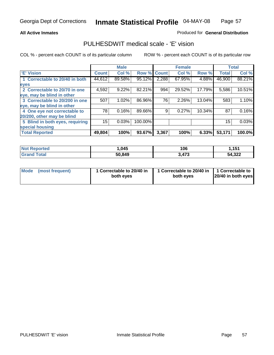#### **All Active Inmates**

### Produced for **General Distribution**

### PULHESDWIT medical scale - 'E' vision

|                                 |              | <b>Male</b> |             |       | <b>Female</b> |        |              | <b>Total</b> |
|---------------------------------|--------------|-------------|-------------|-------|---------------|--------|--------------|--------------|
| 'E' Vision                      | <b>Count</b> | Col %       | Row % Count |       | Col %         | Row %  | <b>Total</b> | Col %        |
| 1 Correctable to 20/40 in both  | 44,612       | 89.58%      | 95.12%      | 2,288 | 67.95%        | 4.88%  | 46,900       | 88.21%       |
| eyes                            |              |             |             |       |               |        |              |              |
| 2 Correctable to 20/70 in one   | 4,592        | 9.22%       | 82.21%      | 994   | 29.52%        | 17.79% | 5,586        | 10.51%       |
| eye, may be blind in other      |              |             |             |       |               |        |              |              |
| 3 Correctable to 20/200 in one  | 507          | 1.02%       | 86.96%      | 76    | 2.26%         | 13.04% | 583          | 1.10%        |
| eye, may be blind in other      |              |             |             |       |               |        |              |              |
| 4 One eye not correctable to    | 78           | 0.16%       | 89.66%      | 9     | 0.27%         | 10.34% | 87           | 0.16%        |
| 20/200, other may be blind      |              |             |             |       |               |        |              |              |
| 5 Blind in both eyes, requiring | 15           | 0.03%       | 100.00%     |       |               |        | 15           | 0.03%        |
| special housing                 |              |             |             |       |               |        |              |              |
| <b>Total Reported</b>           | 49,804       | 100%        | 93.67%      | 3,367 | 100%          | 6.33%  | 53,171       | 100.0%       |

| <b>Not Reported</b>        | .045   | 106   | 4E4<br>. v |
|----------------------------|--------|-------|------------|
| Total<br>Gran <sup>®</sup> | 50,849 | 3,473 | 54,322     |

| Mode | (most frequent) | 1 Correctable to 20/40 in<br>both eves | 1 Correctable to 20/40 in   1 Correctable to<br>both eves | 20/40 in both eyes |
|------|-----------------|----------------------------------------|-----------------------------------------------------------|--------------------|
|------|-----------------|----------------------------------------|-----------------------------------------------------------|--------------------|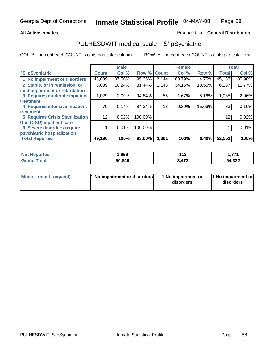#### **All Active Inmates**

### Produced for **General Distribution**

## PULHESDWIT medical scale - 'S' pSychiatric

|                                        |                 | <b>Male</b> |            |              | <b>Female</b> |        |              | <b>Total</b> |
|----------------------------------------|-----------------|-------------|------------|--------------|---------------|--------|--------------|--------------|
| 'S' pSychiatric                        | <b>Count</b>    | Col %       | Row %      | <b>Count</b> | Col %         | Row %  | <b>Total</b> | Col %        |
| 1 No impairment or disorders           | 43,039          | 87.50%      | 95.25%     | 2,144        | 63.79%        | 4.75%  | 45,183       | 85.98%       |
| 2 Stable, or in remission, or          | 5,039           | 10.24%      | 81.44%     | 1,148        | 34.16%        | 18.56% | 6,187        | 11.77%       |
| mild impairment or retardation         |                 |             |            |              |               |        |              |              |
| 3 Requires moderate inpatient          | 1,029           | 2.09%       | 94.84%     | 56           | 1.67%         | 5.16%  | 1,085        | 2.06%        |
| treatment                              |                 |             |            |              |               |        |              |              |
| 4 Requires intensive inpatient         | 70              | 0.14%       | 84.34%     | 13           | 0.39%         | 15.66% | 83           | 0.16%        |
| treatment                              |                 |             |            |              |               |        |              |              |
| <b>5 Requires Crisis Stabilization</b> | 12 <sub>1</sub> | 0.02%       | 100.00%    |              |               |        | 12           | 0.02%        |
| Unit (CSU) inpatient care              |                 |             |            |              |               |        |              |              |
| <b>6 Severe disorders require</b>      |                 | 0.01%       | $100.00\%$ |              |               |        |              | 0.01%        |
| psychiatric hospitalization            |                 |             |            |              |               |        |              |              |
| <b>Total Reported</b>                  | 49,190          | 100%        | 93.60%     | 3,361        | 100%          | 6.40%  | 52,551       | 100%         |

| <b>Not Reported</b> | ,659   | 110<br>I I 4 | フフィ    |
|---------------------|--------|--------------|--------|
| <b>Grand Total</b>  | 50,849 | 3,473        | 54,322 |

| Mode<br>1 No impairment or disorders<br>(most frequent) | 1 No impairment or<br>disorders | 1 No impairment or<br>disorders |
|---------------------------------------------------------|---------------------------------|---------------------------------|
|---------------------------------------------------------|---------------------------------|---------------------------------|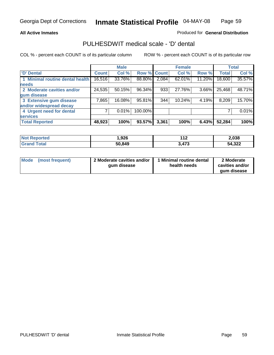#### **All Active Inmates**

### Produced for **General Distribution**

### PULHESDWIT medical scale - 'D' dental

|                                 |              | <b>Male</b> |             |       | <b>Female</b> |        |              | <b>Total</b> |
|---------------------------------|--------------|-------------|-------------|-------|---------------|--------|--------------|--------------|
| <b>D' Dental</b>                | <b>Count</b> | Col %       | Row % Count |       | Col %         | Row %  | <b>Total</b> | Col %        |
| 1 Minimal routine dental health | 16,516       | 33.76%      | 88.80%      | 2,084 | 62.01%        | 11.20% | 18,600       | 35.57%       |
| <b>needs</b>                    |              |             |             |       |               |        |              |              |
| 2 Moderate cavities and/or      | 24,535       | 50.15%      | 96.34%      | 933   | 27.76%        | 3.66%  | 25,468       | 48.71%       |
| gum disease                     |              |             |             |       |               |        |              |              |
| 3 Extensive gum disease         | 7,865        | 16.08%      | 95.81%      | 344   | 10.24%        | 4.19%  | 8,209        | 15.70%       |
| and/or widespread decay         |              |             |             |       |               |        |              |              |
| 4 Urgent need for dental        |              | 0.01%       | 100.00%     |       |               |        |              | $0.01\%$     |
| <b>services</b>                 |              |             |             |       |               |        |              |              |
| <b>Total Reported</b>           | 48,923       | 100%        | 93.57%      | 3,361 | 100%          | 6.43%  | 52,284       | 100%         |

| <b>Not</b><br>ported | ,926   | 142<br>.         | 2,038  |
|----------------------|--------|------------------|--------|
| `otal                | 50,849 | $1 - 2$<br>3.473 | 54,322 |

| <b>Mode</b><br>(most frequent) | 2 Moderate cavities and/or<br>qum disease | Minimal routine dental<br>health needs | 2 Moderate<br>cavities and/or<br>qum disease |
|--------------------------------|-------------------------------------------|----------------------------------------|----------------------------------------------|
|                                |                                           |                                        |                                              |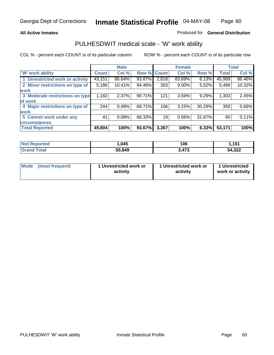#### **All Active Inmates**

#### Produced for **General Distribution**

### PULHESDWIT medical scale - 'W' work ability

|                                 |              | <b>Male</b> |        |              | <b>Female</b> |        |              | <b>Total</b> |
|---------------------------------|--------------|-------------|--------|--------------|---------------|--------|--------------|--------------|
| W' work ability                 | <b>Count</b> | Col %       | Row %  | <b>Count</b> | Col %         | Row %  | <b>Total</b> | Col %        |
| 1 Unrestricted work or activity | 43,151       | 86.64%      | 93.87% | 2,818        | 83.69%        | 6.13%  | 45,969       | 86.46%       |
| 2 Minor restrictions on type of | 5,186        | 10.41%      | 94.48% | 303          | $9.00\%$      | 5.52%  | 5,489        | 10.32%       |
| <b>work</b>                     |              |             |        |              |               |        |              |              |
| 3 Moderate restrictions on type | 1,182        | 2.37%       | 90.71% | 121          | 3.59%         | 9.29%  | 1,303        | 2.45%        |
| of work                         |              |             |        |              |               |        |              |              |
| 4 Major restrictions on type of | 244          | 0.49%       | 69.71% | 106          | 3.15%         | 30.29% | 350          | 0.66%        |
| <b>work</b>                     |              |             |        |              |               |        |              |              |
| 5 Cannot work under any         | 41           | 0.08%       | 68.33% | 19           | 0.56%         | 31.67% | 60           | 0.11%        |
| <b>circumstances</b>            |              |             |        |              |               |        |              |              |
| <b>Total Reported</b>           | 49,804       | 100%        | 93.67% | 3,367        | 100%          | 6.33%  | 53,171       | 100%         |

| <b>Not Reported</b>          | ,045   | 106   | ,151   |
|------------------------------|--------|-------|--------|
| <b>Total</b><br><b>Grand</b> | 50,849 | 3,473 | 54,322 |

| Mode (most frequent) | 1 Unrestricted work or | 1 Unrestricted work or | 1 Unrestricted   |
|----------------------|------------------------|------------------------|------------------|
|                      | activity               | activity               | work or activity |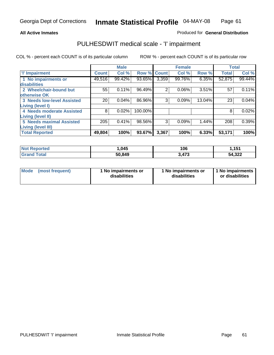#### **All Active Inmates**

### Produced for **General Distribution**

## PULHESDWIT medical scale - 'I' impairment

|                                   |              | <b>Male</b> |             |                | <b>Female</b> |        | <b>Total</b> |        |
|-----------------------------------|--------------|-------------|-------------|----------------|---------------|--------|--------------|--------|
| <b>T' Impairment</b>              | <b>Count</b> | Col %       | Row % Count |                | Col %         | Row %  | <b>Total</b> | Col %  |
| 1 No impairments or               | 49,516       | 99.42%      | 93.65%      | 3,359          | 99.76%        | 6.35%  | 52,875       | 99.44% |
| disabilities                      |              |             |             |                |               |        |              |        |
| 2 Wheelchair-bound but            | 55           | 0.11%       | 96.49%      | $\overline{2}$ | 0.06%         | 3.51%  | 57           | 0.11%  |
| otherwise OK                      |              |             |             |                |               |        |              |        |
| <b>3 Needs low-level Assisted</b> | 20           | 0.04%       | 86.96%      | 3              | 0.09%         | 13.04% | 23           | 0.04%  |
| Living (level I)                  |              |             |             |                |               |        |              |        |
| 4 Needs moderate Assisted         | 8            | 0.02%       | 100.00%     |                |               |        | 8            | 0.02%  |
| <b>Living (level II)</b>          |              |             |             |                |               |        |              |        |
| 5 Needs maximal Assisted          | 205          | 0.41%       | 98.56%      | 3              | 0.09%         | 1.44%  | 208          | 0.39%  |
| <b>Living (level III)</b>         |              |             |             |                |               |        |              |        |
| <b>Total Reported</b>             | 49,804       | 100%        | 93.67%      | 3,367          | 100%          | 6.33%  | 53,171       | 100%   |

| <b>Not Reported</b> | ,045   | 106   | 1,151  |
|---------------------|--------|-------|--------|
| <b>Grand Total</b>  | 50,849 | 3,473 | 54,322 |

| Mode | (most frequent) | 1 No impairments or<br>disabilities | 1 No impairments or<br>disabilities | 1 No impairments<br>or disabilities |
|------|-----------------|-------------------------------------|-------------------------------------|-------------------------------------|
|------|-----------------|-------------------------------------|-------------------------------------|-------------------------------------|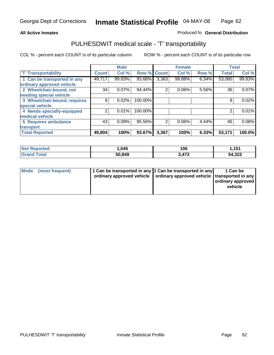#### **Inmate Statistical Profile** 04-MAY-08 Page Page 62

### All Active Inmates **All Active Inmates All Active Inmates Produced fo General Distribution**

### PULHESDWIT medical scale - 'T' transportability

|                              |              | <b>Male</b> |             |                | <b>Female</b> |       | <b>Total</b> |        |
|------------------------------|--------------|-------------|-------------|----------------|---------------|-------|--------------|--------|
| <b>T' Transportability</b>   | <b>Count</b> | Col %       | Row % Count |                | Col %         | Row % | <b>Total</b> | Col %  |
| 1 Can be transported in any  | 49,717       | 99.83%      | 93.66%      | 3,363          | 99.88%        | 6.34% | 53,080       | 99.83% |
| ordinary approved vehicle    |              |             |             |                |               |       |              |        |
| 2 Wheelchair-bound, not      | 34           | 0.07%       | 94.44%      | 2              | 0.06%         | 5.56% | 36           | 0.07%  |
| needing special vehicle      |              |             |             |                |               |       |              |        |
| 3 Wheelchair-bound, requires | 8            | 0.02%       | 100.00%     |                |               |       | 8            | 0.02%  |
| special vehicle              |              |             |             |                |               |       |              |        |
| 4 Needs specially-equipped   | ⌒            | 0.01%       | 100.00%     |                |               |       |              | 0.01%  |
| medical vehicle              |              |             |             |                |               |       |              |        |
| <b>5 Requires ambulance</b>  | 43           | 0.09%       | 95.56%      | $\overline{2}$ | 0.06%         | 4.44% | 45           | 0.08%  |
| transport                    |              |             |             |                |               |       |              |        |
| <b>Total Reported</b>        | 49,804       | 100%        | 93.67%      | 3,367          | 100%          | 6.33% | 53,171       | 100.0% |

| <b>Not Reported</b>   | 045.،  | 106   | 1,151  |
|-----------------------|--------|-------|--------|
| <b>Total</b><br>⊣Grar | 50,849 | 3,473 | 54,322 |

| Mode (most frequent) | 1 Can be transported in any 1 Can be transported in any | ordinary approved vehicle   ordinary approved vehicle   transported in any | 1 Can be<br>ordinary approved<br>vehicle |
|----------------------|---------------------------------------------------------|----------------------------------------------------------------------------|------------------------------------------|
|                      |                                                         |                                                                            |                                          |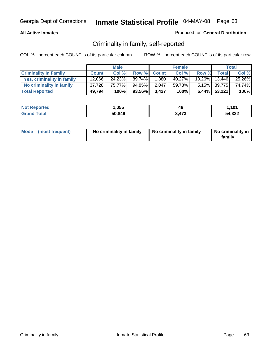### **All Active Inmates**

### Produced for **General Distribution**

## Criminality in family, self-reported

|                              |              | <b>Male</b> |         |              | <b>Female</b> |       |                 | <b>Total</b> |
|------------------------------|--------------|-------------|---------|--------------|---------------|-------|-----------------|--------------|
| <b>Criminality In Family</b> | <b>Count</b> | Col %       | Row %   | <b>Count</b> | Col %         | Row % | <b>Total</b>    | Col %        |
| Yes, criminality in family   | 12.066       | 24.23%      | 89.74%I | 1,380        | 40.27%        |       | 10.26% 13,446   | 25.26%       |
| No criminality in family     | 37,728       | 75.77%      | 94.85%  | 2,047        | 59.73%        |       | 5.15% 39,775    | 74.74%       |
| <b>Total Reported</b>        | 49,794       | 100%        | 93.56%  | 3.427        | 100%          |       | $6.44\%$ 53,221 | 100%         |

| <b>Not Reported</b> | ,055   | 40    | 1.101  |
|---------------------|--------|-------|--------|
| Total<br>Grand      | 50,849 | 3,473 | 54,322 |

| Mode (most frequent) |  | No criminality in family | No criminality in family | No criminality in<br>family |
|----------------------|--|--------------------------|--------------------------|-----------------------------|
|----------------------|--|--------------------------|--------------------------|-----------------------------|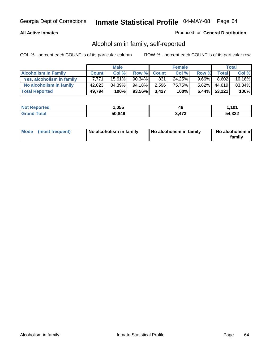### **All Active Inmates**

### Produced for **General Distribution**

## Alcoholism in family, self-reported

|                             |              | <b>Male</b> |           |              | <b>Female</b> |          |                 | <b>Total</b> |
|-----------------------------|--------------|-------------|-----------|--------------|---------------|----------|-----------------|--------------|
| <b>Alcoholism In Family</b> | <b>Count</b> | Col %       | Row %     | <b>Count</b> | Col %         | Row %    | <b>Total</b>    | Col %        |
| Yes, alcoholism in family   | 7.771        | $15.61\%$   | $90.34\%$ | 831          | 24.25%        | $9.66\%$ | 8,602           | 16.16%       |
| No alcoholism in family     | 42,023       | 84.39%      | 94.18%    | 2,596        | 75.75%        |          | $5.82\%$ 44,619 | 83.84%       |
| <b>Total Reported</b>       | 49,794       | 100%        | 93.56%    | 3,427'       | 100%          |          | $6.44\%$ 53,221 | 100%         |

| <b>Not Reported</b> | ,055   | 40    | 1.101  |
|---------------------|--------|-------|--------|
| Total<br>Grand      | 50,849 | 3,473 | 54,322 |

|  | Mode (most frequent) | No alcoholism in family | No alcoholism in family | No alcoholism in<br>family |
|--|----------------------|-------------------------|-------------------------|----------------------------|
|--|----------------------|-------------------------|-------------------------|----------------------------|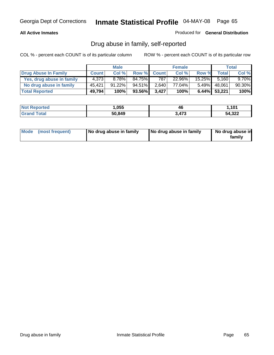### **All Active Inmates**

Produced for **General Distribution**

## Drug abuse in family, self-reported

|                           |              | <b>Male</b> |                 |              | <b>Female</b> |           |                 | <b>Total</b> |
|---------------------------|--------------|-------------|-----------------|--------------|---------------|-----------|-----------------|--------------|
| Drug Abuse In Family      | <b>Count</b> | Col %       | Row %           | <b>Count</b> | Col %         | Row %     | <b>Total</b>    | Col %        |
| Yes, drug abuse in family | 4.373        | 8.78%       | 84.75%          | 787          | 22.96%        | $15.25\%$ | 5.160           | $9.70\%$     |
| No drug abuse in family   | 45,421       | $91.22\%$   | 94.51% <b>I</b> | 2,640        | 77.04%        | $5.49\%$  | 48,061          | 90.30%       |
| <b>Total Reported</b>     | 49,794       | 100%        | 93.56%          | 3.427        | 100%          |           | $6.44\%$ 53,221 | 100%         |

| <b>Not Reported</b> | ,055   | 46  | 1,101  |
|---------------------|--------|-----|--------|
| <b>c</b> otal       | 50,849 | 473 | 54,322 |

|  | Mode (most frequent) | No drug abuse in family | No drug abuse in family | No drug abuse in<br>family |
|--|----------------------|-------------------------|-------------------------|----------------------------|
|--|----------------------|-------------------------|-------------------------|----------------------------|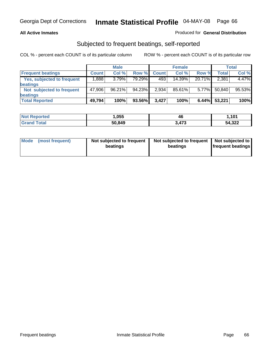#### **All Active Inmates**

### Produced for **General Distribution**

### Subjected to frequent beatings, self-reported

|                                   |              | <b>Male</b> |        |              | <b>Female</b> |        |        | <b>Total</b> |
|-----------------------------------|--------------|-------------|--------|--------------|---------------|--------|--------|--------------|
| <b>Frequent beatings</b>          | <b>Count</b> | Col%        | Row %  | <b>Count</b> | Col%          | Row %  | Total  | Col %        |
| <b>Yes, subjected to frequent</b> | .888         | 3.79%       | 79.29% | 493          | 14.39%        | 20.71% | 2,381  | 4.47%        |
| <b>beatings</b>                   |              |             |        |              |               |        |        |              |
| Not subjected to frequent         | 47,906       | 96.21%      | 94.23% | 2,934        | 85.61%        | 5.77%  | 50,840 | 95.53%       |
| <b>beatings</b>                   |              |             |        |              |               |        |        |              |
| <b>Total Reported</b>             | 49,794       | 100%        | 93.56% | 3,427        | 100%          | 6.44%  | 53,221 | 100%         |

| วrtea<br>NO:  | ,055   | . .<br>46              | 1,101  |
|---------------|--------|------------------------|--------|
| <b>r</b> otal | 50,849 | $.17^{\circ}$<br>ט ו + | 54,322 |

| <b>Mode</b> | (most frequent) | Not subjected to frequent<br>beatings | Not subjected to frequent<br>beatings | Not subjected to<br>frequent beatings |
|-------------|-----------------|---------------------------------------|---------------------------------------|---------------------------------------|
|             |                 |                                       |                                       |                                       |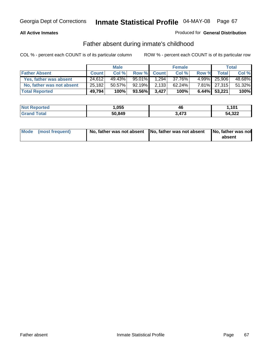### **All Active Inmates**

### Produced for **General Distribution**

### Father absent during inmate's childhood

|                           |              | <b>Male</b> |         |             | <b>Female</b> |       |                 | Total  |
|---------------------------|--------------|-------------|---------|-------------|---------------|-------|-----------------|--------|
| <b>Father Absent</b>      | <b>Count</b> | Col %       |         | Row % Count | Col %         | Row % | <b>Total</b>    | Col %  |
| Yes, father was absent    | 24.612       | 49.43%      | 95.01%I | 1.294       | 37.76%        |       | 4.99% 25,906    | 48.68% |
| No, father was not absent | 25,182       | $50.57\%$   | 92.19%  | 2,133       | 62.24%        |       | 7.81% 27,315    | 51.32% |
| <b>Total Reported</b>     | 49,794       | 100%        | 93.56%  | 3.427       | 100%          |       | $6.44\%$ 53,221 | 100%   |

| <b>Not Reported</b> | ,055   | 46    | 101.ا  |
|---------------------|--------|-------|--------|
| <b>Grand Total</b>  | 50,849 | 3,473 | 54,322 |

| Mode (most frequent) |  | absent |
|----------------------|--|--------|
|                      |  |        |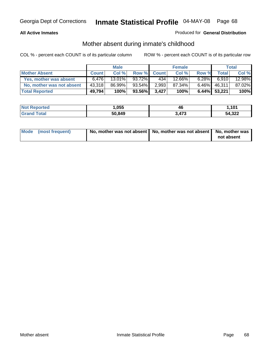### **All Active Inmates**

### Produced for **General Distribution**

## Mother absent during inmate's childhood

|                           |              | <b>Male</b> |        |              | <b>Female</b> |          |                 | Total  |
|---------------------------|--------------|-------------|--------|--------------|---------------|----------|-----------------|--------|
| <b>Mother Absent</b>      | <b>Count</b> | Col %       | Row %  | <b>Count</b> | Col %         | Row %    | Total,          | Col %  |
| Yes, mother was absent    | 6.476        | $13.01\%$   | 93.72% | 434          | 12.66%        | $6.28\%$ | 6.910           | 12.98% |
| No, mother was not absent | 43,318       | 86.99%      | 93.54% | 2,993        | 87.34%        | $6.46\%$ | 46,311          | 87.02% |
| <b>Total Reported</b>     | 49,794       | 100%        | 93.56% | 3.427        | 100%          |          | $6.44\%$ 53,221 | 100%   |

| <b>Not Reported</b> | ,055   | 46    | 101.ا  |
|---------------------|--------|-------|--------|
| <b>Grand Total</b>  | 50,849 | 3,473 | 54,322 |

| Mode (most frequent) | No, mother was not absent   No, mother was not absent   No, mother was | not absent |
|----------------------|------------------------------------------------------------------------|------------|
|----------------------|------------------------------------------------------------------------|------------|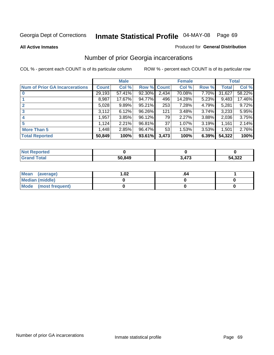**All Active Inmates**

#### Produced for **General Distribution**

## Number of prior Georgia incarcerations

|                                       |              | <b>Male</b> |                    |       | <b>Female</b> |       |        | <b>Total</b> |
|---------------------------------------|--------------|-------------|--------------------|-------|---------------|-------|--------|--------------|
| <b>Num of Prior GA Incarcerations</b> | <b>Count</b> | Col %       | <b>Row % Count</b> |       | Col %         | Row % | Total  | Col %        |
| $\bf{0}$                              | 29,193       | 57.41%      | 92.30%             | 2,434 | 70.08%        | 7.70% | 31,627 | 58.22%       |
|                                       | 8,987        | 17.67%      | 94.77%             | 496   | 14.28%        | 5.23% | 9,483  | 17.46%       |
|                                       | 5,028        | 9.89%       | 95.21%             | 253   | 7.28%         | 4.79% | 5,281  | 9.72%        |
| 3                                     | 3,112        | 6.12%       | 96.26%             | 121   | 3.48%         | 3.74% | 3,233  | 5.95%        |
|                                       | 1,957        | 3.85%       | 96.12%             | 79    | 2.27%         | 3.88% | 2,036  | 3.75%        |
| 5                                     | 1,124        | 2.21%       | 96.81%             | 37    | 1.07%         | 3.19% | 1,161  | 2.14%        |
| <b>More Than 5</b>                    | 1,448        | 2.85%       | 96.47%             | 53    | 1.53%         | 3.53% | 1,501  | 2.76%        |
| <b>Total Reported</b>                 | 50,849       | 100%        | 93.61%             | 3,473 | 100%          | 6.39% | 54,322 | 100%         |

| orted<br>NO.        |        |     |        |
|---------------------|--------|-----|--------|
| <b>Total</b><br>Gr: | 50,849 | 172 | 54,322 |

| Mean (average)       | l.O2 | -04 |  |
|----------------------|------|-----|--|
| Median (middle)      |      |     |  |
| Mode (most frequent) |      |     |  |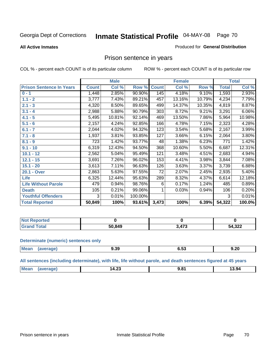**All Active Inmates**

#### Produced for **General Distribution**

### Prison sentence in years

COL % - percent each COUNT is of its particular column ROW % - percent each COUNT is of its particular row

|                                 |              | <b>Male</b> |         |              | <b>Female</b> |        |                  | <b>Total</b> |
|---------------------------------|--------------|-------------|---------|--------------|---------------|--------|------------------|--------------|
| <b>Prison Sentence In Years</b> | <b>Count</b> | Col %       | Row %   | <b>Count</b> | Col %         | Row %  | <b>Total</b>     | Col %        |
| $0 - 1$                         | 1,448        | 2.85%       | 90.90%  | 145          | 4.18%         | 9.10%  | 1,593            | 2.93%        |
| $1.1 - 2$                       | 3,777        | 7.43%       | 89.21%  | 457          | 13.16%        | 10.79% | 4,234            | 7.79%        |
| $2.1 - 3$                       | 4,320        | 8.50%       | 89.65%  | 499          | 14.37%        | 10.35% | 4,819            | 8.87%        |
| $3.1 - 4$                       | 2,988        | 5.88%       | 90.79%  | 303          | 8.72%         | 9.21%  | 3,291            | 6.06%        |
| $4.1 - 5$                       | 5,495        | 10.81%      | 92.14%  | 469          | 13.50%        | 7.86%  | 5,964            | 10.98%       |
| $5.1 - 6$                       | 2,157        | 4.24%       | 92.85%  | 166          | 4.78%         | 7.15%  | $\sqrt{2}$ , 323 | 4.28%        |
| $6.1 - 7$                       | 2,044        | 4.02%       | 94.32%  | 123          | 3.54%         | 5.68%  | 2,167            | 3.99%        |
| $7.1 - 8$                       | 1,937        | 3.81%       | 93.85%  | 127          | 3.66%         | 6.15%  | 2,064            | 3.80%        |
| $8.1 - 9$                       | 723          | 1.42%       | 93.77%  | 48           | 1.38%         | 6.23%  | 771              | 1.42%        |
| $9.1 - 10$                      | 6,319        | 12.43%      | 94.50%  | 368          | 10.60%        | 5.50%  | 6,687            | 12.31%       |
| $10.1 - 12$                     | 2,562        | 5.04%       | 95.49%  | 121          | 3.48%         | 4.51%  | $\sqrt{2,683}$   | 4.94%        |
| $12.1 - 15$                     | 3,691        | 7.26%       | 96.02%  | 153          | 4.41%         | 3.98%  | 3,844            | 7.08%        |
| $15.1 - 20$                     | 3,613        | 7.11%       | 96.63%  | 126          | 3.63%         | 3.37%  | 3,739            | 6.88%        |
| 20.1 - Over                     | 2,863        | 5.63%       | 97.55%  | 72           | 2.07%         | 2.45%  | 2,935            | 5.40%        |
| <b>Life</b>                     | 6,325        | 12.44%      | 95.63%  | 289          | 8.32%         | 4.37%  | 6,614            | 12.18%       |
| <b>Life Without Parole</b>      | 479          | 0.94%       | 98.76%  | 6            | 0.17%         | 1.24%  | 485              | 0.89%        |
| <b>Death</b>                    | 105          | 0.21%       | 99.06%  |              | 0.03%         | 0.94%  | 106              | 0.20%        |
| <b>Youthful Offenders</b>       | 3            | 0.01%       | 100.00% |              |               |        | 3                | 0.01%        |
| <b>Total Reported</b>           | 50,849       | 100%        | 93.61%  | 3,473        | 100%          | 6.39%  | 54,322           | 100.0%       |

| <b>Not Reported</b> |        |       |        |
|---------------------|--------|-------|--------|
| <b>Grand Total</b>  | 50.849 | 2 A7? | 54,322 |

#### **Determinate (numeric) sentences only**

| Mean<br>$\cdots$ | апе | - 20<br>9.39 | v.v.<br>$  -$ | 9.20 |
|------------------|-----|--------------|---------------|------|
|                  |     |              |               |      |

**All sentences (including determinate), with life, life without parole, and death sentences figured at 45 years**

| $^{\dagger}$ Me:<br>$\sim$<br>. 3.94<br>1 Л<br>∪⊾.דו<br>-------<br>____<br>___ |  |  |  |
|--------------------------------------------------------------------------------|--|--|--|
|                                                                                |  |  |  |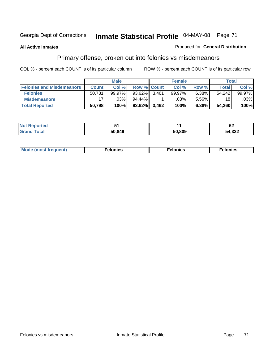#### **All Active Inmates**

#### Produced for **General Distribution**

# Primary offense, broken out into felonies vs misdemeanors

|                                  |              | <b>Male</b> |                    |       | <b>Female</b> |       | Total        |        |
|----------------------------------|--------------|-------------|--------------------|-------|---------------|-------|--------------|--------|
| <b>Felonies and Misdemeanors</b> | <b>Count</b> | Col%        | <b>Row % Count</b> |       | Col %         | Row % | <b>Total</b> | Col %  |
| <b>Felonies</b>                  | 50,781       | $99.97\%$   | 93.62%             | 3.461 | 99.97%        | 6.38% | 54.242       | 99.97% |
| <b>Misdemeanors</b>              | 17           | $.03\%$     | 94.44%             |       | .03%          | 5.56% | 18           | .03%   |
| <b>Total Reported</b>            | 50,798       | 100%        | $93.62\%$          | 3,462 | 100%          | 6.38% | 54,260       | 100%   |

| <b>Not</b><br>eported |       |        | r r<br>VZ |
|-----------------------|-------|--------|-----------|
| Grar<br><b>otal</b>   | 50849 | 50.809 | 54,322    |

| M | . | . | . |
|---|---|---|---|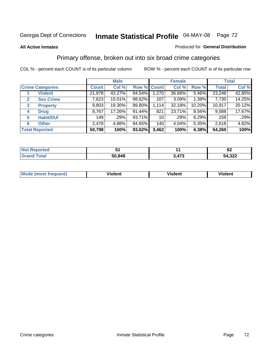#### **All Active Inmates**

#### Produced for **General Distribution**

## Primary offense, broken out into six broad crime categories

|                                  |              | <b>Male</b> |             |       | <b>Female</b> |          |              | <b>Total</b> |
|----------------------------------|--------------|-------------|-------------|-------|---------------|----------|--------------|--------------|
| <b>Crime Categories</b>          | <b>Count</b> | Col %       | Row % Count |       | Col %         | Row %    | <b>Total</b> | Col %        |
| <b>Violent</b>                   | 21,978       | 43.27%      | 94.54%      | 1,270 | 36.68%        | 5.46%    | 23,248       | 42.85%       |
| <b>Sex Crime</b><br>$\mathbf{2}$ | 7,623        | 15.01%      | 98.62%      | 107   | 3.09%         | 1.38%    | 7,730        | 14.25%       |
| $\mathbf{3}$<br><b>Property</b>  | 9,803        | 19.30%      | 89.80%      | 1,114 | 32.18%        | 10.20%   | 10,917       | 20.12%       |
| <b>Drug</b><br>4                 | 8,767        | 17.26%      | 91.44%      | 821   | 23.71%        | $8.56\%$ | 9,588        | 17.67%       |
| <b>Habit/DUI</b><br>5            | 149          | .29%        | 93.71%      | 10    | .29%          | 6.29%    | 159          | .29%         |
| <b>Other</b><br>6                | 2,478        | 4.88%       | 94.65%      | 140   | 4.04%         | 5.35%    | 2,618        | 4.82%        |
| <b>Total Reported</b>            | 50,798       | 100%        | 93.62%      | 3,462 | 100%          | 6.38%    | 54,260       | 100%         |

| orter. |        |     | ~<br>VZ.             |  |
|--------|--------|-----|----------------------|--|
| ota    | 50,849 | 472 | າາາ<br>54 R<br>4.322 |  |

| <b>Mou</b><br>'uent) | .<br>วlent<br>'IL | $- -$<br>ıolent | . .<br>วlent |
|----------------------|-------------------|-----------------|--------------|
|                      |                   |                 |              |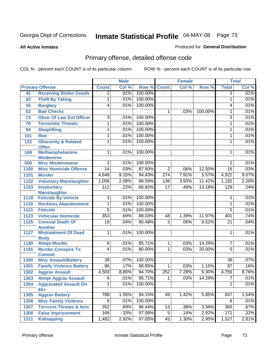#### **All Active Inmates**

#### Produced for **General Distribution**

# Primary offense, detailed offense code

|      |                                                | <b>Male</b>     |       | <b>Female</b> |                  |       | <b>Total</b> |                 |       |
|------|------------------------------------------------|-----------------|-------|---------------|------------------|-------|--------------|-----------------|-------|
|      | <b>Primary Offense</b>                         | <b>Count</b>    | Col % | Row %         | <b>Count</b>     | Col % | Row %        | <b>Total</b>    | Col % |
| 42   | <b>Receiving Stolen Goods</b>                  | $\overline{2}$  | .01%  | 100.00%       |                  |       |              | $\overline{2}$  | .01%  |
| 43   | <b>Theft By Taking</b>                         | 1               | .01%  | 100.00%       |                  |       |              | $\mathbf{1}$    | .01%  |
| 45   | <b>Burglary</b>                                | $\overline{4}$  | .01%  | 100.00%       |                  |       |              | 4               | .01%  |
| 52   | <b>Bad Checks</b>                              |                 |       |               | 1                | .03%  | 100.00%      | 1               | .01%  |
| 73   | <b>Obstr Of Law Enf Officer</b>                | $\overline{3}$  | .01%  | 100.00%       |                  |       |              | $\overline{3}$  | .01%  |
| 78   | <b>Terroristic Threats</b>                     | 1               | .01%  | 100.00%       |                  |       |              | 1               | .01%  |
| 94   | <b>Shoplifting</b>                             | 1               | .01%  | 100.00%       |                  |       |              | 1               | .01%  |
| 101  | <b>Riot</b>                                    | 1               | .01%  | 100.00%       |                  |       |              | 1               | .01%  |
| 122  | <b>Obscenity &amp; Related</b><br><b>Offen</b> | $\overline{1}$  | .01%  | 100.00%       |                  |       |              | 1               | .01%  |
| 169  | <b>Methamphetamine</b><br><b>Misdemnor</b>     | $\mathbf 1$     | .01%  | 100.00%       |                  |       |              | 1               | .01%  |
| 500  | <b>Misc Misdemeanor</b>                        | $\overline{2}$  | .01%  | 100.00%       |                  |       |              | 2               | .01%  |
| 1100 | <b>Misc Homicide Offense</b>                   | $\overline{14}$ | .03%  | 87.50%        | $\overline{2}$   | .06%  | 12.50%       | $\overline{16}$ | .03%  |
| 1101 | <b>Murder</b>                                  | 4,648           | 9.15% | 94.43%        | $\overline{274}$ | 7.91% | 5.57%        | 4,922           | 9.07% |
| 1102 | <b>Voluntary Manslaughter</b>                  | 1,056           | 2.08% | 88.59%        | 136              | 3.93% | 11.41%       | 1,192           | 2.20% |
| 1103 | <b>Involuntary</b>                             | 112             | .22%  | 86.82%        | $\overline{17}$  | .49%  | 13.18%       | 129             | .24%  |
|      | <b>Manslaughter</b>                            |                 |       |               |                  |       |              |                 |       |
| 1118 | <b>Feticide By Vehicle</b>                     | 1               | .01%  | 100.00%       |                  |       |              | 1               | .01%  |
| 1120 | <b>Reckless Abandonment</b>                    | 1               | .01%  | 100.00%       |                  |       |              | $\mathbf{1}$    | .01%  |
| 1121 | <b>Feticide</b>                                | $\overline{5}$  | .01%  | 100.00%       |                  |       |              | $\overline{5}$  | .01%  |
| 1123 | <b>Vehicular Homicide</b>                      | 353             | .69%  | 88.03%        | 48               | 1.39% | 11.97%       | 401             | .74%  |
| 1125 | <b>Conceal Death Of</b><br><b>Another</b>      | $\overline{19}$ | .04%  | 90.48%        | $\overline{2}$   | .06%  | 9.52%        | $\overline{21}$ | .04%  |
| 1127 | <b>Mistreatment Of Dead</b><br><b>Body</b>     | $\mathbf{1}$    | .01%  | 100.00%       |                  |       |              | 1               | .01%  |
| 1190 | <b>Atmpt Murder</b>                            | 6               | .01%  | 85.71%        | 1                | .03%  | 14.29%       | 7               | .01%  |
| 1191 | <b>Murder, Conspire To</b><br><b>Commit</b>    | $\overline{4}$  | .01%  | 80.00%        | 1                | .03%  | 20.00%       | $\overline{5}$  | .01%  |
| 1300 | <b>Misc Assault/Battery</b>                    | $\overline{38}$ | .07%  | 100.00%       |                  |       |              | $\overline{38}$ | .07%  |
| 1301 | <b>Family Violence Battery</b>                 | $\overline{86}$ | .17%  | 98.85%        | 1                | .03%  | 1.15%        | 87              | .16%  |
| 1302 | <b>Aggrav Assault</b>                          | 4,503           | 8.86% | 94.70%        | 252              | 7.28% | 5.30%        | 4,755           | 8.76% |
| 1303 | <b>Atmpt Aggrav Assault</b>                    | $\overline{6}$  | .01%  | 85.71%        | $\overline{1}$   | .03%  | 14.29%       | $\overline{7}$  | .01%  |
| 1304 | <b>Aggravated Assault On</b><br>$65+$          | 1               | .01%  | 100.00%       |                  |       |              | 1               | .01%  |
| 1305 | <b>Aggrav Battery</b>                          | 788             | 1.55% | 94.15%        | 49               | 1.42% | 5.85%        | 837             | 1.54% |
| 1306 | <b>Misc Family Violence</b>                    | 6               | .01%  | 100.00%       |                  |       |              | 6               | .01%  |
| 1307 | <b>Terrorist Threats &amp; Acts</b>            | 352             | .69%  | 96.44%        | 13               | .38%  | 3.56%        | 365             | .67%  |
| 1308 | <b>False Imprisonment</b>                      | 166             | .33%  | 97.08%        | $\overline{5}$   | .14%  | 2.92%        | 171             | .32%  |
| 1311 | <b>Kidnapping</b>                              | 1,482           | 2.92% | 97.05%        | 45               | 1.30% | 2.95%        | 1,527           | 2.81% |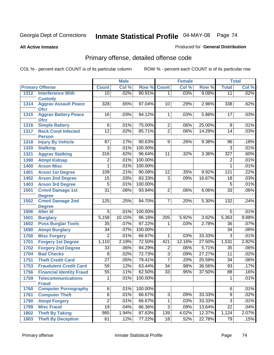Produced for **General Distribution**

#### **All Active Inmates**

# Primary offense, detailed offense code

|              |                                                              | <b>Male</b>      |         | <b>Female</b> |                                           |        | <b>Total</b> |                  |       |
|--------------|--------------------------------------------------------------|------------------|---------|---------------|-------------------------------------------|--------|--------------|------------------|-------|
|              | <b>Primary Offense</b>                                       | <b>Count</b>     | Col %   | Row %         | <b>Count</b>                              | Col %  | Row %        | <b>Total</b>     | Col % |
| 1312         | <b>Interference With</b>                                     | 10               | .02%    | 90.91%        | 1                                         | .03%   | 9.09%        | $\overline{11}$  | .02%  |
|              | <b>Custody</b>                                               |                  |         |               |                                           |        |              |                  |       |
| 1314         | <b>Aggrav Assault Peace</b><br><b>Ofcr</b>                   | $\overline{328}$ | .65%    | 97.04%        | 10                                        | .29%   | 2.96%        | 338              | .62%  |
| 1315         | <b>Aggrav Battery Peace</b><br><b>Ofcr</b>                   | 16               | .03%    | 94.12%        | 1                                         | .03%   | 5.88%        | 17               | .03%  |
| 1316         | <b>Simple Battery</b>                                        | $\overline{6}$   | .01%    | 75.00%        | 2                                         | .06%   | 25.00%       | $\overline{8}$   | .01%  |
| 1317         | <b>Reck Cond Infected</b><br><b>Person</b>                   | $\overline{12}$  | .02%    | 85.71%        | $\overline{2}$                            | .06%   | 14.29%       | 14               | .03%  |
| 1318         | <b>Injury By Vehicle</b>                                     | 87               | .17%    | 90.63%        | 9                                         | .26%   | 9.38%        | 96               | .18%  |
| 1320         | <b>Stalking</b>                                              | 3                | .01%    | 100.00%       |                                           |        |              | $\overline{3}$   | .01%  |
| 1321         | <b>Aggrav Stalking</b>                                       | 316              | .62%    | 96.64%        | 11                                        | .32%   | 3.36%        | $\overline{327}$ | .60%  |
| 1390         | <b>Atmpt Kidnap</b>                                          | 2                | .01%    | 100.00%       |                                           |        |              | $\overline{2}$   | .01%  |
| 1400         | <b>Arson Misc</b>                                            | 1                | .01%    | 100.00%       |                                           |        |              | 1                | .01%  |
| 1401         | <b>Arson 1st Degree</b>                                      | 109              | .21%    | 90.08%        | $\overline{12}$                           | .35%   | 9.92%        | 121              | .22%  |
| 1402         | <b>Arson 2nd Degree</b>                                      | 15               | .03%    | 83.33%        | 3                                         | .09%   | 16.67%       | 18               | .03%  |
| 1403         | <b>Arson 3rd Degree</b>                                      | $\overline{5}$   | .01%    | 100.00%       |                                           |        |              | $\overline{5}$   | .01%  |
| 1501         | <b>Crmnl Damage 1st</b>                                      | $\overline{31}$  | .06%    | 93.94%        | 2                                         | .06%   | 6.06%        | $\overline{33}$  | .06%  |
|              | <b>Degree</b>                                                |                  |         |               |                                           |        |              |                  |       |
| 1502         | <b>Crmnl Damage 2nd</b>                                      | 125              | .25%    | 94.70%        | 7                                         | .20%   | 5.30%        | 132              | .24%  |
| 1506         | <b>Degree</b><br><b>Alter Id</b>                             | $\overline{5}$   | .01%    | 100.00%       |                                           |        |              | $\overline{5}$   | .01%  |
| 1601         | <b>Burglary</b>                                              | 5,158            | 10.15%  | 96.18%        | $\overline{205}$                          | 5.92%  | 3.82%        | 5,363            | 9.88% |
| 1602         |                                                              | $\overline{35}$  | .07%    | 97.22%        | 1                                         | .03%   | 2.78%        | $\overline{36}$  | .07%  |
| 1690         | <b>Poss Burglar Tools</b>                                    | $\overline{34}$  | .07%    | 100.00%       |                                           |        |              | $\overline{34}$  | .06%  |
| 1700         | <b>Atmpt Burglary</b><br><b>Misc Forgery</b>                 | $\overline{2}$   | .01%    | 66.67%        | 1                                         | .03%   | 33.33%       | $\overline{3}$   | .01%  |
| 1701         | <b>Forgery 1st Degree</b>                                    | 1,110            | 2.19%   | 72.50%        | 421                                       | 12.16% | 27.50%       | 1,531            | 2.82% |
| 1702         |                                                              | $\overline{33}$  | .06%    | 94.29%        |                                           | .06%   | 5.71%        | $\overline{35}$  | .06%  |
|              | <b>Forgery 2nd Degree</b><br><b>Bad Checks</b>               | $\overline{8}$   | .02%    | 72.73%        | $\overline{\mathbf{c}}$<br>$\overline{3}$ | .09%   | 27.27%       | $\overline{11}$  | .02%  |
| 1704         |                                                              | $\overline{27}$  | .05%    | 79.41%        | $\overline{7}$                            | .20%   | 20.59%       | $\overline{34}$  | .06%  |
| 1751<br>1753 | <b>Theft Credit Card</b><br><b>Fraudulent Credit Card</b>    | 59               | .12%    | 63.44%        | $\overline{34}$                           | .98%   | 36.56%       | 93               | .17%  |
| 1756         |                                                              | $\overline{55}$  | .11%    | 62.50%        | $\overline{33}$                           | .95%   | 37.50%       | 88               | .16%  |
|              | <b>Financial Identity Fraud</b><br><b>Telecommunications</b> |                  | $.01\%$ | 100.00%       |                                           |        |              |                  | .01%  |
| 1759         | <b>Fraud</b>                                                 | 1                |         |               |                                           |        |              | 1                |       |
| 1760         | <b>Computer Pornography</b>                                  | 6                | .01%    | 100.00%       |                                           |        |              | 6                | .01%  |
| 1761         | <b>Computer Theft</b>                                        | $\overline{6}$   | .01%    | 66.67%        | $\overline{3}$                            | .09%   | 33.33%       | $\overline{9}$   | .02%  |
| 1790         | <b>Atmpt Forgery</b>                                         | $\overline{2}$   | .01%    | 66.67%        | 1                                         | .03%   | 33.33%       | $\overline{3}$   | .01%  |
| 1799         | <b>Misc Fraud</b>                                            | $\overline{19}$  | .04%    | 86.36%        | $\overline{3}$                            | .09%   | 13.64%       | $\overline{22}$  | .04%  |
| 1802         | <b>Theft By Taking</b>                                       | 985              | 1.94%   | 87.63%        | 139                                       | 4.02%  | 12.37%       | 1,124            | 2.07% |
| 1803         | <b>Theft By Deception</b>                                    | 61               | .12%    | 77.22%        | 18                                        | .52%   | 22.78%       | 79               | .15%  |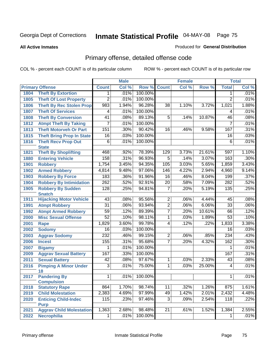**All Active Inmates**

#### Produced for **General Distribution**

# Primary offense, detailed offense code

|      |                                          | <b>Male</b>     |       |         | <b>Female</b>   |       | <b>Total</b> |                 |       |
|------|------------------------------------------|-----------------|-------|---------|-----------------|-------|--------------|-----------------|-------|
|      | <b>Primary Offense</b>                   | <b>Count</b>    | Col % | Row %   | <b>Count</b>    | Col % | Row %        | <b>Total</b>    | Col % |
| 1804 | <b>Theft By Extortion</b>                | 1 <sup>1</sup>  | .01%  | 100.00% |                 |       |              | 1               | .01%  |
| 1805 | <b>Theft Of Lost Property</b>            | $\overline{2}$  | .01%  | 100.00% |                 |       |              | $\overline{2}$  | .01%  |
| 1806 | <b>Theft By Rec Stolen Prop</b>          | 983             | 1.94% | 96.28%  | $\overline{38}$ | 1.10% | 3.72%        | 1,021           | 1.88% |
| 1807 | <b>Theft Of Services</b>                 | 4               | .01%  | 100.00% |                 |       |              | 4               | .01%  |
| 1808 | <b>Theft By Conversion</b>               | $\overline{41}$ | .08%  | 89.13%  | $\overline{5}$  | .14%  | 10.87%       | 46              | .08%  |
| 1812 | <b>Atmpt Theft By Taking</b>             | 7               | .01%  | 100.00% |                 |       |              | 7               | .01%  |
| 1813 | <b>Theft Motorveh Or Part</b>            | 151             | .30%  | 90.42%  | 16              | .46%  | 9.58%        | 167             | .31%  |
| 1815 | <b>Theft Bring Prop In State</b>         | $\overline{16}$ | .03%  | 100.00% |                 |       |              | 16              | .03%  |
| 1816 | <b>Theft Recv Prop Out</b>               | $\overline{6}$  | .01%  | 100.00% |                 |       |              | $\overline{6}$  | .01%  |
|      | <b>State</b>                             |                 |       |         |                 |       |              |                 |       |
| 1821 | <b>Theft By Shoplifting</b>              | 468             | .92%  | 78.39%  | 129             | 3.73% | 21.61%       | 597             | 1.10% |
| 1880 | <b>Entering Vehicle</b>                  | 158             | .31%  | 96.93%  | $\overline{5}$  | .14%  | 3.07%        | 163             | .30%  |
| 1901 | <b>Robbery</b>                           | 1,754           | 3.45% | 94.35%  | 105             | 3.03% | 5.65%        | 1,859           | 3.43% |
| 1902 | <b>Armed Robbery</b>                     | 4,814           | 9.48% | 97.06%  | 146             | 4.22% | 2.94%        | 4,960           | 9.14% |
| 1903 | <b>Robbery By Force</b>                  | 183             | .36%  | 91.96%  | $\overline{16}$ | .46%  | 8.04%        | 199             | .37%  |
| 1904 | <b>Robbery By Intimidation</b>           | 262             | .52%  | 92.91%  | $\overline{20}$ | .58%  | 7.09%        | 282             | .52%  |
| 1905 | <b>Robbery By Sudden</b>                 | 128             | .25%  | 94.81%  | $\overline{7}$  | .20%  | 5.19%        | 135             | .25%  |
|      | <b>Snatch</b>                            |                 |       |         |                 |       |              |                 |       |
| 1911 | <b>Hijacking Motor Vehicle</b>           | 43              | .08%  | 95.56%  | $\overline{2}$  | .06%  | 4.44%        | 45              | .08%  |
| 1991 | <b>Atmpt Robbery</b>                     | $\overline{31}$ | .06%  | 93.94%  | $\overline{2}$  | .06%  | 6.06%        | $\overline{33}$ | .06%  |
| 1992 | <b>Atmpt Armed Robbery</b>               | 59              | .12%  | 89.39%  | $\overline{7}$  | .20%  | 10.61%       | 66              | .12%  |
| 2000 | <b>Misc Sexual Offense</b>               | $\overline{52}$ | .10%  | 98.11%  | $\overline{1}$  | .03%  | 1.89%        | 53              | .10%  |
| 2001 | Rape                                     | 1,829           | 3.60% | 99.78%  | $\overline{4}$  | .12%  | .22%         | 1,833           | 3.38% |
| 2002 | <b>Sodomy</b>                            | 16              | .03%  | 100.00% |                 |       |              | 16              | .03%  |
| 2003 | <b>Aggrav Sodomy</b>                     | 232             | .46%  | 99.15%  | $\overline{2}$  | .06%  | .85%         | 234             | .43%  |
| 2006 | <b>Incest</b>                            | 155             | .31%  | 95.68%  | $\overline{7}$  | .20%  | 4.32%        | 162             | .30%  |
| 2007 | <b>Bigamy</b>                            | 1               | .01%  | 100.00% |                 |       |              | 1               | .01%  |
| 2009 | <b>Aggrav Sexual Battery</b>             | 167             | .33%  | 100.00% |                 |       |              | 167             | .31%  |
| 2011 | <b>Sexual Battery</b>                    | $\overline{42}$ | .08%  | 97.67%  | 1               | .03%  | 2.33%        | 43              | .08%  |
| 2016 | <b>Pimping A Minor Under</b><br>18       | $\overline{3}$  | .01%  | 75.00%  | $\overline{1}$  | .03%  | 25.00%       | 4               | .01%  |
| 2017 | <b>Pandering By</b><br><b>Compulsion</b> | 1               | .01%  | 100.00% |                 |       |              | 1               | .01%  |
| 2018 | <b>Statutory Rape</b>                    | 864             | 1.70% | 98.74%  | $\overline{11}$ | .32%  | 1.26%        | 875             | 1.61% |
| 2019 | <b>Child Molestation</b>                 | 2,383           | 4.69% | 97.99%  | 49              | 1.42% | 2.01%        | 2,432           | 4.48% |
| 2020 | <b>Enticing Child-Indec</b>              | 115             | .23%  | 97.46%  | $\overline{3}$  | .09%  | 2.54%        | 118             | .22%  |
|      | <b>Purp</b>                              |                 |       |         |                 |       |              |                 |       |
| 2021 | <b>Aggrav Child Molestation</b>          | 1,363           | 2.68% | 98.48%  | $\overline{21}$ | .61%  | 1.52%        | 1,384           | 2.55% |
| 2022 | <b>Necrophilia</b>                       | 1               | .01%  | 100.00% |                 |       |              | $\mathbf{1}$    | .01%  |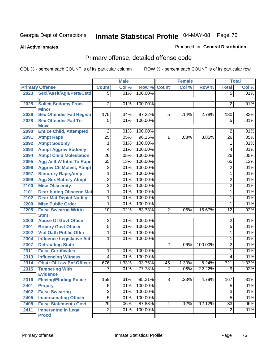**All Active Inmates**

### Produced for **General Distribution**

# Primary offense, detailed offense code

|      |                                            |                 | <b>Male</b> |         | <b>Female</b>  |         |         | <b>Total</b>     |       |
|------|--------------------------------------------|-----------------|-------------|---------|----------------|---------|---------|------------------|-------|
|      | <b>Primary Offense</b>                     | <b>Count</b>    | Col %       |         | Row % Count    | Col %   | Row %   | <b>Total</b>     | Col % |
| 2023 | Sexl/AssIt/Agn/Pers/Cstd                   | $\overline{5}$  | .01%        | 100.00% |                |         |         | $\overline{5}$   | .01%  |
|      |                                            |                 |             |         |                |         |         |                  |       |
| 2025 | <b>Solicit Sodomy From</b><br><b>Minor</b> | $\overline{2}$  | .01%        | 100.00% |                |         |         | 2                | .01%  |
| 2026 | <b>Sex Offender Fail Registr</b>           | 175             | .34%        | 97.22%  | 5              | .14%    | 2.78%   | 180              | .33%  |
| 2028 | <b>Sex Offender Fail To</b>                | $\overline{5}$  | .01%        | 100.00% |                |         |         | $\overline{5}$   | .01%  |
|      | <b>Move</b>                                |                 |             |         |                |         |         |                  |       |
| 2090 | <b>Entice Child, Attempted</b>             | $\overline{2}$  | .01%        | 100.00% |                |         |         | $\overline{2}$   | .01%  |
| 2091 | <b>Atmpt Rape</b>                          | $\overline{25}$ | .05%        | 96.15%  | $\overline{1}$ | .03%    | 3.85%   | $\overline{26}$  | .05%  |
| 2092 | <b>Atmpt Sodomy</b>                        | 1               | .01%        | 100.00% |                |         |         | 1                | .01%  |
| 2093 | <b>Atmpt Aggrav Sodomy</b>                 | 4               | .01%        | 100.00% |                |         |         | 4                | .01%  |
| 2094 | <b>Atmpt Child Molestation</b>             | $\overline{26}$ | .05%        | 100.00% |                |         |         | $\overline{26}$  | .05%  |
| 2095 | <b>Agg Aslt W Intnt To Rape</b>            | 65              | .13%        | 100.00% |                |         |         | 65               | .12%  |
| 2096 | <b>Aggrav Ch Molest, Atmpt</b>             | 2               | .01%        | 100.00% |                |         |         | $\overline{2}$   | .01%  |
| 2097 | <b>Statutory Rape, Atmpt</b>               | $\overline{1}$  | .01%        | 100.00% |                |         |         | 1                | .01%  |
| 2099 | <b>Agg Sex Battery Atmpt</b>               | $\overline{2}$  | .01%        | 100.00% |                |         |         | $\overline{2}$   | .01%  |
| 2100 | <b>Misc Obscenity</b>                      | $\overline{2}$  | .01%        | 100.00% |                |         |         | $\overline{2}$   | .01%  |
| 2101 | <b>Distributing Obscene Mat</b>            | 1               | .01%        | 100.00% |                |         |         | 1                | .01%  |
| 2102 | <b>Distr Mat Depict Nudity</b>             | 1               | .01%        | 100.00% |                |         |         | 1                | .01%  |
| 2200 | <b>Misc Public Order</b>                   | 1               | .01%        | 100.00% |                |         |         | 1                | .01%  |
| 2205 | <b>False Swearng Writtn</b>                | 10              | .02%        | 83.33%  | $\overline{2}$ | .06%    | 16.67%  | $\overline{12}$  | .02%  |
|      | <b>Stmt</b>                                |                 |             |         |                |         |         |                  |       |
| 2300 | <b>Abuse Of Govt Office</b>                | $\overline{2}$  | .01%        | 100.00% |                |         |         | $\overline{2}$   | .01%  |
| 2301 | <b>Bribery Govt Officer</b>                | 5               | .01%        | 100.00% |                |         |         | 5                | .01%  |
| 2302 | <b>Viol Oath Public Offcr</b>              | 1               | .01%        | 100.00% |                |         |         | 1                | .01%  |
| 2304 | <b>Influence Legislative Act</b>           | 1               | .01%        | 100.00% |                |         |         | 1                | .01%  |
| 2307 | <b>Defrauding State</b>                    |                 |             |         | $\overline{2}$ | .06%    | 100.00% | 2                | .01%  |
| 2311 | <b>False Certificates</b>                  | 1               | .01%        | 100.00% |                |         |         | $\mathbf{1}$     | .01%  |
| 2313 | <b>Influencing Witness</b>                 | 4               | .01%        | 100.00% |                |         |         | 4                | .01%  |
| 2314 | <b>Obstr Of Law Enf Officer</b>            | 676             | 1.33%       | 93.76%  | 45             | 1.30%   | 6.24%   | $\overline{721}$ | 1.33% |
| 2315 | <b>Tampering With</b><br><b>Evidence</b>   | 7               | .01%        | 77.78%  | $\overline{2}$ | .06%    | 22.22%  | 9                | .02%  |
| 2316 | <b>Fleeing/Eluding Police</b>              | 159             | $.31\%$     | 95.21%  | $\overline{8}$ | $.23\%$ | 4.79%   | 167              | .31%  |
| 2401 | <b>Perjury</b>                             | $\overline{5}$  | .01%        | 100.00% |                |         |         | $\overline{5}$   | .01%  |
| 2402 | <b>False Swearing</b>                      | $\overline{3}$  | .01%        | 100.00% |                |         |         | 3                | .01%  |
| 2405 | <b>Impersonating Officer</b>               | $\overline{5}$  | .01%        | 100.00% |                |         |         | $\overline{5}$   | .01%  |
| 2408 | <b>False Statements Govt</b>               | $\overline{29}$ | .06%        | 87.88%  | 4              | .12%    | 12.12%  | $\overline{33}$  | .06%  |
| 2411 | <b>Impersntng In Legal</b>                 | $\overline{2}$  | .01%        | 100.00% |                |         |         | $\overline{2}$   | .01%  |
|      | <b>Procd</b>                               |                 |             |         |                |         |         |                  |       |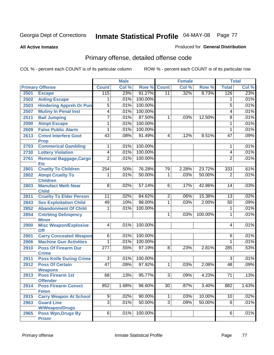#### **All Active Inmates**

#### Produced for **General Distribution**

# Primary offense, detailed offense code

|      |                                               |                  | <b>Male</b> |         |                | <b>Female</b> |         |                 | <b>Total</b> |
|------|-----------------------------------------------|------------------|-------------|---------|----------------|---------------|---------|-----------------|--------------|
|      | <b>Primary Offense</b>                        | <b>Count</b>     | Col %       | Row %   | <b>Count</b>   | Col %         | Row %   | <b>Total</b>    | Col %        |
| 2501 | <b>Escape</b>                                 | 115              | .23%        | 91.27%  | 11             | .32%          | 8.73%   | 126             | .23%         |
| 2502 | <b>Aiding Escape</b>                          | 1                | .01%        | 100.00% |                |               |         | 1               | .01%         |
| 2503 | <b>Hindering Appreh Or Pun</b>                | $\overline{5}$   | .01%        | 100.00% |                |               |         | $\overline{5}$  | .01%         |
| 2507 | <b>Mutiny In Penal Inst</b>                   | $\overline{4}$   | .01%        | 100.00% |                |               |         | 4               | .01%         |
| 2511 | <b>Bail Jumping</b>                           | 7                | .01%        | 87.50%  | $\mathbf{1}$   | .03%          | 12.50%  | $\overline{8}$  | .01%         |
| 2590 | <b>Atmpt Escape</b>                           | 1                | .01%        | 100.00% |                |               |         | 1               | .01%         |
| 2609 | <b>False Public Alarm</b>                     | 1                | .01%        | 100.00% |                |               |         | 1               | .01%         |
| 2613 | <b>Crmnl Interfere Govt</b><br><b>Prop</b>    | 43               | .08%        | 91.49%  | 4              | .12%          | 8.51%   | $\overline{47}$ | .09%         |
| 2703 | <b>Commerical Gambling</b>                    | 1                | .01%        | 100.00% |                |               |         | 1               | .01%         |
| 2730 | <b>Lottery Violation</b>                      | $\overline{4}$   | .01%        | 100.00% |                |               |         | 4               | .01%         |
| 2761 | <b>Removal Baggage, Cargo</b>                 | $\overline{2}$   | .01%        | 100.00% |                |               |         | $\overline{2}$  | .01%         |
|      | <b>Etc</b>                                    |                  |             |         |                |               |         |                 |              |
| 2801 | <b>Cruelty To Children</b>                    | 254              | .50%        | 76.28%  | 79             | 2.28%         | 23.72%  | 333             | .61%         |
| 2802 | <b>Atmpt Cruelty To</b><br><b>Children</b>    | 1                | .01%        | 50.00%  | 1              | .03%          | 50.00%  | $\overline{2}$  | .01%         |
| 2803 | <b>Manufact Meth Near</b><br><b>Child</b>     | $\overline{8}$   | .02%        | 57.14%  | $\overline{6}$ | .17%          | 42.86%  | 14              | .03%         |
| 2811 | <b>Cruelty To Elder Person</b>                | $\overline{11}$  | .02%        | 84.62%  | $\overline{2}$ | .06%          | 15.38%  | 13              | .02%         |
| 2843 | <b>Sex Exploitation Child</b>                 | 49               | .10%        | 98.00%  | $\overline{1}$ | .03%          | 2.00%   | 50              | .09%         |
| 2852 | <b>Abandonment Of Child</b>                   | 1                | .01%        | 100.00% |                |               |         | 1               | .01%         |
| 2854 | <b>Cntrbtng Delingency</b><br><b>Minor</b>    |                  |             |         | 1              | .03%          | 100.00% | 1               | .01%         |
| 2900 | <b>Misc Weapon/Explosive</b>                  | $\overline{4}$   | .01%        | 100.00% |                |               |         | 4               | .01%         |
| 2901 | Off<br><b>Carry Concealed Weapon</b>          | $\overline{6}$   | .01%        | 100.00% |                |               |         | $\overline{6}$  | .01%         |
| 2906 | <b>Machine Gun Activities</b>                 | 1                | .01%        | 100.00% |                |               |         | 1               | .01%         |
| 2910 | <b>Poss Of Firearm Dur</b>                    | $\overline{277}$ | .55%        | 97.19%  | $\overline{8}$ | .23%          | 2.81%   | 285             | .53%         |
|      | <b>Crime</b>                                  |                  |             |         |                |               |         |                 |              |
| 2911 | <b>Poss Knife During Crime</b>                | $\overline{3}$   | .01%        | 100.00% |                |               |         | $\overline{3}$  | .01%         |
| 2912 | <b>Poss Of Certain</b>                        | 47               | .09%        | 97.92%  | 1              | .03%          | 2.08%   | 48              | .09%         |
|      | <b>Weapons</b>                                |                  |             |         |                |               |         |                 |              |
| 2913 | <b>Poss Firearm 1st</b>                       | 68               | .13%        | 95.77%  | 3              | .09%          | 4.23%   | 71              | .13%         |
| 2914 | <b>Offender</b><br><b>Poss Firearm Convct</b> | 852              | 1.68%       | 96.60%  | 30             | $.87\%$       | 3.40%   | 882             | 1.63%        |
|      | <b>Felon</b>                                  |                  |             |         |                |               |         |                 |              |
| 2915 | <b>Carry Weapon At School</b>                 | $\overline{9}$   | .02%        | 90.00%  | 1              | .03%          | 10.00%  | 10              | .02%         |
| 2963 | <b>Guard Line</b>                             | $\overline{3}$   | .01%        | 50.00%  | $\overline{3}$ | .09%          | 50.00%  | 6               | .01%         |
|      | <b>W/Weapon/Drugs</b>                         |                  |             |         |                |               |         |                 |              |
| 2965 | <b>Poss Wpn, Drugs By</b>                     | $\overline{6}$   | .01%        | 100.00% |                |               |         | 6               | .01%         |
|      | <b>Prisnr</b>                                 |                  |             |         |                |               |         |                 |              |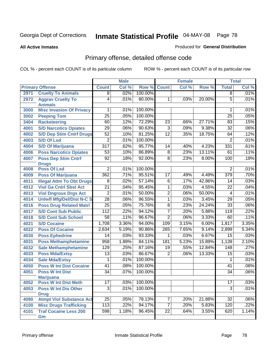#### **All Active Inmates**

### Produced for **General Distribution**

# Primary offense, detailed offense code

|      |                                            | <b>Male</b>      |       | <b>Female</b> |                 |       | <b>Total</b> |                 |       |
|------|--------------------------------------------|------------------|-------|---------------|-----------------|-------|--------------|-----------------|-------|
|      | <b>Primary Offense</b>                     | <b>Count</b>     | Col % | Row %         | <b>Count</b>    | Col % | Row %        | <b>Total</b>    | Col % |
| 2971 | <b>Cruelty To Animals</b>                  | $\overline{8}$   | .02%  | 100.00%       |                 |       |              | $\overline{8}$  | .01%  |
| 2972 | <b>Aggrav Cruelty To</b><br><b>Animals</b> | $\overline{4}$   | .01%  | 80.00%        | $\mathbf{1}$    | .03%  | 20.00%       | $\overline{5}$  | .01%  |
| 3000 | <b>Misc Invasion Of Privacy</b>            | 1                | .01%  | 100.00%       |                 |       |              | 1               | .01%  |
| 3002 | <b>Peeping Tom</b>                         | $\overline{25}$  | .05%  | 100.00%       |                 |       |              | $\overline{25}$ | .05%  |
| 3404 | <b>Racketeering</b>                        | 60               | .12%  | 72.29%        | 23              | .66%  | 27.71%       | 83              | .15%  |
| 4001 | <b>S/D Narcotics Opiates</b>               | $\overline{29}$  | .06%  | 90.63%        | $\overline{3}$  | .09%  | 9.38%        | $\overline{32}$ | .06%  |
| 4002 | <b>S/D Dep Stim Cntrf Drugs</b>            | $\overline{52}$  | .10%  | 81.25%        | $\overline{12}$ | .35%  | 18.75%       | 64              | .12%  |
| 4003 | <b>S/D Of Lsd</b>                          | $\overline{2}$   | .01%  | 100.00%       |                 |       |              | $\overline{2}$  | .01%  |
| 4004 | <b>S/D Of Marijuana</b>                    | $\overline{317}$ | .62%  | 95.77%        | 14              | .40%  | 4.23%        | 331             | .61%  |
| 4006 | <b>Poss Narcotics Opiates</b>              | $\overline{53}$  | .10%  | 86.89%        | $\overline{8}$  | .23%  | 13.11%       | 61              | .11%  |
| 4007 | <b>Poss Dep Stim Cntrf</b>                 | 92               | .18%  | 92.00%        | $\overline{8}$  | .23%  | 8.00%        | 100             | .18%  |
|      | <b>Drugs</b>                               |                  |       |               |                 |       |              |                 |       |
| 4008 | <b>Poss Of Lsd</b>                         | $\overline{2}$   | .01%  | 100.00%       |                 |       |              | $\overline{2}$  | .01%  |
| 4009 | <b>Poss Of Marijuana</b>                   | 362              | .71%  | 95.51%        | 17              | .49%  | 4.49%        | 379             | .70%  |
| 4011 | <b>Illegal Attm To Obt Drugs</b>           | $\overline{8}$   | .02%  | 57.14%        | $\overline{6}$  | .17%  | 42.86%       | 14              | .03%  |
| 4012 | <b>Viol Ga Cntrl Sbst Act</b>              | $\overline{21}$  | .04%  | 95.45%        | $\overline{1}$  | .03%  | 4.55%        | $\overline{22}$ | .04%  |
| 4013 | <b>Viol Dngrous Drgs Act</b>               | $\overline{2}$   | .01%  | 50.00%        | $\overline{2}$  | .06%  | 50.00%       | $\overline{4}$  | .01%  |
| 4014 | <b>Uniwfl Mfg/Del/Dist N-C S</b>           | $\overline{28}$  | .06%  | 96.55%        | $\overline{1}$  | .03%  | 3.45%        | $\overline{29}$ | .05%  |
| 4016 | <b>Poss Drug Related Matri</b>             | $\overline{25}$  | .05%  | 75.76%        | $\overline{8}$  | .23%  | 24.24%       | $\overline{33}$ | .06%  |
| 4017 | <b>S/D Cont Sub Public</b>                 | 112              | .22%  | 94.12%        | $\overline{7}$  | .20%  | 5.88%        | 119             | .22%  |
| 4018 | <b>S/D Cont Sub School</b>                 | $\overline{58}$  | .11%  | 96.67%        | $\overline{2}$  | .06%  | 3.33%        | 60              | .11%  |
| 4021 | <b>S/D Cocaine</b>                         | 1,708            | 3.36% | 94.00%        | 109             | 3.15% | 6.00%        | 1,817           | 3.35% |
| 4022 | <b>Poss Of Cocaine</b>                     | 2,634            | 5.19% | 90.86%        | 265             | 7.65% | 9.14%        | 2,899           | 5.34% |
| 4030 | <b>Poss Ephedrine</b>                      | $\overline{14}$  | .03%  | 93.33%        | 1               | .03%  | 6.67%        | $\overline{15}$ | .03%  |
| 4031 | <b>Poss Methamphetamine</b>                | 958              | 1.89% | 84.11%        | 181             | 5.23% | 15.89%       | 1,139           | 2.10% |
| 4032 | <b>Sale Methamphetamine</b>                | 129              | .25%  | 87.16%        | $\overline{19}$ | .55%  | 12.84%       | 148             | .27%  |
| 4033 | <b>Poss Mda/Extsy</b>                      | $\overline{13}$  | .03%  | 86.67%        | $\overline{2}$  | .06%  | 13.33%       | $\overline{15}$ | .03%  |
| 4034 | <b>Sale Mda/Extsy</b>                      | 1                | .01%  | 100.00%       |                 |       |              | 1               | .01%  |
| 4050 | <b>Poss W Int Dist Cocaine</b>             | 41               | .08%  | 100.00%       |                 |       |              | 41              | .08%  |
| 4051 | <b>Poss W Int Dist</b><br><b>Marijuana</b> | $\overline{34}$  | .07%  | 100.00%       |                 |       |              | $\overline{34}$ | .06%  |
| 4052 | <b>Poss W Int Dist Meth</b>                | 17               | .03%  | 100.00%       |                 |       |              | 17              | .03%  |
| 4053 | <b>Poss W Int Dis Other</b>                | $\overline{3}$   | .01%  | 100.00%       |                 |       |              | 3               | .01%  |
|      | <b>Drug</b>                                |                  |       |               |                 |       |              |                 |       |
| 4090 | <b>Atmpt Viol Substance Act</b>            | $\overline{25}$  | .05%  | 78.13%        | 7               | .20%  | 21.88%       | 32              | .06%  |
| 4100 | <b>Misc Drugs Trafficking</b>              | 113              | .22%  | 94.17%        | $\overline{7}$  | .20%  | 5.83%        | 120             | .22%  |
| 4101 | <b>Traf Cocaine Less 200</b><br>Gm         | 598              | 1.18% | 96.45%        | $\overline{22}$ | .64%  | 3.55%        | 620             | 1.14% |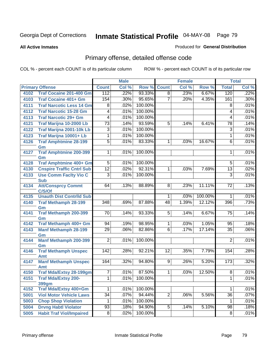**All Active Inmates**

### Produced for **General Distribution**

# Primary offense, detailed offense code

|      |                                     |                  | <b>Male</b> |         |                 | <b>Female</b> |         |                  | <b>Total</b> |
|------|-------------------------------------|------------------|-------------|---------|-----------------|---------------|---------|------------------|--------------|
|      | <b>Primary Offense</b>              | <b>Count</b>     | Col %       | Row %   | <b>Count</b>    | Col %         | Row %   | <b>Total</b>     | Col %        |
| 4102 | <b>Traf Cocaine 201-400 Gm</b>      | 112              | .22%        | 93.33%  | $\overline{8}$  | .23%          | 6.67%   | 120              | .22%         |
| 4103 | <b>Traf Cocaine 401+ Gm</b>         | 154              | .30%        | 95.65%  | $\overline{7}$  | .20%          | 4.35%   | 161              | $.30\%$      |
| 4111 | <b>Traf Narcotic Less 14 Gm</b>     | 8                | .02%        | 100.00% |                 |               |         | 8                | .01%         |
| 4112 | <b>Traf Narcotic 15-28 Gm</b>       | $\overline{4}$   | .01%        | 100.00% |                 |               |         | 4                | .01%         |
| 4113 | <b>Traf Narcotic 29+ Gm</b>         | $\overline{4}$   | .01%        | 100.00% |                 |               |         | 4                | .01%         |
| 4121 | Traf Marijna 10-2000 Lb             | $\overline{73}$  | .14%        | 93.59%  | $\overline{5}$  | .14%          | 6.41%   | $\overline{78}$  | .14%         |
| 4122 | Traf Marijna 2001-10k Lb            | $\overline{3}$   | .01%        | 100.00% |                 |               |         | 3                | .01%         |
| 4123 | Traf Marijna 10001+ Lb              | 1                | .01%        | 100.00% |                 |               |         | $\mathbf{1}$     | .01%         |
| 4126 | <b>Traf Amphtmine 28-199</b>        | $\overline{5}$   | .01%        | 83.33%  | $\mathbf{1}$    | .03%          | 16.67%  | 6                | .01%         |
|      | Gm                                  |                  |             |         |                 |               |         |                  |              |
| 4127 | <b>Traf Amphtmine 200-399</b><br>Gm | $\mathbf{1}$     | .01%        | 100.00% |                 |               |         | 1                | .01%         |
| 4128 | <b>Traf Amphtmine 400+ Gm</b>       | 5                | .01%        | 100.00% |                 |               |         | $5\overline{)}$  | .01%         |
| 4130 | <b>Cnspire Traffic Cntrl Sub</b>    | $\overline{12}$  | .02%        | 92.31%  | 1               | .03%          | 7.69%   | $\overline{13}$  | .02%         |
| 4133 | <b>Use Comm Facity Vio C</b>        | $\overline{3}$   | .01%        | 100.00% |                 |               |         | $\overline{3}$   | .01%         |
|      | <b>Sub</b>                          |                  |             |         |                 |               |         |                  |              |
| 4134 | <b>Att/Consprcy Commt</b><br>C/S/Of | 64               | .13%        | 88.89%  | $\overline{8}$  | .23%          | 11.11%  | $\overline{72}$  | .13%         |
| 4135 | <b>Unauth Dist Contrild Sub</b>     |                  |             |         | 1 <sup>1</sup>  | .03%          | 100.00% | 1                | .01%         |
| 4140 | <b>Traf Methamph 28-199</b>         | 348              | .69%        | 87.88%  | 48              | 1.39%         | 12.12%  | $\overline{396}$ | .73%         |
|      | Gm                                  |                  |             |         |                 |               |         |                  |              |
| 4141 | <b>Traf Methamph 200-399</b>        | 70               | .14%        | 93.33%  | 5               | .14%          | 6.67%   | 75               | .14%         |
|      | Gm                                  |                  |             |         |                 |               |         |                  |              |
| 4142 | Traf Methamph 400+ Gm               | 94               | .19%        | 98.95%  | $\mathbf 1$     | .03%          | 1.05%   | 95               | .18%         |
| 4143 | <b>Manf Methamph 28-199</b>         | $\overline{29}$  | .06%        | 82.86%  | $\overline{6}$  | .17%          | 17.14%  | $\overline{35}$  | .06%         |
|      | Gm                                  | $\overline{2}$   |             | 100.00% |                 |               |         | $\overline{2}$   | .01%         |
| 4144 | <b>Manf Methamph 200-399</b><br>Gm  |                  | .01%        |         |                 |               |         |                  |              |
| 4146 | <b>Traf Methamph Unspec</b>         | $\overline{142}$ | .28%        | 92.21%  | $\overline{12}$ | .35%          | 7.79%   | 154              | .28%         |
|      | <b>Amt</b>                          |                  |             |         |                 |               |         |                  |              |
| 4147 | <b>Manf Methamph Unspec</b>         | 164              | .32%        | 94.80%  | 9               | .26%          | 5.20%   | 173              | .32%         |
|      | <b>Amt</b>                          |                  |             |         |                 |               |         |                  |              |
| 4150 | <b>Traf Mda/Extsy 28-199gm</b>      | 7                | .01%        | 87.50%  | 1               | .03%          | 12.50%  | $\overline{8}$   | .01%         |
| 4151 | <b>Traf Mda/Extsy 200-</b>          | $\overline{1}$   | $.01\%$     | 100.00% |                 |               |         | $\overline{1}$   | .01%         |
| 4152 | 399gm<br>Traf Mda/Extsy 400+Gm      |                  | .01%        | 100.00% |                 |               |         | 1                | .01%         |
| 5001 | <b>Viol Motor Vehicle Laws</b>      | $\overline{34}$  | .07%        | 94.44%  | $\overline{2}$  | .06%          | 5.56%   | $\overline{36}$  | .07%         |
| 5003 | <b>Chop Shop Violation</b>          | 1                | .01%        | 100.00% |                 |               |         | 1                | .01%         |
| 5004 | <b>Drvng Habtl Violator</b>         | 93               | .18%        | 94.90%  | 5               | .14%          | 5.10%   | 98               | .18%         |
| 5005 | <b>Habit Traf Viol/Impaired</b>     | $\overline{8}$   | .02%        | 100.00% |                 |               |         | $\overline{8}$   | .01%         |
|      |                                     |                  |             |         |                 |               |         |                  |              |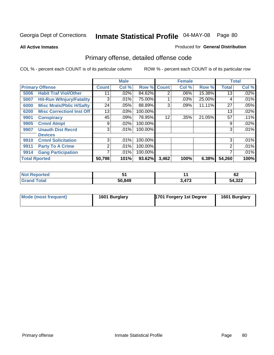**All Active Inmates**

### Produced for **General Distribution**

# Primary offense, detailed offense code

|                      |                                  |                 | <b>Male</b> |             |       | <b>Female</b> |        |              | <b>Total</b> |
|----------------------|----------------------------------|-----------------|-------------|-------------|-------|---------------|--------|--------------|--------------|
|                      | <b>Primary Offense</b>           | <b>Count</b>    | Col %       | Row % Count |       | Col %         | Row %  | <b>Total</b> | Col %        |
| 5006                 | <b>Habit Traf Viol/Other</b>     | 11              | $.02\%$     | 84.62%      | 2     | $.06\%$       | 15.38% | 13           | $.02\%$      |
| 5007                 | <b>Hit-Run W/Injury/Fatality</b> | 3               | .01%        | 75.00%      |       | .03%          | 25.00% | 4            | .01%         |
| 6000                 | <b>Misc Mrals/Pblic H/Safty</b>  | 24              | .05%        | 88.89%      | 3     | .09%          | 11.11% | 27           | .05%         |
| 6200                 | <b>Misc Correctionl Inst Off</b> | 13 <sub>1</sub> | .03%        | 100.00%     |       |               |        | 13           | .02%         |
| 9901                 | <b>Conspiracy</b>                | 45              | .09%        | 78.95%      | 12    | .35%          | 21.05% | 57           | .11%         |
| 9905                 | <b>Crmnl Atmpt</b>               | 9               | .02%        | 100.00%     |       |               |        | 9            | .02%         |
| 9907                 | <b>Unauth Dist Recrd</b>         | 3               | .01%        | 100.00%     |       |               |        | 3            | .01%         |
|                      | <b>Devices</b>                   |                 |             |             |       |               |        |              |              |
| 9910                 | <b>Crmnl Solicitation</b>        | 3 <sub>l</sub>  | .01%        | 100.00%     |       |               |        | 3            | .01%         |
| 9911                 | <b>Party To A Crime</b>          | 2               | .01%        | 100.00%     |       |               |        | 2            | .01%         |
| 9914                 | <b>Gang Participation</b>        |                 | .01%        | 100.00%     |       |               |        |              | .01%         |
| <b>Total Rported</b> |                                  | 50,798          | 101%        | 93.62%      | 3,462 | 100%          | 6.38%  | 54,260       | 100%         |

| าorted       |        |                        | <br>VZ. |
|--------------|--------|------------------------|---------|
| <b>Fotal</b> | 50,849 | .17 <sup>°</sup><br>-- | 54,322  |

| Mode (most frequent) | 1601 Burglary | <b>1701 Forgery 1st Degree</b> | 1601 Burglary |
|----------------------|---------------|--------------------------------|---------------|
|----------------------|---------------|--------------------------------|---------------|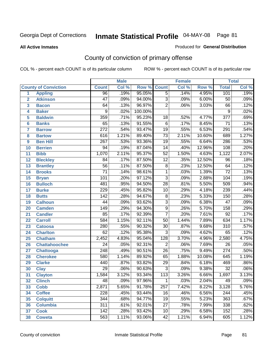#### **All Active Inmates**

### Produced for **General Distribution**

# County of conviction of primary offense

|                         |                             |                  | <b>Male</b> |         | <b>Female</b>    |       |        | <b>Total</b>     |       |
|-------------------------|-----------------------------|------------------|-------------|---------|------------------|-------|--------|------------------|-------|
|                         | <b>County of Conviction</b> | <b>Count</b>     | Col %       | Row %   | <b>Count</b>     | Col % | Row %  | <b>Total</b>     | Col % |
| 1                       | <b>Appling</b>              | $\overline{96}$  | .19%        | 95.05%  | $\overline{5}$   | .14%  | 4.95%  | 101              | .19%  |
| $\overline{2}$          | <b>Atkinson</b>             | $\overline{47}$  | .09%        | 94.00%  | $\overline{3}$   | .09%  | 6.00%  | $\overline{50}$  | .09%  |
| $\overline{\mathbf{3}}$ | <b>Bacon</b>                | 64               | .13%        | 96.97%  | $\overline{2}$   | .06%  | 3.03%  | 66               | .12%  |
| 4                       | <b>Baker</b>                | $\overline{9}$   | .02%        | 100.00% |                  |       |        | $\overline{9}$   | .02%  |
| 5                       | <b>Baldwin</b>              | $\overline{359}$ | .71%        | 95.23%  | 18               | .52%  | 4.77%  | $\overline{377}$ | .69%  |
| 6                       | <b>Banks</b>                | $\overline{65}$  | .13%        | 91.55%  | $\overline{6}$   | .17%  | 8.45%  | $\overline{71}$  | .13%  |
| $\overline{\mathbf{7}}$ | <b>Barrow</b>               | $\overline{272}$ | .54%        | 93.47%  | $\overline{19}$  | .55%  | 6.53%  | 291              | .54%  |
| 8                       | <b>Bartow</b>               | 616              | 1.21%       | 89.40%  | $\overline{73}$  | 2.11% | 10.60% | 689              | 1.27% |
| 9                       | <b>Ben Hill</b>             | $\overline{267}$ | .53%        | 93.36%  | $\overline{19}$  | .55%  | 6.64%  | 286              | .53%  |
| 10                      | <b>Berrien</b>              | 94               | .19%        | 87.04%  | $\overline{14}$  | .40%  | 12.96% | 108              | .20%  |
| 11                      | <b>Bibb</b>                 | 1,070            | 2.11%       | 95.37%  | $\overline{52}$  | 1.50% | 4.63%  | 1,122            | 2.07% |
| 12                      | <b>Bleckley</b>             | $\overline{84}$  | .17%        | 87.50%  | $\overline{12}$  | .35%  | 12.50% | $\overline{96}$  | .18%  |
| $\overline{13}$         | <b>Brantley</b>             | $\overline{56}$  | .11%        | 87.50%  | $\overline{8}$   | .23%  | 12.50% | 64               | .12%  |
| $\overline{14}$         | <b>Brooks</b>               | $\overline{71}$  | .14%        | 98.61%  | $\overline{1}$   | .03%  | 1.39%  | $\overline{72}$  | .13%  |
| 15                      | <b>Bryan</b>                | 101              | .20%        | 97.12%  | $\overline{3}$   | .09%  | 2.88%  | 104              | .19%  |
| 16                      | <b>Bulloch</b>              | 481              | .95%        | 94.50%  | $\overline{28}$  | .81%  | 5.50%  | 509              | .94%  |
| $\overline{17}$         | <b>Burke</b>                | 229              | .45%        | 95.82%  | $\overline{10}$  | .29%  | 4.18%  | 239              | .44%  |
| 18                      | <b>Butts</b>                | $\overline{142}$ | .28%        | 94.67%  | $\overline{8}$   | .23%  | 5.33%  | 150              | .28%  |
| 19                      | <b>Calhoun</b>              | $\overline{44}$  | .09%        | 93.62%  | $\overline{3}$   | .09%  | 6.38%  | $\overline{47}$  | .09%  |
| 20                      | <b>Camden</b>               | 149              | .29%        | 94.30%  | $\overline{9}$   | .26%  | 5.70%  | 158              | .29%  |
| 21                      | <b>Candler</b>              | 85               | .17%        | 92.39%  | $\overline{7}$   | .20%  | 7.61%  | $\overline{92}$  | .17%  |
| $\overline{22}$         | <b>Carroll</b>              | $\overline{584}$ | 1.15%       | 92.11%  | $\overline{50}$  | 1.44% | 7.89%  | 634              | 1.17% |
| 23                      | <b>Catoosa</b>              | 280              | .55%        | 90.32%  | $\overline{30}$  | .87%  | 9.68%  | $\overline{310}$ | .57%  |
| 24                      | <b>Charlton</b>             | $\overline{62}$  | .12%        | 95.38%  | $\overline{3}$   | .09%  | 4.62%  | 65               | .12%  |
| 25                      | <b>Chatham</b>              | 2,452            | 4.83%       | 95.04%  | $\overline{128}$ | 3.70% | 4.96%  | 2,580            | 4.75% |
| 26                      | <b>Chattahoochee</b>        | $\overline{24}$  | .05%        | 92.31%  | $\overline{2}$   | .06%  | 7.69%  | $\overline{26}$  | .05%  |
| 27                      | <b>Chattooga</b>            | $\overline{248}$ | .49%        | 90.51%  | $\overline{26}$  | .75%  | 9.49%  | $\overline{274}$ | .50%  |
| 28                      | <b>Cherokee</b>             | 580              | 1.14%       | 89.92%  | 65               | 1.88% | 10.08% | 645              | 1.19% |
| 29                      | <b>Clarke</b>               | 440              | .87%        | 93.82%  | $\overline{29}$  | .84%  | 6.18%  | 469              | .86%  |
| 30                      | <b>Clay</b>                 | $\overline{29}$  | .06%        | 90.63%  | $\overline{3}$   | .09%  | 9.38%  | $\overline{32}$  | .06%  |
| $\overline{31}$         | <b>Clayton</b>              | 1,584            | 3.12%       | 93.34%  | 113              | 3.26% | 6.66%  | 1,697            | 3.13% |
| 32                      | <b>Clinch</b>               | 48               | .09%        | 97.96%  | 1                | .03%  | 2.04%  | 49               | .09%  |
| 33                      | <b>Cobb</b>                 | 2,871            | 5.65%       | 91.78%  | 257              | 7.42% | 8.22%  | 3,128            | 5.76% |
| 34                      | <b>Coffee</b>               | $\overline{228}$ | .45%        | 93.44%  | 16               | .46%  | 6.56%  | $\overline{244}$ | .45%  |
| 35                      | <b>Colquitt</b>             | 344              | .68%        | 94.77%  | 19               | .55%  | 5.23%  | 363              | .67%  |
| 36                      | <b>Columbia</b>             | $\overline{311}$ | .61%        | 92.01%  | $\overline{27}$  | .78%  | 7.99%  | 338              | .62%  |
| 37                      | <b>Cook</b>                 | 142              | .28%        | 93.42%  | 10               | .29%  | 6.58%  | 152              | .28%  |
| 38                      | <b>Coweta</b>               | 563              | 1.11%       | 93.06%  | 42               | 1.21% | 6.94%  | 605              | 1.12% |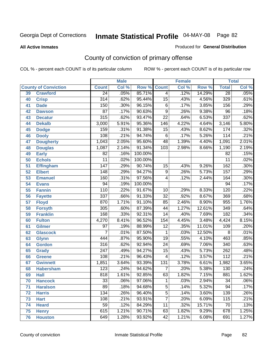#### **All Active Inmates**

### Produced for **General Distribution**

# County of conviction of primary offense

|    |                             |                  | <b>Male</b> |         | <b>Female</b>   |       |        | <b>Total</b>     |       |  |
|----|-----------------------------|------------------|-------------|---------|-----------------|-------|--------|------------------|-------|--|
|    | <b>County of Conviction</b> | <b>Count</b>     | Col %       | Row %   | <b>Count</b>    | Col % | Row %  | <b>Total</b>     | Col % |  |
| 39 | <b>Crawford</b>             | $\overline{24}$  | .05%        | 85.71%  | $\overline{4}$  | .12%  | 14.29% | $\overline{28}$  | .05%  |  |
| 40 | <b>Crisp</b>                | $\overline{314}$ | .62%        | 95.44%  | $\overline{15}$ | .43%  | 4.56%  | 329              | .61%  |  |
| 41 | <b>Dade</b>                 | 150              | .30%        | 96.15%  | $\overline{6}$  | .17%  | 3.85%  | 156              | .29%  |  |
| 42 | <b>Dawson</b>               | $\overline{87}$  | .17%        | 90.63%  | $\overline{9}$  | .26%  | 9.38%  | $\overline{96}$  | .18%  |  |
| 43 | <b>Decatur</b>              | 315              | .62%        | 93.47%  | $\overline{22}$ | .64%  | 6.53%  | 337              | .62%  |  |
| 44 | <b>Dekalb</b>               | 3,000            | 5.91%       | 95.36%  | 146             | 4.22% | 4.64%  | 3,146            | 5.80% |  |
| 45 | <b>Dodge</b>                | 159              | .31%        | 91.38%  | $\overline{15}$ | .43%  | 8.62%  | 174              | .32%  |  |
| 46 | <b>Dooly</b>                | 108              | .21%        | 94.74%  | $\overline{6}$  | .17%  | 5.26%  | 114              | .21%  |  |
| 47 | <b>Dougherty</b>            | 1,043            | 2.05%       | 95.60%  | 48              | 1.39% | 4.40%  | 1,091            | 2.01% |  |
| 48 | <b>Douglas</b>              | 1,087            | 2.14%       | 91.34%  | 103             | 2.98% | 8.66%  | 1,190            | 2.19% |  |
| 49 | <b>Early</b>                | 82               | .16%        | 100.00% |                 |       |        | 82               | .15%  |  |
| 50 | <b>Echols</b>               | $\overline{11}$  | .02%        | 100.00% |                 |       |        | $\overline{11}$  | .02%  |  |
| 51 | <b>Effingham</b>            | 147              | .29%        | 90.74%  | 15              | .43%  | 9.26%  | 162              | .30%  |  |
| 52 | <b>Elbert</b>               | $\overline{148}$ | .29%        | 94.27%  | $\overline{9}$  | .26%  | 5.73%  | $\overline{157}$ | .29%  |  |
| 53 | <b>Emanuel</b>              | 160              | .31%        | 97.56%  | 4               | .12%  | 2.44%  | 164              | .30%  |  |
| 54 | <b>Evans</b>                | $\overline{94}$  | .19%        | 100.00% |                 |       |        | 94               | .17%  |  |
| 55 | <b>Fannin</b>               | 110              | .22%        | 91.67%  | 10              | .29%  | 8.33%  | 120              | .22%  |  |
| 56 | <b>Fayette</b>              | $\overline{337}$ | .66%        | 91.33%  | $\overline{32}$ | .92%  | 8.67%  | 369              | .68%  |  |
| 57 | <b>Floyd</b>                | 870              | 1.71%       | 91.10%  | 85              | 2.46% | 8.90%  | 955              | 1.76% |  |
| 58 | <b>Forsyth</b>              | 305              | .60%        | 87.39%  | $\overline{44}$ | 1.27% | 12.61% | 349              | .64%  |  |
| 59 | <b>Franklin</b>             | 168              | .33%        | 92.31%  | $\overline{14}$ | .40%  | 7.69%  | 182              | .34%  |  |
| 60 | <b>Fulton</b>               | 4,270            | 8.41%       | 96.52%  | 154             | 4.45% | 3.48%  | 4,424            | 8.15% |  |
| 61 | Gilmer                      | $\overline{97}$  | .19%        | 88.99%  | $\overline{12}$ | .35%  | 11.01% | 109              | .20%  |  |
| 62 | <b>Glascock</b>             | $\overline{7}$   | .01%        | 87.50%  | $\mathbf{1}$    | .03%  | 12.50% | $\overline{8}$   | .01%  |  |
| 63 | <b>Glynn</b>                | 444              | .87%        | 95.90%  | $\overline{19}$ | .55%  | 4.10%  | 463              | .85%  |  |
| 64 | <b>Gordon</b>               | 316              | .62%        | 92.94%  | $\overline{24}$ | .69%  | 7.06%  | $\overline{340}$ | .63%  |  |
| 65 | <b>Grady</b>                | $\overline{247}$ | .49%        | 94.27%  | $\overline{15}$ | .43%  | 5.73%  | $\overline{262}$ | .48%  |  |
| 66 | <b>Greene</b>               | 108              | .21%        | 96.43%  | 4               | .12%  | 3.57%  | $\overline{112}$ | .21%  |  |
| 67 | <b>Gwinnett</b>             | 1,851            | 3.64%       | 93.39%  | 131             | 3.78% | 6.61%  | 1,982            | 3.65% |  |
| 68 | <b>Habersham</b>            | $\overline{123}$ | .24%        | 94.62%  | $\overline{7}$  | .20%  | 5.38%  | 130              | .24%  |  |
| 69 | <b>Hall</b>                 | 818              | 1.61%       | 92.85%  | 63              | 1.82% | 7.15%  | 881              | 1.62% |  |
| 70 | <b>Hancock</b>              | 33               | .06%        | 97.06%  | 1               | .03%  | 2.94%  | 34               | .06%  |  |
| 71 | <b>Haralson</b>             | 89               | .18%        | 94.68%  | $\overline{5}$  | .14%  | 5.32%  | $\overline{94}$  | .17%  |  |
| 72 | <b>Harris</b>               | 134              | .26%        | 96.40%  | $\overline{5}$  | .14%  | 3.60%  | 139              | .26%  |  |
| 73 | <b>Hart</b>                 | 108              | .21%        | 93.91%  | $\overline{7}$  | .20%  | 6.09%  | 115              | .21%  |  |
| 74 | <b>Heard</b>                | $\overline{59}$  | .12%        | 84.29%  | $\overline{11}$ | .32%  | 15.71% | 70               | .13%  |  |
| 75 | <b>Henry</b>                | 615              | 1.21%       | 90.71%  | 63              | 1.82% | 9.29%  | 678              | 1.25% |  |
| 76 | <b>Houston</b>              | 649              | 1.28%       | 93.92%  | $\overline{42}$ | 1.21% | 6.08%  | 691              | 1.27% |  |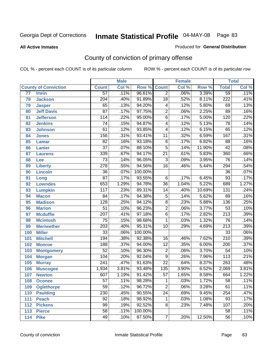#### **All Active Inmates**

### Produced for **General Distribution**

# County of conviction of primary offense

|                 |                             |                  | <b>Male</b> |         |                  | <b>Female</b> |                  |                  | <b>Total</b> |
|-----------------|-----------------------------|------------------|-------------|---------|------------------|---------------|------------------|------------------|--------------|
|                 | <b>County of Conviction</b> | <b>Count</b>     | Col %       | Row %   | <b>Count</b>     | Col %         | Row <sup>%</sup> | <b>Total</b>     | Col %        |
| $\overline{77}$ | <b>Irwin</b>                | $\overline{57}$  | .11%        | 96.61%  | $\overline{2}$   | .06%          | 3.39%            | 59               | .11%         |
| 78              | <b>Jackson</b>              | $\overline{204}$ | .40%        | 91.89%  | $\overline{18}$  | .52%          | 8.11%            | $\overline{222}$ | .41%         |
| 79              | <b>Jasper</b>               | 65               | .13%        | 94.20%  | 4                | .12%          | 5.80%            | 69               | .13%         |
| 80              | <b>Jeff Davis</b>           | $\overline{87}$  | .17%        | 97.75%  | $\overline{2}$   | .06%          | 2.25%            | 89               | .16%         |
| 81              | <b>Jefferson</b>            | 114              | .22%        | 95.00%  | $\overline{6}$   | .17%          | 5.00%            | 120              | .22%         |
| 82              | <b>Jenkins</b>              | $\overline{74}$  | .15%        | 94.87%  | $\overline{4}$   | .12%          | 5.13%            | $\overline{78}$  | .14%         |
| 83              | <b>Johnson</b>              | 61               | .12%        | 93.85%  | 4                | .12%          | 6.15%            | 65               | .12%         |
| 84              | <b>Jones</b>                | 156              | .31%        | 93.41%  | $\overline{11}$  | .32%          | 6.59%            | $\overline{167}$ | .31%         |
| 85              | <b>Lamar</b>                | $\overline{82}$  | .16%        | 93.18%  | $\overline{6}$   | .17%          | 6.82%            | $\overline{88}$  | .16%         |
| 86              | <b>Lanier</b>               | $\overline{37}$  | .07%        | 88.10%  | $\overline{5}$   | .14%          | 11.90%           | $\overline{42}$  | .08%         |
| 87              | <b>Laurens</b>              | 339              | .67%        | 94.17%  | $\overline{21}$  | .61%          | 5.83%            | 360              | .66%         |
| 88              | Lee                         | $\overline{73}$  | .14%        | 96.05%  | $\overline{3}$   | .09%          | 3.95%            | $\overline{76}$  | .14%         |
| 89              | <b>Liberty</b>              | $\overline{278}$ | .55%        | 94.56%  | $\overline{16}$  | .46%          | 5.44%            | 294              | .54%         |
| 90              | <b>Lincoln</b>              | $\overline{36}$  | .07%        | 100.00% |                  |               |                  | $\overline{36}$  | .07%         |
| 91              | Long                        | $\overline{87}$  | .17%        | 93.55%  | 6                | .17%          | 6.45%            | 93               | .17%         |
| 92              | <b>Lowndes</b>              | 653              | 1.29%       | 94.78%  | $\overline{36}$  | 1.04%         | 5.22%            | 689              | 1.27%        |
| 93              | <b>Lumpkin</b>              | 117              | .23%        | 89.31%  | 14               | .40%          | 10.69%           | $\overline{131}$ | .24%         |
| 94              | <b>Macon</b>                | $\overline{84}$  | .17%        | 94.38%  | $\overline{5}$   | .14%          | 5.62%            | 89               | .16%         |
| 95              | <b>Madison</b>              | $\overline{128}$ | .25%        | 94.12%  | $\overline{8}$   | .23%          | 5.88%            | 136              | .25%         |
| 96              | <b>Marion</b>               | $\overline{51}$  | .10%        | 96.23%  | $\overline{2}$   | .06%          | 3.77%            | $\overline{53}$  | .10%         |
| 97              | <b>Mcduffie</b>             | $\overline{207}$ | .41%        | 97.18%  | $\overline{6}$   | .17%          | 2.82%            | $\overline{213}$ | .39%         |
| 98              | <b>Mcintosh</b>             | $\overline{75}$  | .15%        | 98.68%  | $\mathbf{1}$     | .03%          | 1.32%            | $\overline{76}$  | .14%         |
| 99              | <b>Meriwether</b>           | $\overline{203}$ | .40%        | 95.31%  | $\overline{10}$  | .29%          | 4.69%            | $\overline{213}$ | .39%         |
| 100             | <b>Miller</b>               | $\overline{33}$  | .06%        | 100.00% |                  |               |                  | $\overline{33}$  | .06%         |
| 101             | <b>Mitchell</b>             | 194              | .38%        | 92.38%  | 16               | .46%          | 7.62%            | $\overline{210}$ | .39%         |
| 102             | <b>Monroe</b>               | 188              | .37%        | 94.00%  | $\overline{12}$  | .35%          | 6.00%            | $\overline{200}$ | .37%         |
| 103             | <b>Montgomery</b>           | $\overline{52}$  | .10%        | 96.30%  | $\overline{2}$   | .06%          | 3.70%            | $\overline{54}$  | .10%         |
| 104             | <b>Morgan</b>               | 104              | .20%        | 92.04%  | $\overline{9}$   | .26%          | 7.96%            | $\overline{113}$ | .21%         |
| 105             | <b>Murray</b>               | 241              | .47%        | 91.63%  | $\overline{22}$  | .64%          | 8.37%            | $\overline{263}$ | .48%         |
| 106             | <b>Muscogee</b>             | 1,934            | 3.81%       | 93.48%  | $\overline{135}$ | 3.90%         | 6.52%            | 2,069            | 3.81%        |
| 107             | <b>Newton</b>               | 607              | 1.19%       | 91.42%  | $\overline{57}$  | 1.65%         | 8.58%            | 664              | 1.22%        |
| 108             | <b>Oconee</b>               | 57               | .11%        | 98.28%  | 1                | .03%          | 1.72%            | 58               | .11%         |
| 109             | <b>Oglethorpe</b>           | $\overline{59}$  | .12%        | 96.72%  | $\overline{2}$   | .06%          | 3.28%            | 61               | .11%         |
| 110             | <b>Paulding</b>             | 230              | .45%        | 90.55%  | $\overline{24}$  | .69%          | 9.45%            | 254              | .47%         |
| 111             | <b>Peach</b>                | $\overline{92}$  | .18%        | 98.92%  | 1                | .03%          | 1.08%            | 93               | .17%         |
| 112             | <b>Pickens</b>              | 99               | .19%        | 92.52%  | 8                | .23%          | 7.48%            | 107              | .20%         |
| 113             | <b>Pierce</b>               | $\overline{58}$  | .11%        | 100.00% |                  |               |                  | 58               | .11%         |
| 114             | <b>Pike</b>                 | 49               | .10%        | 87.50%  | $\overline{7}$   | .20%          | 12.50%           | $\overline{56}$  | .10%         |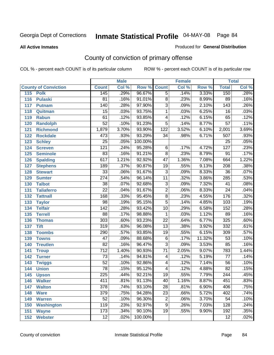**All Active Inmates**

### Produced for **General Distribution**

# County of conviction of primary offense

|     |                             |                  | <b>Male</b> |                    |                 | <b>Female</b> |        |                  | <b>Total</b> |
|-----|-----------------------------|------------------|-------------|--------------------|-----------------|---------------|--------|------------------|--------------|
|     | <b>County of Conviction</b> | <b>Count</b>     | Col %       | <b>Row % Count</b> |                 | Col %         | Row %  | <b>Total</b>     | Col %        |
| 115 | <b>Polk</b>                 | 145              | .29%        | 96.67%             | $\overline{5}$  | .14%          | 3.33%  | 150              | .28%         |
| 116 | <b>Pulaski</b>              | 81               | .16%        | 91.01%             | 8               | .23%          | 8.99%  | 89               | .16%         |
| 117 | Putnam                      | 140              | .28%        | 97.90%             | $\overline{3}$  | .09%          | 2.10%  | 143              | .26%         |
| 118 | Quitman                     | 15               | .03%        | 93.75%             | 1               | .03%          | 6.25%  | 16               | .03%         |
| 119 | <b>Rabun</b>                | 61               | .12%        | 93.85%             | 4               | .12%          | 6.15%  | 65               | .12%         |
| 120 | <b>Randolph</b>             | $\overline{52}$  | .10%        | 91.23%             | $\overline{5}$  | .14%          | 8.77%  | $\overline{57}$  | .11%         |
| 121 | <b>Richmond</b>             | 1,879            | 3.70%       | 93.90%             | 122             | 3.52%         | 6.10%  | 2,001            | 3.69%        |
| 122 | <b>Rockdale</b>             | 473              | .93%        | 93.29%             | 34              | .98%          | 6.71%  | 507              | .93%         |
| 123 | <b>Schley</b>               | $\overline{25}$  | .05%        | 100.00%            |                 |               |        | $\overline{25}$  | .05%         |
| 124 | <b>Screven</b>              | 121              | .24%        | 95.28%             | 6               | .17%          | 4.72%  | 127              | .23%         |
| 125 | <b>Seminole</b>             | 83               | .16%        | 91.21%             | $\overline{8}$  | .23%          | 8.79%  | $\overline{91}$  | .17%         |
| 126 | <b>Spalding</b>             | 617              | 1.21%       | 92.92%             | 47              | 1.36%         | 7.08%  | 664              | 1.22%        |
| 127 | <b>Stephens</b>             | 189              | .37%        | 90.87%             | $\overline{19}$ | .55%          | 9.13%  | $\overline{208}$ | .38%         |
| 128 | <b>Stewart</b>              | $\overline{33}$  | .06%        | 91.67%             | $\overline{3}$  | .09%          | 8.33%  | $\overline{36}$  | .07%         |
| 129 | <b>Sumter</b>               | $\overline{274}$ | .54%        | 96.14%             | $\overline{11}$ | .32%          | 3.86%  | 285              | .53%         |
| 130 | <b>Talbot</b>               | 38               | .07%        | 92.68%             | 3               | .09%          | 7.32%  | 41               | .08%         |
| 131 | <b>Taliaferro</b>           | $\overline{22}$  | .04%        | 91.67%             | $\overline{2}$  | .06%          | 8.33%  | $\overline{24}$  | .04%         |
| 132 | <b>Tattnall</b>             | $\overline{168}$ | .33%        | 95.45%             | $\overline{8}$  | .23%          | 4.55%  | 176              | .32%         |
| 133 | <b>Taylor</b>               | 98               | .19%        | 95.15%             | $\overline{5}$  | .14%          | 4.85%  | 103              | .19%         |
| 134 | <b>Telfair</b>              | $\overline{142}$ | .28%        | 93.42%             | 10              | .29%          | 6.58%  | 152              | .28%         |
| 135 | <b>Terrell</b>              | $\overline{88}$  | .17%        | 98.88%             | $\mathbf{1}$    | .03%          | 1.12%  | 89               | .16%         |
| 136 | <b>Thomas</b>               | $\overline{303}$ | .60%        | 93.23%             | $\overline{22}$ | .64%          | 6.77%  | 325              | .60%         |
| 137 | <b>Tift</b>                 | 319              | .63%        | 96.08%             | $\overline{13}$ | .38%          | 3.92%  | 332              | .61%         |
| 138 | <b>Toombs</b>               | 290              | .57%        | 93.85%             | 19              | .55%          | 6.15%  | 309              | .57%         |
| 139 | <b>Towns</b>                | $\overline{47}$  | .09%        | 88.68%             | $\overline{6}$  | .17%          | 11.32% | $\overline{53}$  | .10%         |
| 140 | <b>Treutlen</b>             | $\overline{82}$  | .16%        | 96.47%             | $\overline{3}$  | .09%          | 3.53%  | 85               | .16%         |
| 141 | <b>Troup</b>                | $\overline{712}$ | 1.40%       | 90.93%             | $\overline{71}$ | 2.05%         | 9.07%  | 783              | 1.44%        |
| 142 | <b>Turner</b>               | 73               | .14%        | 94.81%             | 4               | .12%          | 5.19%  | 77               | .14%         |
| 143 | <b>Twiggs</b>               | $\overline{52}$  | .10%        | 92.86%             | 4               | .12%          | 7.14%  | $\overline{56}$  | .10%         |
| 144 | <b>Union</b>                | $\overline{78}$  | .15%        | 95.12%             | 4               | .12%          | 4.88%  | 82               | .15%         |
| 145 | <b>Upson</b>                | $\overline{225}$ | .44%        | 92.21%             | 19              | .55%          | 7.79%  | $\overline{244}$ | .45%         |
| 146 | <b>Walker</b>               | 411              | .81%        | 91.13%             | 40              | 1.16%         | 8.87%  | 451              | .83%         |
| 147 | <b>Walton</b>               | $\overline{378}$ | .74%        | 93.10%             | $\overline{28}$ | .81%          | 6.90%  | 406              | .75%         |
| 148 | <b>Ware</b>                 | 379              | .75%        | 94.28%             | $\overline{23}$ | .66%          | 5.72%  | 402              | .74%         |
| 149 | <b>Warren</b>               | 52               | .10%        | 96.30%             | $\overline{2}$  | .06%          | 3.70%  | $\overline{54}$  | .10%         |
| 150 | <b>Washington</b>           | 119              | .23%        | 92.97%             | 9               | .26%          | 7.03%  | 128              | .24%         |
| 151 | <b>Wayne</b>                | 173              | .34%        | 90.10%             | $\overline{19}$ | .55%          | 9.90%  | 192              | .35%         |
| 152 | <b>Webster</b>              | 12               | .02%        | 100.00%            |                 |               |        | 12               | .02%         |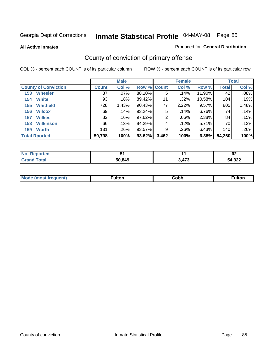**All Active Inmates**

### Produced for **General Distribution**

# County of conviction of primary offense

|                             |              | <b>Male</b> |             |       | <b>Female</b> |        |              | <b>Total</b> |
|-----------------------------|--------------|-------------|-------------|-------|---------------|--------|--------------|--------------|
| <b>County of Conviction</b> | <b>Count</b> | Col %       | Row % Count |       | Col %         | Row %  | <b>Total</b> | Col %        |
| <b>Wheeler</b><br>153       | 37           | $.07\%$     | 88.10%      | 5     | .14%          | 11.90% | 42           | .08%         |
| <b>White</b><br>154         | 93           | .18%        | 89.42%      | 11    | .32%          | 10.58% | 104          | .19%         |
| <b>Whitfield</b><br>155     | 728          | 1.43%       | $90.43\%$   | 77    | 2.22%         | 9.57%  | 805          | 1.48%        |
| 156<br><b>Wilcox</b>        | 69           | .14%        | 93.24%      | 5     | .14%          | 6.76%  | 74           | .14%         |
| <b>Wilkes</b><br>157        | 82           | .16%        | 97.62%      | 2     | $.06\%$       | 2.38%  | 84           | .15%         |
| <b>Wilkinson</b><br>158     | 66           | .13%        | 94.29%      | 4     | .12%          | 5.71%  | 70           | .13%         |
| <b>Worth</b><br>159         | 131          | .26%        | 93.57%      | 9     | .26%          | 6.43%  | 140          | .26%         |
| <b>Total Rported</b>        | 50,798       | 100%        | 93.62%      | 3,462 | 100%          | 6.38%  | 54,260       | 100%         |

| Reported<br><b>NOT</b> | . پ    |                | r.<br>୰∠ |
|------------------------|--------|----------------|----------|
| <b>Tota</b>            | 50,849 | 170<br>Δ<br>70 | 54,322   |

| Mc | ™ulton | Cobb |  |
|----|--------|------|--|
|    |        |      |  |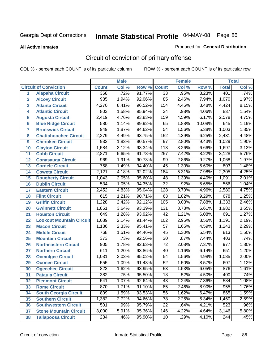#### **All Active Inmates**

#### Produced for **General Distribution**

# Circuit of conviction of primary offense

|                  |                                 |                  | <b>Male</b> |        |                  | <b>Female</b> |        |                  | <b>Total</b> |
|------------------|---------------------------------|------------------|-------------|--------|------------------|---------------|--------|------------------|--------------|
|                  | <b>Circuit of Conviction</b>    | <b>Count</b>     | Col %       | Row %  | <b>Count</b>     | Col %         | Row %  | <b>Total</b>     | Col %        |
| 1                | <b>Alapaha Circuit</b>          | 368              | .72%        | 91.77% | $\overline{33}$  | .95%          | 8.23%  | 401              | .74%         |
| $\overline{2}$   | <b>Alcovy Circuit</b>           | 985              | 1.94%       | 92.06% | 85               | 2.46%         | 7.94%  | 1,070            | 1.97%        |
| 3                | <b>Atlanta Circuit</b>          | 4,270            | 8.41%       | 96.52% | 154              | 4.45%         | 3.48%  | 4,424            | 8.15%        |
| 4                | <b>Atlantic Circuit</b>         | 803              | 1.58%       | 95.94% | $\overline{34}$  | .98%          | 4.06%  | 837              | 1.54%        |
| 5                | <b>Augusta Circuit</b>          | 2,419            | 4.76%       | 93.83% | 159              | 4.59%         | 6.17%  | 2,578            | 4.75%        |
| $6\phantom{a}$   | <b>Blue Ridge Circuit</b>       | 580              | 1.14%       | 89.92% | 65               | 1.88%         | 10.08% | 645              | 1.19%        |
| $\overline{7}$   | <b>Brunswick Circuit</b>        | 949              | 1.87%       | 94.62% | 54               | 1.56%         | 5.38%  | 1,003            | 1.85%        |
| 8                | <b>Chattahoochee Circuit</b>    | 2,279            | 4.49%       | 93.75% | 152              | 4.39%         | 6.25%  | 2,431            | 4.48%        |
| $\boldsymbol{9}$ | <b>Cherokee Circuit</b>         | 932              | 1.83%       | 90.57% | $\overline{97}$  | 2.80%         | 9.43%  | 1,029            | 1.90%        |
| 10               | <b>Clayton Circuit</b>          | 1,584            | 3.12%       | 93.34% | 113              | 3.26%         | 6.66%  | 1,697            | 3.13%        |
| 11               | <b>Cobb Circuit</b>             | 2,871            | 5.65%       | 91.78% | $\overline{257}$ | 7.42%         | 8.22%  | 3,128            | 5.76%        |
| 12               | <b>Conasauga Circuit</b>        | 969              | 1.91%       | 90.73% | 99               | 2.86%         | 9.27%  | 1,068            | 1.97%        |
| 13               | <b>Cordele Circuit</b>          | 758              | 1.49%       | 94.40% | $\overline{45}$  | 1.30%         | 5.60%  | 803              | 1.48%        |
| 14               | <b>Coweta Circuit</b>           | 2,121            | 4.18%       | 92.02% | 184              | 5.31%         | 7.98%  | 2,305            | 4.25%        |
| 15               | <b>Dougherty Circuit</b>        | 1,043            | 2.05%       | 95.60% | 48               | 1.39%         | 4.40%  | 1,091            | 2.01%        |
| 16               | <b>Dublin Circuit</b>           | $\overline{534}$ | 1.05%       | 94.35% | $\overline{32}$  | .92%          | 5.65%  | 566              | 1.04%        |
| 17               | <b>Eastern Circuit</b>          | 2,452            | 4.83%       | 95.04% | 128              | 3.70%         | 4.96%  | 2,580            | 4.75%        |
| 18               | <b>Flint Circuit</b>            | 615              | 1.21%       | 90.71% | 63               | 1.82%         | 9.29%  | 678              | 1.25%        |
| 19               | <b>Griffin Circuit</b>          | 1,228            | 2.42%       | 92.12% | 105              | 3.03%         | 7.88%  | 1,333            | 2.46%        |
| 20               | <b>Gwinnett Circuit</b>         | 1,851            | 3.64%       | 93.39% | $\overline{131}$ | 3.78%         | 6.61%  | 1,982            | 3.65%        |
| 21               | <b>Houston Circuit</b>          | 649              | 1.28%       | 93.92% | $\overline{42}$  | 1.21%         | 6.08%  | 691              | 1.27%        |
| 22               | <b>Lookout Mountain Circuit</b> | 1,089            | 2.14%       | 91.44% | 102              | 2.95%         | 8.56%  | 1,191            | 2.19%        |
| 23               | <b>Macon Circuit</b>            | 1,186            | 2.33%       | 95.41% | 57               | 1.65%         | 4.59%  | 1,243            | 2.29%        |
| 24               | <b>Middle Circuit</b>           | 768              | 1.51%       | 94.46% | 45               | 1.30%         | 5.54%  | 813              | 1.50%        |
| 25               | <b>Mountain Circuit</b>         | $\overline{373}$ | .73%        | 92.56% | $\overline{30}$  | .87%          | 7.44%  | 403              | .74%         |
| 26               | <b>Northeastern Circuit</b>     | $\overline{905}$ | 1.78%       | 92.63% | $\overline{72}$  | 2.08%         | 7.37%  | $\overline{977}$ | 1.80%        |
| 27               | <b>Northern Circuit</b>         | 611              | 1.20%       | 93.86% | 40               | 1.16%         | 6.14%  | 651              | 1.20%        |
| 28               | <b>Ocmulgee Circuit</b>         | 1,031            | 2.03%       | 95.02% | 54               | 1.56%         | 4.98%  | 1,085            | 2.00%        |
| 29               | <b>Oconee Circuit</b>           | 555              | 1.09%       | 91.43% | $\overline{52}$  | 1.50%         | 8.57%  | 607              | 1.12%        |
| 30               | <b>Ogeechee Circuit</b>         | 823              | 1.62%       | 93.95% | $\overline{53}$  | 1.53%         | 6.05%  | 876              | 1.61%        |
| 31               | <b>Pataula Circuit</b>          | 382              | .75%        | 95.50% | 18               | .52%          | 4.50%  | 400              | .74%         |
| 32               | <b>Piedmont Circuit</b>         | $\overline{541}$ | 1.07%       | 92.64% | $\overline{43}$  | 1.24%         | 7.36%  | 584              | 1.08%        |
| 33               | <b>Rome Circuit</b>             | 870              | 1.71%       | 91.10% | $\overline{85}$  | 2.46%         | 8.90%  | 955              | 1.76%        |
| 34               | <b>South Georgia Circuit</b>    | 809              | 1.59%       | 93.53% | $\overline{56}$  | 1.62%         | 6.47%  | 865              | 1.59%        |
| 35               | <b>Southern Circuit</b>         | 1,382            | 2.72%       | 94.66% | 78               | 2.25%         | 5.34%  | 1,460            | 2.69%        |
| 36               | <b>Southwestern Circuit</b>     | 501              | .99%        | 95.79% | 22               | .64%          | 4.21%  | $\overline{523}$ | .96%         |
| 37               | <b>Stone Mountain Circuit</b>   | 3,000            | 5.91%       | 95.36% | 146              | 4.22%         | 4.64%  | 3,146            | 5.80%        |
| 38               | <b>Tallapoosa Circuit</b>       | 234              | .46%        | 95.90% | 10               | .29%          | 4.10%  | 244              | .45%         |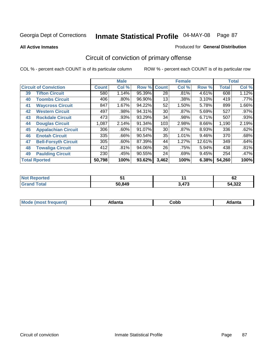**All Active Inmates**

#### Produced for **General Distribution**

# Circuit of conviction of primary offense

|    |                              |        | <b>Male</b> |        |                 | <b>Female</b> |          |              | <b>Total</b> |
|----|------------------------------|--------|-------------|--------|-----------------|---------------|----------|--------------|--------------|
|    | <b>Circuit of Conviction</b> |        | Col %       | Row %  | <b>Count</b>    | Col %         | Row %    | <b>Total</b> | Col %        |
| 39 | <b>Tifton Circuit</b>        | 580    | 1.14%       | 95.39% | $\overline{28}$ | .81%          | 4.61%    | 608          | 1.12%        |
| 40 | <b>Toombs Circuit</b>        | 406    | .80%        | 96.90% | 13              | .38%          | 3.10%    | 419          | .77%         |
| 41 | <b>Waycross Circuit</b>      | 847    | 1.67%       | 94.22% | 52              | 1.50%         | 5.78%    | 899          | 1.66%        |
| 42 | <b>Western Circuit</b>       | 497    | .98%        | 94.31% | 30              | .87%          | 5.69%    | 527          | $.97\%$      |
| 43 | <b>Rockdale Circuit</b>      | 473    | .93%        | 93.29% | 34              | .98%          | 6.71%    | 507          | .93%         |
| 44 | <b>Douglas Circuit</b>       | 1,087  | 2.14%       | 91.34% | 103             | 2.98%         | $8.66\%$ | 1,190        | 2.19%        |
| 45 | <b>Appalachian Circuit</b>   | 306    | $.60\%$     | 91.07% | 30              | $.87\%$       | 8.93%    | 336          | .62%         |
| 46 | <b>Enotah Circuit</b>        | 335    | .66%        | 90.54% | 35              | 1.01%         | 9.46%    | 370          | .68%         |
| 47 | <b>Bell-Forsyth Circuit</b>  | 305    | $.60\%$     | 87.39% | 44              | 1.27%         | 12.61%   | 349          | .64%         |
| 48 | <b>Towaliga Circuit</b>      | 412    | .81%        | 94.06% | 26              | .75%          | 5.94%    | 438          | .81%         |
| 49 | <b>Paulding Circuit</b>      | 230    | .45%        | 90.55% | 24              | .69%          | 9.45%    | 254          | .47%         |
|    | <b>Total Rported</b>         | 50,798 | 100%        | 93.62% | 3,462           | 100%          | 6.38%    | 54,260       | 100%         |

| W.<br>тео | וש     |               | r.<br>VZ    |
|-----------|--------|---------------|-------------|
|           | 50.849 | 170<br>л<br>. | 4,322<br>54 |

| M, | $+1 - - + -$<br>annu -<br>uu | ∶obb<br>- - - - - | .<br>чна<br>- --------- |
|----|------------------------------|-------------------|-------------------------|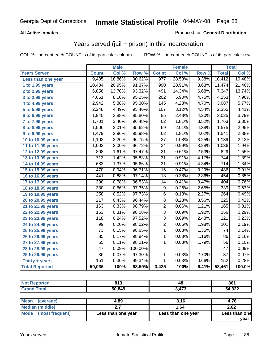### **All Active Inmates**

### Produced for **General Distribution**

## Years served (jail + prison) in this incarceration

|                              |                  | <b>Male</b> |         |                 | <b>Female</b> |       |                  | <b>Total</b> |
|------------------------------|------------------|-------------|---------|-----------------|---------------|-------|------------------|--------------|
| <b>Years Served</b>          | <b>Count</b>     | Col %       | Row %   | <b>Count</b>    | Col %         | Row % | <b>Total</b>     | Col %        |
| Less than one year           | 9,435            | 18.86%      | 90.62%  | 977             | 28.53%        | 9.38% | 10,412           | 19.48%       |
| 1 to 1.99 years              | 10,484           | 20.95%      | 91.37%  | 990             | 28.91%        | 8.63% | 11,474           | 21.46%       |
| 2 to 2.99 years              | 6,856            | 13.70%      | 93.32%  | 491             | 14.34%        | 6.68% | 7,347            | 13.74%       |
| 3 to 3.99 years              | 4,051            | 8.10%       | 95.25%  | 202             | 5.90%         | 4.75% | 4,253            | 7.96%        |
| 4 to 4.99 years              | 2,942            | 5.88%       | 95.30%  | 145             | 4.23%         | 4.70% | 3,087            | 5.77%        |
| 5 to 5.99 years              | 2,248            | 4.49%       | 95.46%  | 107             | 3.12%         | 4.54% | 2,355            | 4.41%        |
| 6 to 6.99 years              | 1,940            | 3.88%       | 95.80%  | 85              | 2.48%         | 4.20% | 2,025            | 3.79%        |
| $\overline{7}$ to 7.99 years | 1,701            | 3.40%       | 96.48%  | 62              | 1.81%         | 3.52% | 1,763            | 3.30%        |
| 8 to 8.99 years              | 1,506            | 3.01%       | 95.62%  | 69              | 2.01%         | 4.38% | 1,575            | 2.95%        |
| 9 to 9.99 years              | 1,479            | 2.96%       | 95.98%  | $\overline{62}$ | 1.81%         | 4.02% | 1,541            | 2.88%        |
| 10 to 10.99 years            | 1,102            | 2.20%       | 96.75%  | $\overline{37}$ | 1.08%         | 3.25% | 1,139            | 2.13%        |
| 11 to 11.99 years            | 1,002            | 2.00%       | 96.72%  | $\overline{34}$ | 0.99%         | 3.28% | 1,036            | 1.94%        |
| 12 to 12.99 years            | 808              | 1.61%       | 97.47%  | $\overline{21}$ | 0.61%         | 2.53% | 829              | 1.55%        |
| 13 to 13.99 years            | $\overline{713}$ | 1.42%       | 95.83%  | $\overline{31}$ | 0.91%         | 4.17% | 744              | 1.39%        |
| 14 to 14.99 years            | 683              | 1.37%       | 95.66%  | $\overline{31}$ | 0.91%         | 4.34% | $\overline{714}$ | 1.34%        |
| 15 to 15.99 years            | 470              | 0.94%       | 96.71%  | 16              | 0.47%         | 3.29% | 486              | 0.91%        |
| 16 to 16.99 years            | 441              | 0.88%       | 97.14%  | $\overline{13}$ | 0.38%         | 2.86% | 454              | 0.85%        |
| 17 to 17.99 years            | 390              | 0.78%       | 96.53%  | $\overline{14}$ | 0.41%         | 3.47% | 404              | 0.76%        |
| 18 to 18.99 years            | 330              | 0.66%       | 97.35%  | 9               | 0.26%         | 2.65% | 339              | 0.63%        |
| 19 to 19.99 years            | 258              | 0.52%       | 97.73%  | $\overline{6}$  | 0.18%         | 2.27% | 264              | 0.49%        |
| 20 to 20.99 years            | $\overline{217}$ | 0.43%       | 96.44%  | $\overline{8}$  | 0.23%         | 3.56% | $\overline{225}$ | 0.42%        |
| 21 to 21.99 years            | 163              | 0.33%       | 98.79%  | $\overline{2}$  | 0.06%         | 1.21% | 165              | 0.31%        |
| 22 to 22.99 years            | 153              | 0.31%       | 98.08%  | $\overline{3}$  | 0.09%         | 1.92% | 156              | 0.29%        |
| 23 to 23.99 years            | $\overline{118}$ | 0.24%       | 97.52%  | $\overline{3}$  | 0.09%         | 2.48% | $\overline{121}$ | 0.23%        |
| 24 to 24.99 years            | 99               | 0.20%       | 98.02%  | $\overline{2}$  | 0.06%         | 1.98% | 101              | 0.19%        |
| 25 to 25.99 years            | $\overline{73}$  | 0.15%       | 98.65%  | $\overline{1}$  | 0.03%         | 1.35% | $\overline{74}$  | 0.14%        |
| 26 to 26.99 years            | 85               | 0.17%       | 98.84%  | 1               | 0.03%         | 1.16% | 86               | 0.16%        |
| 27 to 27.99 years            | $\overline{55}$  | 0.11%       | 98.21%  | $\mathbf{1}$    | 0.03%         | 1.79% | 56               | 0.10%        |
| 28 to 28.99 years            | $\overline{47}$  | 0.09%       | 100.00% |                 |               |       | $\overline{47}$  | 0.09%        |
| 29 to 29.99 years            | $\overline{36}$  | 0.07%       | 97.30%  | $\mathbf 1$     | 0.03%         | 2.70% | $\overline{37}$  | 0.07%        |
| Thirty + years               | 151              | 0.30%       | 99.34%  | $\mathbf{1}$    | 0.03%         | 0.66% | 152              | 0.28%        |
| <b>Total Reported</b>        | 50,036           | 100%        | 93.59%  | 3,425           | 100%          | 6.41% | 53,461           | 100.0%       |

| <b>Not Reported</b> | 813    | 48    | 861    |
|---------------------|--------|-------|--------|
| <b>Grand Total</b>  | 50,849 | 3,473 | 54,322 |
|                     |        |       |        |

| <b>Mean</b><br>(average) | 4.89               | 3.16               | 4.78          |
|--------------------------|--------------------|--------------------|---------------|
| Median (middle)          |                    | 1.64               | 2.62          |
| Mode (most frequent)     | Less than one year | Less than one year | Less than one |
|                          |                    |                    | vear          |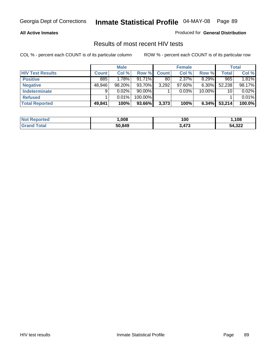### **All Active Inmates**

Produced for **General Distribution**

### Results of most recent HIV tests

|                         |              | <b>Male</b> |           |              | <b>Female</b> |          |              | <b>Total</b> |
|-------------------------|--------------|-------------|-----------|--------------|---------------|----------|--------------|--------------|
| <b>HIV Test Results</b> | <b>Count</b> | Col %       | Row %     | <b>Count</b> | Col %         | Row %    | <b>Total</b> | Col %        |
| <b>Positive</b>         | 885          | 1.78%       | $91.71\%$ | 80           | 2.37%         | 8.29%    | 965          | 1.81%        |
| <b>Negative</b>         | 48,946       | $98.20\%$   | 93.70%    | 3,292        | 97.60%        | $6.30\%$ | 52,238       | 98.17%       |
| <b>Indeterminate</b>    | 9            | $0.02\%$    | $90.00\%$ |              | 0.03%         | 10.00%   | 10           | 0.02%        |
| <b>Refused</b>          |              | 0.01%       | 100.00%   |              |               |          |              | 0.01%        |
| <b>Total Reported</b>   | 49,841       | 100%        | 93.66%    | 3,373        | 100%          | 6.34%    | 53,214       | 100.0%       |

| <b>Not Reported</b> | .008   | 100   | 108    |
|---------------------|--------|-------|--------|
| Гоtal<br>l Grand    | 50,849 | 3,473 | 54,322 |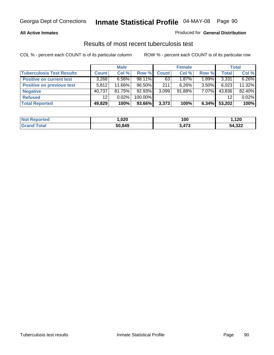### **All Active Inmates**

### Produced for **General Distribution**

### Results of most recent tuberculosis test

|                                  |                 | <b>Male</b> |         |              | <b>Female</b> |          |              | Total  |
|----------------------------------|-----------------|-------------|---------|--------------|---------------|----------|--------------|--------|
| <b>Tuberculosis Test Results</b> | <b>Count</b>    | Col %       | Row %   | <b>Count</b> | Col %         | Row %    | <b>Total</b> | Col %  |
| <b>Positive on current test</b>  | 3,268           | $6.56\%$    | 98.11%  | 63           | 1.87%         | 1.89%    | 3,331        | 6.26%  |
| <b>Positive on previous test</b> | 5.812           | 11.66%      | 96.50%  | 211          | 6.26%         | $3.50\%$ | 6,023        | 11.32% |
| <b>Negative</b>                  | 40,737          | 81.75%      | 92.93%  | 3,099        | $91.88\%$     | $7.07\%$ | 43,836       | 82.40% |
| <b>Refused</b>                   | 12 <sup>°</sup> | $0.02\%$    | 100.00% |              |               |          | 12           | 0.02%  |
| <b>Total Reported</b>            | 49,829          | 100%        | 93.66%  | 3,373        | 100%          | 6.34%    | 53,202       | 100%   |

| <b>Not Reported</b>   | ,020   | 100   | ,120   |
|-----------------------|--------|-------|--------|
| <b>Grand</b><br>Total | 50,849 | 3,473 | 54,322 |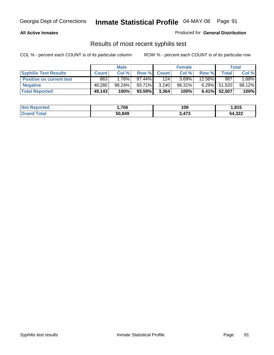### **All Active Inmates**

Produced for **General Distribution**

### Results of most recent syphilis test

|                                 |              | <b>Male</b> |           |              | <b>Female</b> |           |              | Total  |
|---------------------------------|--------------|-------------|-----------|--------------|---------------|-----------|--------------|--------|
| <b>Syphilis Test Results</b>    | <b>Count</b> | Col %       | Row %     | <b>Count</b> | Col %         | Row %     | Total        | Col %  |
| <b>Positive on current test</b> | 863          | $1.76\%$    | 87.44%    | 124          | 3.69%         | $12.56\%$ | 987          | 1.88%  |
| <b>Negative</b>                 | 48,280       | 98.24%      | 93.71%    | 3,240        | 96.31%        | $6.29\%$  | 51,520       | 98.12% |
| <b>Total Reported</b>           | 49,143       | 100%        | $93.59\%$ | 3,364        | 100%          |           | 6.41% 52,507 | 100%   |

| <b>Not Reported</b> | 706، ا | 109   | 1,815  |
|---------------------|--------|-------|--------|
| <b>Grand Total</b>  | 50,849 | 3,473 | 54,322 |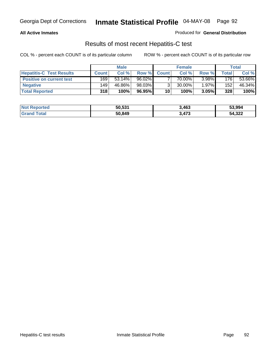### **All Active Inmates**

Produced for **General Distribution**

### Results of most recent Hepatitis-C test

|                                 |              | <b>Male</b> |        |              | <b>Female</b> |       |        | Total  |
|---------------------------------|--------------|-------------|--------|--------------|---------------|-------|--------|--------|
| <b>Hepatitis-C Test Results</b> | <b>Count</b> | Col %       | Row %  | <b>Count</b> | Col %         | Row % | Total. | Col %  |
| <b>Positive on current test</b> | 169          | $53.14\%$   | 96.02% |              | 70.00%        | 3.98% | 176    | 53.66% |
| <b>Negative</b>                 | 149          | 46.86%      | 98.03% |              | 30.00%        | 1.97% | 152    | 46.34% |
| <b>Total Reported</b>           | 318          | 100%        | 96.95% | 10           | 100%          | 3.05% | 328    | 100%   |

| <b>Not Reported</b> | 50,531 | 3,463 | 53,994 |
|---------------------|--------|-------|--------|
| <b>Grand Total</b>  | 50,849 | 3,473 | 54,322 |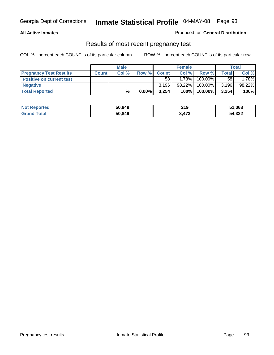### **All Active Inmates**

### Produced for **General Distribution**

### Results of most recent pregnancy test

|                                 |              | <b>Male</b> |          |              | <b>Female</b> |         |       | Total   |
|---------------------------------|--------------|-------------|----------|--------------|---------------|---------|-------|---------|
| <b>Pregnancy Test Results</b>   | <b>Count</b> | Col %       | Row %    | <b>Count</b> | Col %         | Row %   | Total | Col %   |
| <b>Positive on current test</b> |              |             |          | 58           | $1.78\%$      | 100.00% | 58    | $.78\%$ |
| <b>Negative</b>                 |              |             |          | 3.196        | 98.22%        | 100.00% | 3,196 | 98.22%  |
| <b>Total Reported</b>           |              | %           | $0.00\%$ | 3.254        | 100%          | 100.00% | 3,254 | 100%    |

| <b>Not Reported</b> | 50,849 | 219   | 51,068 |
|---------------------|--------|-------|--------|
| <b>Grand Total</b>  | 50,849 | 3,473 | 54,322 |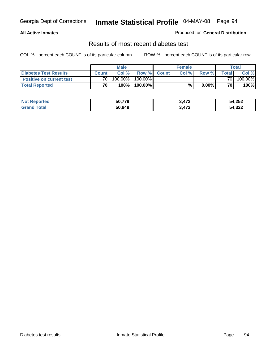### **All Active Inmates**

### Produced for **General Distribution**

### Results of most recent diabetes test

|                                 |                 | <b>Male</b> |         |             | <b>Female</b> |          |        | <b>Total</b> |
|---------------------------------|-----------------|-------------|---------|-------------|---------------|----------|--------|--------------|
| <b>Diabetes Test Results</b>    | <b>Count</b>    | Col %       |         | Row % Count | Col %         | Row %    | Totall | Col %        |
| <b>Positive on current test</b> | 70 <sub>1</sub> | 100.00%     | 100.00% |             |               |          | 70 I   | 100.00%      |
| <b>Total Reported</b>           | 70 <sub>1</sub> | 100%        | 100.00% |             | %.            | $0.00\%$ | 70     | 100%         |

| <b>Not Reported</b> | 50,779 | 3,473 | 54,252 |
|---------------------|--------|-------|--------|
| ⊺otal<br>Gr2r       | 50,849 | 473,  | 54,322 |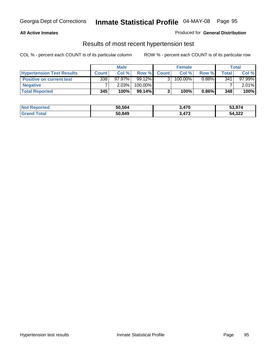### **All Active Inmates**

### Produced for **General Distribution**

### Results of most recent hypertension test

|                                  | <b>Male</b>  |           |           | <b>Female</b> |            |          | <b>Total</b> |        |
|----------------------------------|--------------|-----------|-----------|---------------|------------|----------|--------------|--------|
| <b>Hypertension Test Results</b> | <b>Count</b> | Col %     | Row %     | <b>Count</b>  | Col %      | Row %    | Total        | Col %  |
| <b>Positive on current test</b>  | 338          | $97.97\%$ | $99.12\%$ |               | $100.00\%$ | $0.88\%$ | 341          | 97.99% |
| <b>Negative</b>                  |              | 2.03%     | 100.00%   |               |            |          |              | 2.01%  |
| <b>Total Reported</b>            | 345          | 100%      | $99.14\%$ |               | 100%       | $0.86\%$ | 348          | 100%   |

| <b>Not Reported</b> | 50,504 | 3,470 | 53,974 |
|---------------------|--------|-------|--------|
| <b>Grand Total</b>  | 50,849 | 3,473 | 54,322 |